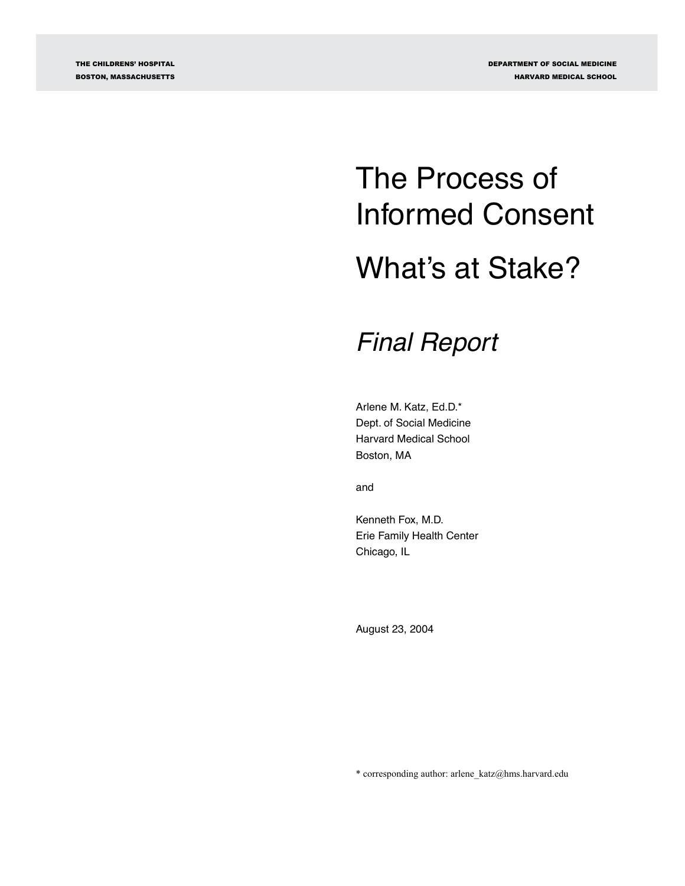# The Process of Informed Consent

## What's at Stake?

## Final Report

Arlene M. Katz, Ed.D.\* Dept. of Social Medicine Harvard Medical School Boston, MA

and

Kenneth Fox, M.D. Erie Family Health Center Chicago, IL

August 23, 2004

\* corresponding author: arlene\_katz@hms.harvard.edu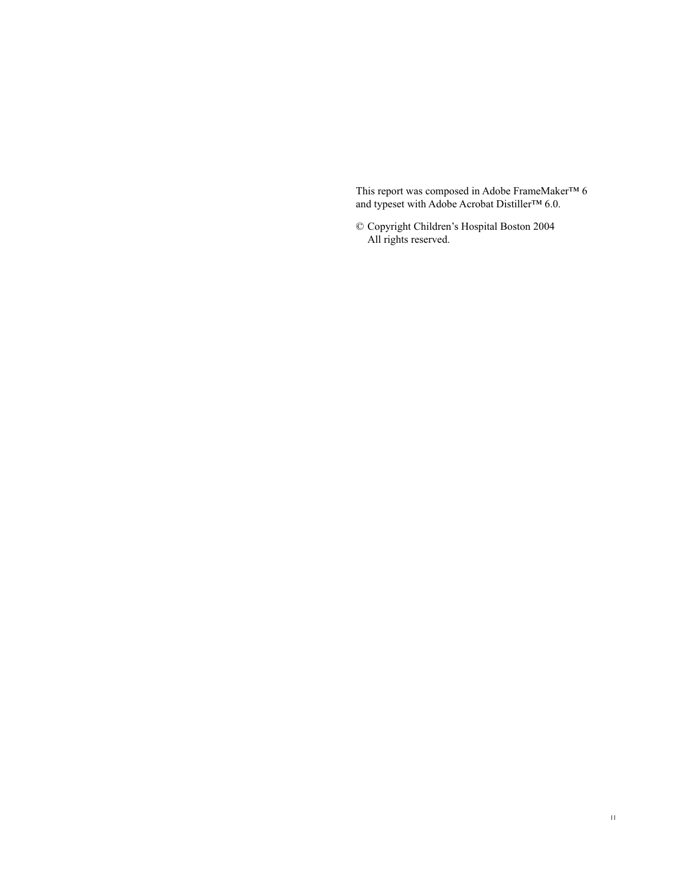This report was composed in Adobe FrameMaker™ 6 and typeset with Adobe Acrobat Distiller™ 6.0.

© Copyright Children's Hospital Boston 2004 All rights reserved.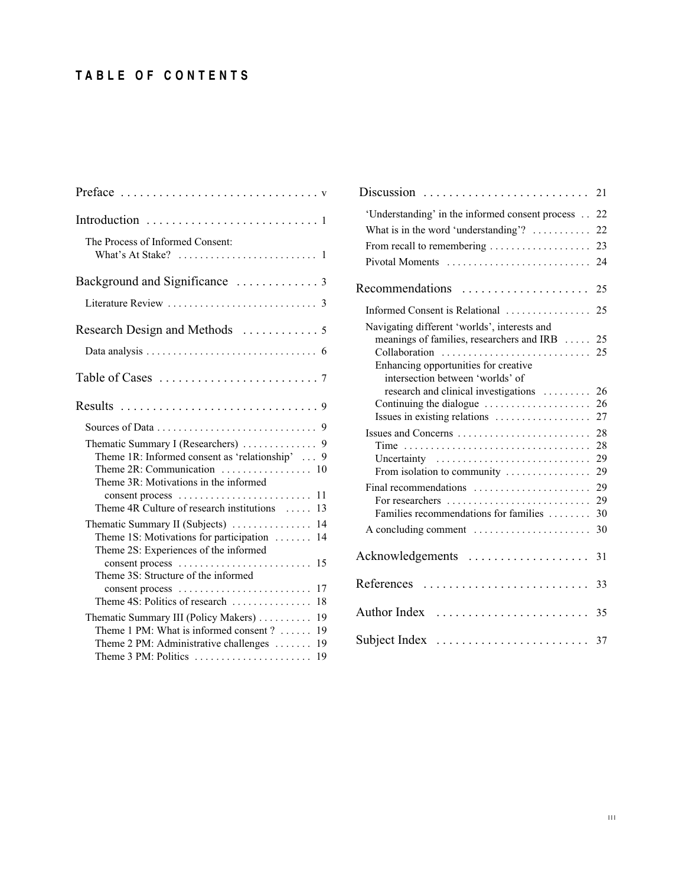## **TABLE OF CONTENTS**

| Preface                                                                                    |
|--------------------------------------------------------------------------------------------|
|                                                                                            |
| The Process of Informed Consent:                                                           |
|                                                                                            |
|                                                                                            |
|                                                                                            |
|                                                                                            |
|                                                                                            |
|                                                                                            |
|                                                                                            |
|                                                                                            |
| Theme 1R: Informed consent as 'relationship'  9                                            |
| Theme 3R: Motivations in the informed                                                      |
|                                                                                            |
| Theme 4R Culture of research institutions<br>13                                            |
| Thematic Summary II (Subjects)  14                                                         |
| 14<br>Theme 1S: Motivations for participation $\dots \dots$                                |
| Theme 2S: Experiences of the informed                                                      |
| consent process<br>15                                                                      |
| Theme 3S: Structure of the informed                                                        |
| 17<br>consent process<br>Theme 4S: Politics of research<br>18                              |
|                                                                                            |
| Thematic Summary III (Policy Makers)<br>19<br>Theme 1 PM: What is informed consent ?<br>19 |
| Theme 2 PM: Administrative challenges<br>19                                                |
| Theme 3 PM: Politics<br>19                                                                 |

| Discussion $\ldots \ldots \ldots \ldots \ldots \ldots \ldots$                             | 21 |
|-------------------------------------------------------------------------------------------|----|
| 'Understanding' in the informed consent process                                           | 22 |
| What is in the word 'understanding'? $\dots\dots\dots$                                    | 22 |
| From recall to remembering                                                                | 23 |
|                                                                                           |    |
| Recommendations                                                                           | 25 |
|                                                                                           |    |
| Navigating different 'worlds', interests and<br>meanings of families, researchers and IRB | 25 |
| Collaboration<br>Enhancing opportunities for creative<br>intersection between 'worlds' of | 25 |
| research and clinical investigations                                                      | 26 |
| Continuing the dialogue                                                                   | 26 |
| Issues in existing relations                                                              | 27 |
| Issues and Concerns $\dots \dots \dots \dots \dots \dots \dots \dots$                     | 28 |
|                                                                                           | 28 |
| Uncertainty                                                                               | 29 |
| From isolation to community                                                               | 29 |
| Final recommendations                                                                     | 29 |
| For researchers $\dots \dots \dots \dots \dots \dots \dots \dots$                         | 29 |
| Families recommendations for families                                                     | 30 |
| A concluding comment                                                                      | 30 |
| Acknowledgements                                                                          | 31 |
| References                                                                                | 33 |
| <b>Author Index</b>                                                                       | 35 |
| Subject Index                                                                             | 37 |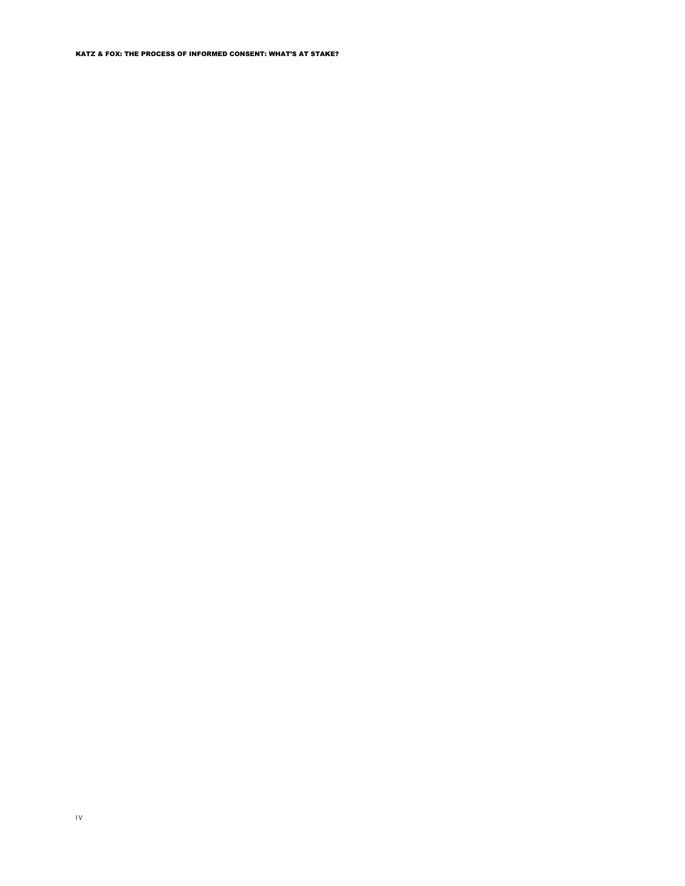KATZ & FOX: THE PROCESS OF INFORMED CONSENT: WHAT'S AT STAKE?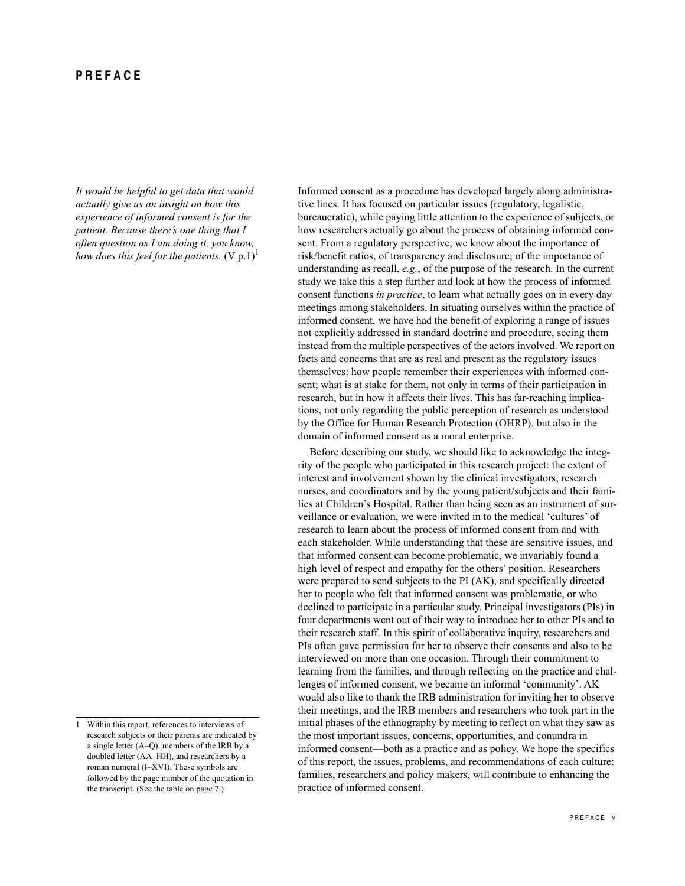<span id="page-4-12"></span><span id="page-4-0"></span>*It would be helpful to get data that would actually give us an insight on how this experience of informed consent is for the patient. Because there's one thing that I often question as I am doing it, you know, how does this feel for the patients.*  $(V p.1)^1$  <span id="page-4-24"></span><span id="page-4-23"></span><span id="page-4-21"></span><span id="page-4-14"></span><span id="page-4-6"></span>Informed consent as a procedure has developed largely along administrative lines. It has focused on particular issues (regulatory, legalistic, bureaucratic), while paying little attention to the experience of subjects, or how researchers actually go about the process of obtaining informed consent. From a regulatory perspective, we know about the importance of risk/benefit ratios, of transparency and disclosure; of the importance of understanding as recall, *e.g.*, of the purpose of the research. In the current study we take this a step further and look at how the process of informed consent functions *in practice*, to learn what actually goes on in every day meetings among stakeholders. In situating ourselves within the practice of informed consent, we have had the benefit of exploring a range of issues not explicitly addressed in standard doctrine and procedure, seeing them instead from the multiple perspectives of the actors involved. We report on facts and concerns that are as real and present as the regulatory issues themselves: how people remember their experiences with informed consent; what is at stake for them, not only in terms of their participation in research, but in how it affects their lives. This has far-reaching implications, not only regarding the public perception of research as understood by the Office for Human Research Protection (OHRP), but also in the domain of informed consent as a moral enterprise.

<span id="page-4-25"></span><span id="page-4-22"></span><span id="page-4-20"></span><span id="page-4-19"></span><span id="page-4-18"></span><span id="page-4-17"></span><span id="page-4-16"></span><span id="page-4-15"></span><span id="page-4-13"></span><span id="page-4-11"></span><span id="page-4-10"></span><span id="page-4-9"></span><span id="page-4-7"></span><span id="page-4-5"></span><span id="page-4-4"></span><span id="page-4-3"></span><span id="page-4-2"></span><span id="page-4-1"></span>Before describing our study, we should like to acknowledge the integrity of the people who participated in this research project: the extent of interest and involvement shown by the clinical investigators, research nurses, and coordinators and by the young patient/subjects and their families at Children's Hospital. Rather than being seen as an instrument of surveillance or evaluation, we were invited in to the medical 'cultures' of research to learn about the process of informed consent from and with each stakeholder. While understanding that these are sensitive issues, and that informed consent can become problematic, we invariably found a high level of respect and empathy for the others' position. Researchers were prepared to send subjects to the PI (AK), and specifically directed her to people who felt that informed consent was problematic, or who declined to participate in a particular study. Principal investigators (PIs) in four departments went out of their way to introduce her to other PIs and to their research staff. In this spirit of collaborative inquiry, researchers and PIs often gave permission for her to observe their consents and also to be interviewed on more than one occasion. Through their commitment to learning from the families, and through reflecting on the practice and challenges of informed consent, we became an informal 'community'. AK would also like to thank the IRB administration for inviting her to observe their meetings, and the IRB members and researchers who took part in the initial phases of the ethnography by meeting to reflect on what they saw as the most important issues, concerns, opportunities, and conundra in informed consent—both as a practice and as policy. We hope the specifics of this report, the issues, problems, and recommendations of each culture: families, researchers and policy makers, will contribute to enhancing the practice of informed consent.

<span id="page-4-26"></span><span id="page-4-8"></span><sup>1</sup> Within this report, references to interviews of research subjects or their parents are indicated by a single letter (A–Q), members of the IRB by a doubled letter (AA–HH), and researchers by a roman numeral (I–XVI). These symbols are followed by the page number of the quotation in the transcript. (See the table on [page 7](#page-12-1).)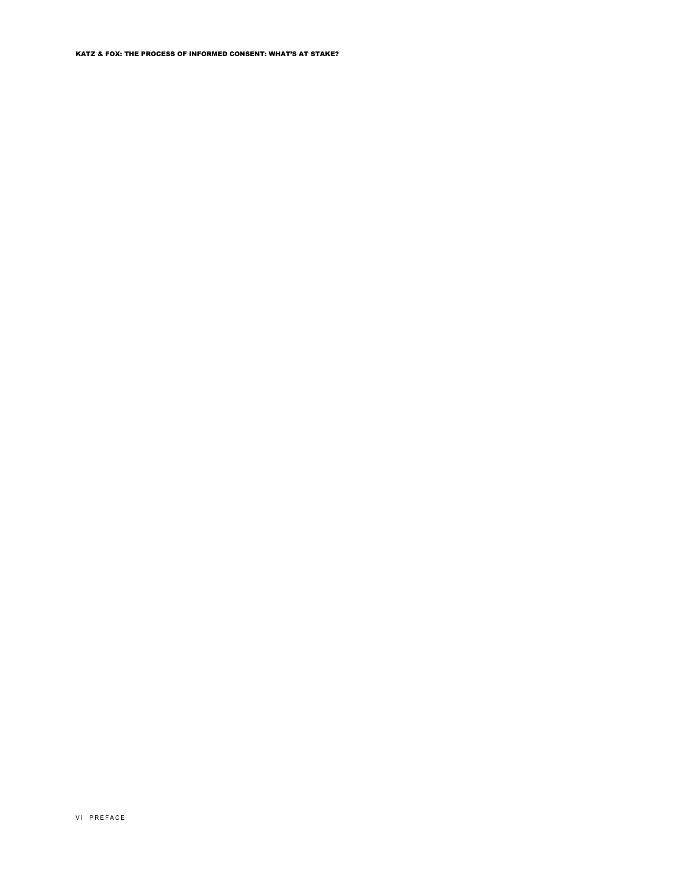KATZ & FOX: THE PROCESS OF INFORMED CONSENT: WHAT'S AT STAKE?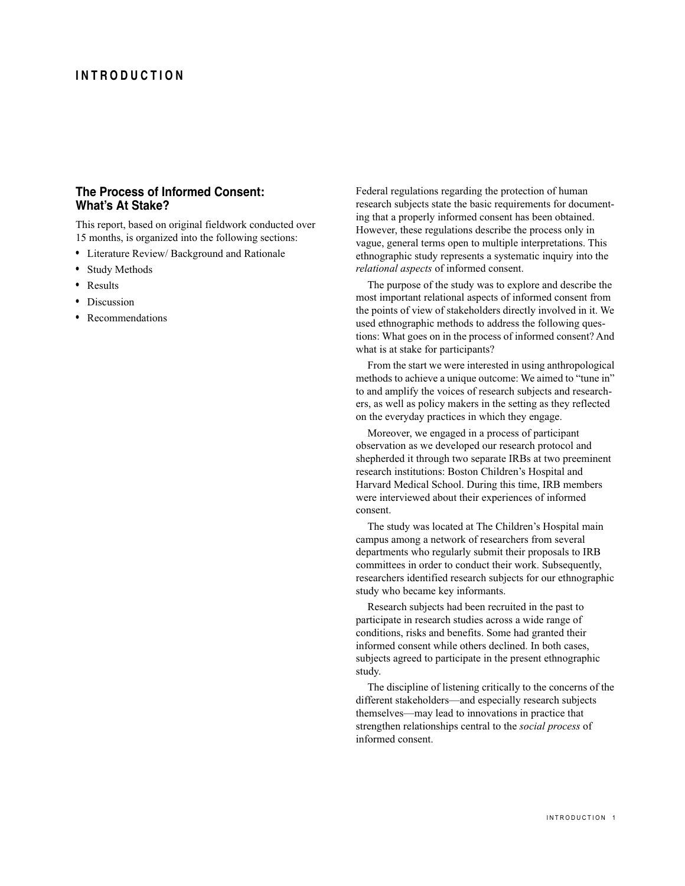## <span id="page-6-11"></span><span id="page-6-0"></span>**INTRODUCTION**

#### <span id="page-6-1"></span>**The Process of Informed Consent: What's At Stake?**

<span id="page-6-6"></span>This report, based on original fieldwork conducted over 15 months, is organized into the following sections:

- **•** Literature Review/ Background and Rationale
- **•** Study Methods
- **•** Results
- **•** Discussion
- **•** Recommendations

<span id="page-6-16"></span><span id="page-6-14"></span><span id="page-6-5"></span>Federal regulations regarding the protection of human research subjects state the basic requirements for documenting that a properly informed consent has been obtained. However, these regulations describe the process only in vague, general terms open to multiple interpretations. This ethnographic study represents a systematic inquiry into the *relational aspects* of informed consent.

<span id="page-6-21"></span><span id="page-6-10"></span><span id="page-6-9"></span><span id="page-6-3"></span>The purpose of the study was to explore and describe the most important relational aspects of informed consent from the points of view of stakeholders directly involved in it. We used ethnographic methods to address the following questions: What goes on in the process of informed consent? And what is at stake for participants?

<span id="page-6-17"></span><span id="page-6-15"></span><span id="page-6-13"></span><span id="page-6-2"></span>From the start we were interested in using anthropological methods to achieve a unique outcome: We aimed to "tune in" to and amplify the voices of research subjects and researchers, as well as policy makers in the setting as they reflected on the everyday practices in which they engage.

<span id="page-6-7"></span><span id="page-6-4"></span>Moreover, we engaged in a process of participant observation as we developed our research protocol and shepherded it through two separate IRBs at two preeminent research institutions: Boston Children's Hospital and Harvard Medical School. During this time, IRB members were interviewed about their experiences of informed consent.

The study was located at The Children's Hospital main campus among a network of researchers from several departments who regularly submit their proposals to IRB committees in order to conduct their work. Subsequently, researchers identified research subjects for our ethnographic study who became key informants.

<span id="page-6-19"></span><span id="page-6-18"></span><span id="page-6-8"></span>Research subjects had been recruited in the past to participate in research studies across a wide range of conditions, risks and benefits. Some had granted their informed consent while others declined. In both cases, subjects agreed to participate in the present ethnographic study.

<span id="page-6-20"></span><span id="page-6-12"></span>The discipline of listening critically to the concerns of the different stakeholders—and especially research subjects themselves—may lead to innovations in practice that strengthen relationships central to the *social process* of informed consent.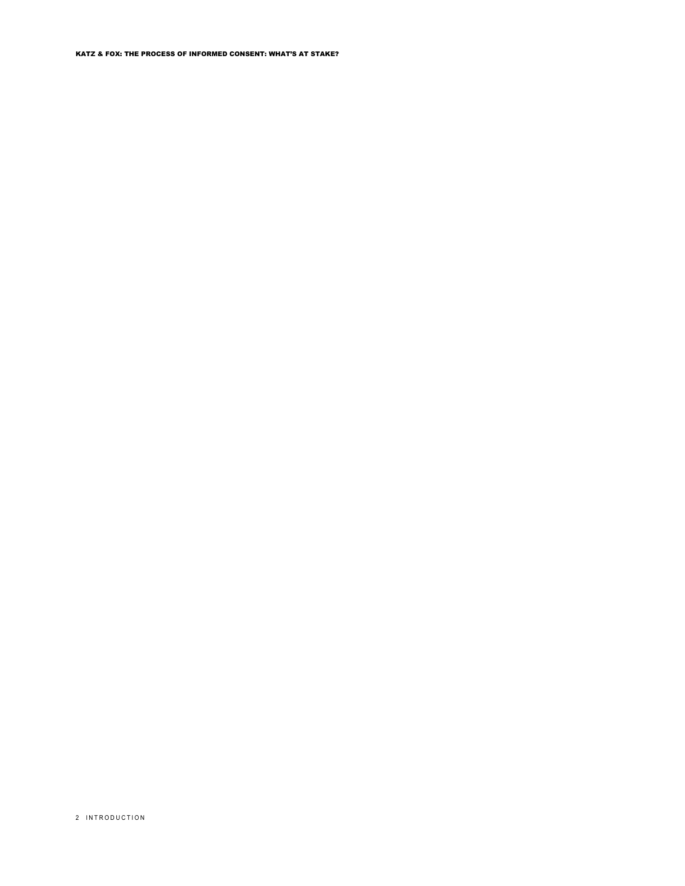KATZ & FOX: THE PROCESS OF INFORMED CONSENT: WHAT'S AT STAKE?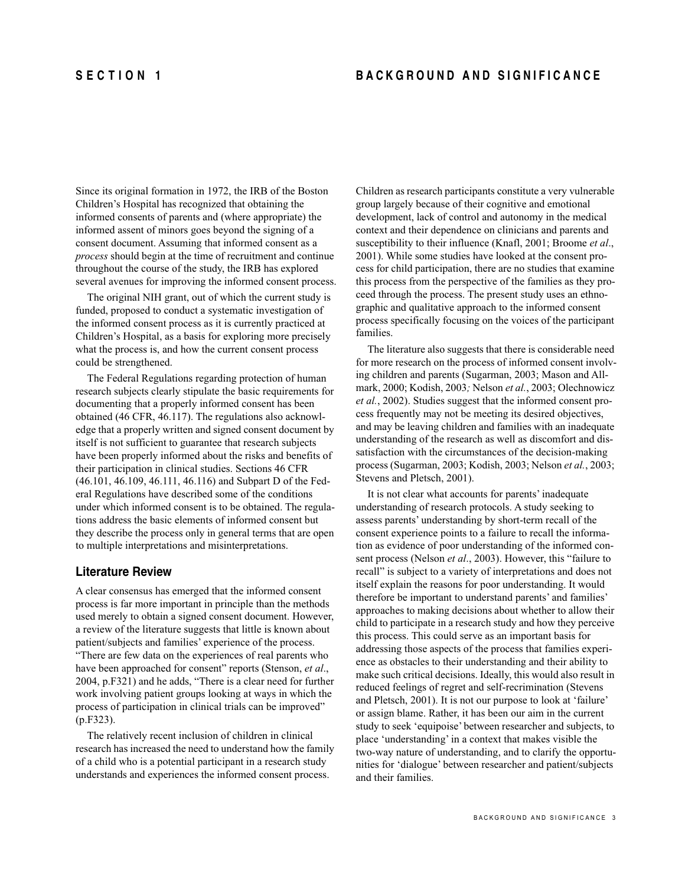<span id="page-8-28"></span><span id="page-8-25"></span>Since its original formation in 1972, the IRB of the Boston Children's Hospital has recognized that obtaining the informed consents of parents and (where appropriate) the informed assent of minors goes beyond the signing of a consent document. Assuming that informed consent as a *process* should begin at the time of recruitment and continue throughout the course of the study, the IRB has explored several avenues for improving the informed consent process.

<span id="page-8-36"></span><span id="page-8-35"></span>The original NIH grant, out of which the current study is funded, proposed to conduct a systematic investigation of the informed consent process as it is currently practiced at Children's Hospital, as a basis for exploring more precisely what the process is, and how the current consent process could be strengthened.

<span id="page-8-24"></span>The Federal Regulations regarding protection of human research subjects clearly stipulate the basic requirements for documenting that a properly informed consent has been obtained (46 CFR, 46.117). The regulations also acknowledge that a properly written and signed consent document by itself is not sufficient to guarantee that research subjects have been properly informed about the risks and benefits of their participation in clinical studies. Sections 46 CFR (46.101, 46.109, 46.111, 46.116) and Subpart D of the Federal Regulations have described some of the conditions under which informed consent is to be obtained. The regulations address the basic elements of informed consent but they describe the process only in general terms that are open to multiple interpretations and misinterpretations.

#### <span id="page-8-34"></span><span id="page-8-33"></span><span id="page-8-1"></span>**Literature Review**

<span id="page-8-43"></span><span id="page-8-32"></span><span id="page-8-20"></span><span id="page-8-12"></span>A clear consensus has emerged that the informed consent process is far more important in principle than the methods used merely to obtain a signed consent document. However, a review of the literature suggests that little is known about patient/subjects and families' experience of the process. "There are few data on the experiences of real parents who have been approached for consent" reports (Stenson, *et al*., 2004, p.F321) and he adds, "There is a clear need for further work involving patient groups looking at ways in which the process of participation in clinical trials can be improved" (p.F323).

<span id="page-8-23"></span><span id="page-8-11"></span>The relatively recent inclusion of children in clinical research has increased the need to understand how the family of a child who is a potential participant in a research study understands and experiences the informed consent process.

<span id="page-8-45"></span><span id="page-8-40"></span><span id="page-8-31"></span><span id="page-8-29"></span><span id="page-8-16"></span><span id="page-8-15"></span><span id="page-8-10"></span><span id="page-8-3"></span><span id="page-8-2"></span><span id="page-8-0"></span>Children as research participants constitute a very vulnerable group largely because of their cognitive and emotional development, lack of control and autonomy in the medical context and their dependence on clinicians and parents and susceptibility to their influence (Knafl, 2001; Broome *et al*., 2001). While some studies have looked at the consent process for child participation, there are no studies that examine this process from the perspective of the families as they proceed through the process. The present study uses an ethnographic and qualitative approach to the informed consent process specifically focusing on the voices of the participant families.

<span id="page-8-38"></span><span id="page-8-37"></span><span id="page-8-27"></span><span id="page-8-26"></span><span id="page-8-22"></span><span id="page-8-19"></span><span id="page-8-9"></span><span id="page-8-7"></span><span id="page-8-6"></span><span id="page-8-5"></span><span id="page-8-4"></span>The literature also suggests that there is considerable need for more research on the process of informed consent involving children and parents (Sugarman, 2003; Mason and Allmark, 2000; Kodish, 2003*;* Nelson *et al.*, 2003; Olechnowicz *et al.*, 2002). Studies suggest that the informed consent process frequently may not be meeting its desired objectives, and may be leaving children and families with an inadequate understanding of the research as well as discomfort and dissatisfaction with the circumstances of the decision-making process (Sugarman, 2003; Kodish, 2003; Nelson *et al.*, 2003; Stevens and Pletsch, 2001).

<span id="page-8-46"></span><span id="page-8-44"></span><span id="page-8-42"></span><span id="page-8-41"></span><span id="page-8-39"></span><span id="page-8-30"></span><span id="page-8-21"></span><span id="page-8-18"></span><span id="page-8-17"></span><span id="page-8-14"></span><span id="page-8-13"></span><span id="page-8-8"></span>It is not clear what accounts for parents' inadequate understanding of research protocols. A study seeking to assess parents' understanding by short-term recall of the consent experience points to a failure to recall the information as evidence of poor understanding of the informed consent process (Nelson *et al*., 2003). However, this "failure to recall" is subject to a variety of interpretations and does not itself explain the reasons for poor understanding. It would therefore be important to understand parents' and families' approaches to making decisions about whether to allow their child to participate in a research study and how they perceive this process. This could serve as an important basis for addressing those aspects of the process that families experience as obstacles to their understanding and their ability to make such critical decisions. Ideally, this would also result in reduced feelings of regret and self-recrimination (Stevens and Pletsch, 2001). It is not our purpose to look at 'failure' or assign blame. Rather, it has been our aim in the current study to seek 'equipoise' between researcher and subjects, to place 'understanding' in a context that makes visible the two-way nature of understanding, and to clarify the opportunities for 'dialogue' between researcher and patient/subjects and their families.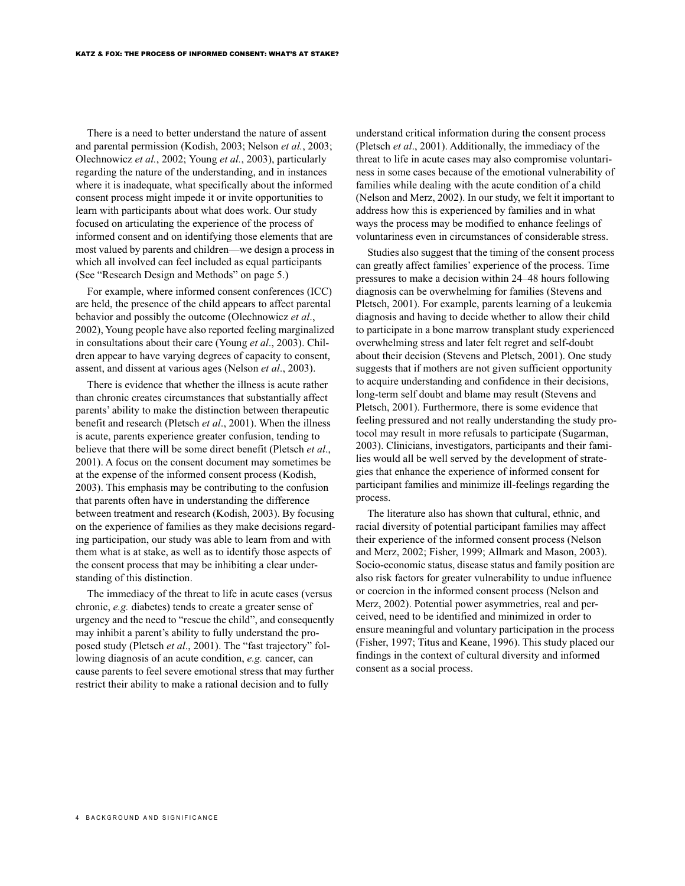<span id="page-9-36"></span><span id="page-9-35"></span><span id="page-9-11"></span><span id="page-9-6"></span><span id="page-9-3"></span>There is a need to better understand the nature of assent and parental permission (Kodish, 2003; Nelson *et al.*, 2003; Olechnowicz *et al.*, 2002; Young *et al.*, 2003), particularly regarding the nature of the understanding, and in instances where it is inadequate, what specifically about the informed consent process might impede it or invite opportunities to learn with participants about what does work. Our study focused on articulating the experience of the process of informed consent and on identifying those elements that are most valued by parents and children—we design a process in which all involved can feel included as equal participants ([See "Research Design and Methods" on page 5.\)](#page-10-1)

<span id="page-9-14"></span>For example, where informed consent conferences (ICC) are held, the presence of the child appears to affect parental behavior and possibly the outcome (Olechnowicz *et al*., 2002), Young people have also reported feeling marginalized in consultations about their care (Young *et al*., 2003). Children appear to have varying degrees of capacity to consent, assent, and dissent at various ages (Nelson *et al*., 2003).

<span id="page-9-30"></span><span id="page-9-28"></span><span id="page-9-7"></span>There is evidence that whether the illness is acute rather than chronic creates circumstances that substantially affect parents' ability to make the distinction between therapeutic benefit and research (Pletsch *et al*., 2001). When the illness is acute, parents experience greater confusion, tending to believe that there will be some direct benefit (Pletsch *et al*., 2001). A focus on the consent document may sometimes be at the expense of the informed consent process (Kodish, 2003). This emphasis may be contributing to the confusion that parents often have in understanding the difference between treatment and research (Kodish, 2003). By focusing on the experience of families as they make decisions regarding participation, our study was able to learn from and with them what is at stake, as well as to identify those aspects of the consent process that may be inhibiting a clear understanding of this distinction.

<span id="page-9-44"></span><span id="page-9-39"></span><span id="page-9-31"></span><span id="page-9-21"></span><span id="page-9-20"></span>The immediacy of the threat to life in acute cases (versus chronic, *e.g.* diabetes) tends to create a greater sense of urgency and the need to "rescue the child", and consequently may inhibit a parent's ability to fully understand the proposed study (Pletsch *et al*., 2001). The "fast trajectory" following diagnosis of an acute condition, *e.g.* cancer, can cause parents to feel severe emotional stress that may further restrict their ability to make a rational decision and to fully

<span id="page-9-46"></span><span id="page-9-29"></span><span id="page-9-23"></span><span id="page-9-12"></span><span id="page-9-5"></span><span id="page-9-4"></span>understand critical information during the consent process (Pletsch *et al*., 2001). Additionally, the immediacy of the threat to life in acute cases may also compromise voluntariness in some cases because of the emotional vulnerability of families while dealing with the acute condition of a child (Nelson and Merz, 2002). In our study, we felt it important to address how this is experienced by families and in what ways the process may be modified to enhance feelings of voluntariness even in circumstances of considerable stress.

<span id="page-9-45"></span><span id="page-9-43"></span><span id="page-9-41"></span><span id="page-9-34"></span><span id="page-9-32"></span><span id="page-9-27"></span><span id="page-9-26"></span><span id="page-9-18"></span><span id="page-9-16"></span><span id="page-9-8"></span>Studies also suggest that the timing of the consent process can greatly affect families' experience of the process. Time pressures to make a decision within 24–48 hours following diagnosis can be overwhelming for families (Stevens and Pletsch, 2001). For example, parents learning of a leukemia diagnosis and having to decide whether to allow their child to participate in a bone marrow transplant study experienced overwhelming stress and later felt regret and self-doubt about their decision (Stevens and Pletsch, 2001). One study suggests that if mothers are not given sufficient opportunity to acquire understanding and confidence in their decisions, long-term self doubt and blame may result (Stevens and Pletsch, 2001). Furthermore, there is some evidence that feeling pressured and not really understanding the study protocol may result in more refusals to participate (Sugarman, 2003). Clinicians, investigators, participants and their families would all be well served by the development of strategies that enhance the experience of informed consent for participant families and minimize ill-feelings regarding the process.

<span id="page-9-42"></span><span id="page-9-40"></span><span id="page-9-38"></span><span id="page-9-37"></span><span id="page-9-33"></span><span id="page-9-25"></span><span id="page-9-24"></span><span id="page-9-22"></span><span id="page-9-19"></span><span id="page-9-17"></span><span id="page-9-15"></span><span id="page-9-13"></span><span id="page-9-10"></span><span id="page-9-9"></span><span id="page-9-2"></span><span id="page-9-1"></span><span id="page-9-0"></span>The literature also has shown that cultural, ethnic, and racial diversity of potential participant families may affect their experience of the informed consent process (Nelson and Merz, 2002; Fisher, 1999; Allmark and Mason, 2003). Socio-economic status, disease status and family position are also risk factors for greater vulnerability to undue influence or coercion in the informed consent process (Nelson and Merz, 2002). Potential power asymmetries, real and perceived, need to be identified and minimized in order to ensure meaningful and voluntary participation in the process (Fisher, 1997; Titus and Keane, 1996). This study placed our findings in the context of cultural diversity and informed consent as a social process.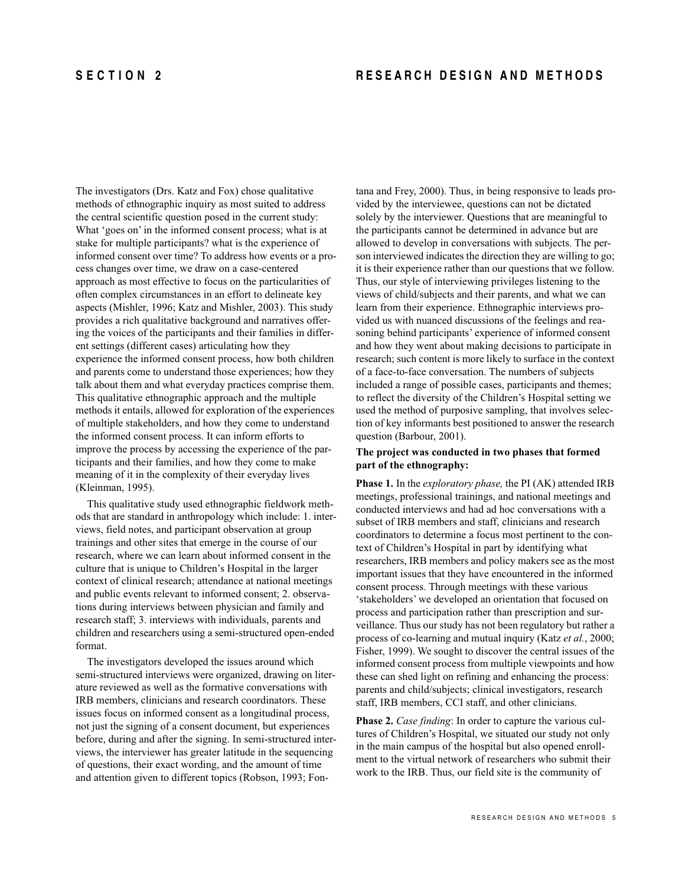<span id="page-10-40"></span><span id="page-10-29"></span><span id="page-10-21"></span><span id="page-10-15"></span><span id="page-10-8"></span><span id="page-10-5"></span>The investigators (Drs. Katz and Fox) chose qualitative methods of ethnographic inquiry as most suited to address the central scientific question posed in the current study: What 'goes on' in the informed consent process; what is at stake for multiple participants? what is the experience of informed consent over time? To address how events or a process changes over time, we draw on a case-centered approach as most effective to focus on the particularities of often complex circumstances in an effort to delineate key aspects (Mishler, 1996; Katz and Mishler, 2003). This study provides a rich qualitative background and narratives offering the voices of the participants and their families in different settings (different cases) articulating how they experience the informed consent process, how both children and parents come to understand those experiences; how they talk about them and what everyday practices comprise them. This qualitative ethnographic approach and the multiple methods it entails, allowed for exploration of the experiences of multiple stakeholders, and how they come to understand the informed consent process. It can inform efforts to improve the process by accessing the experience of the participants and their families, and how they come to make meaning of it in the complexity of their everyday lives (Kleinman, 1995).

<span id="page-10-46"></span><span id="page-10-37"></span><span id="page-10-23"></span><span id="page-10-10"></span><span id="page-10-7"></span>This qualitative study used ethnographic fieldwork methods that are standard in anthropology which include: 1. interviews, field notes, and participant observation at group trainings and other sites that emerge in the course of our research, where we can learn about informed consent in the culture that is unique to Children's Hospital in the larger context of clinical research; attendance at national meetings and public events relevant to informed consent; 2. observations during interviews between physician and family and research staff; 3. interviews with individuals, parents and children and researchers using a semi-structured open-ended format.

<span id="page-10-28"></span><span id="page-10-24"></span><span id="page-10-22"></span><span id="page-10-20"></span>The investigators developed the issues around which semi-structured interviews were organized, drawing on literature reviewed as well as the formative conversations with IRB members, clinicians and research coordinators. These issues focus on informed consent as a longitudinal process, not just the signing of a consent document, but experiences before, during and after the signing. In semi-structured interviews, the interviewer has greater latitude in the sequencing of questions, their exact wording, and the amount of time and attention given to different topics (Robson, 1993; Fon-

<span id="page-10-44"></span><span id="page-10-41"></span><span id="page-10-35"></span><span id="page-10-32"></span><span id="page-10-30"></span><span id="page-10-27"></span><span id="page-10-16"></span><span id="page-10-11"></span><span id="page-10-1"></span><span id="page-10-0"></span>tana and Frey, 2000). Thus, in being responsive to leads provided by the interviewee, questions can not be dictated solely by the interviewer. Questions that are meaningful to the participants cannot be determined in advance but are allowed to develop in conversations with subjects. The person interviewed indicates the direction they are willing to go; it is their experience rather than our questions that we follow. Thus, our style of interviewing privileges listening to the views of child/subjects and their parents, and what we can learn from their experience. Ethnographic interviews provided us with nuanced discussions of the feelings and reasoning behind participants' experience of informed consent and how they went about making decisions to participate in research; such content is more likely to surface in the context of a face-to-face conversation. The numbers of subjects included a range of possible cases, participants and themes; to reflect the diversity of the Children's Hospital setting we used the method of purposive sampling, that involves selection of key informants best positioned to answer the research question (Barbour, 2001).

#### <span id="page-10-43"></span><span id="page-10-39"></span><span id="page-10-18"></span><span id="page-10-12"></span><span id="page-10-2"></span>**The project was conducted in two phases that formed part of the ethnography:**

<span id="page-10-38"></span><span id="page-10-36"></span><span id="page-10-26"></span><span id="page-10-25"></span><span id="page-10-19"></span><span id="page-10-17"></span>**Phase 1.** In the *exploratory phase,* the PI (AK) attended IRB meetings, professional trainings, and national meetings and conducted interviews and had ad hoc conversations with a subset of IRB members and staff, clinicians and research coordinators to determine a focus most pertinent to the context of Children's Hospital in part by identifying what researchers, IRB members and policy makers see as the most important issues that they have encountered in the informed consent process. Through meetings with these various 'stakeholders' we developed an orientation that focused on process and participation rather than prescription and surveillance. Thus our study has not been regulatory but rather a process of co-learning and mutual inquiry (Katz *et al.*, 2000; Fisher, 1999). We sought to discover the central issues of the informed consent process from multiple viewpoints and how these can shed light on refining and enhancing the process: parents and child/subjects; clinical investigators, research staff, IRB members, CCI staff, and other clinicians.

<span id="page-10-48"></span><span id="page-10-47"></span><span id="page-10-45"></span><span id="page-10-42"></span><span id="page-10-34"></span><span id="page-10-33"></span><span id="page-10-31"></span><span id="page-10-14"></span><span id="page-10-13"></span><span id="page-10-9"></span><span id="page-10-6"></span><span id="page-10-4"></span><span id="page-10-3"></span>**Phase 2.** *Case finding*: In order to capture the various cultures of Children's Hospital, we situated our study not only in the main campus of the hospital but also opened enrollment to the virtual network of researchers who submit their work to the IRB. Thus, our field site is the community of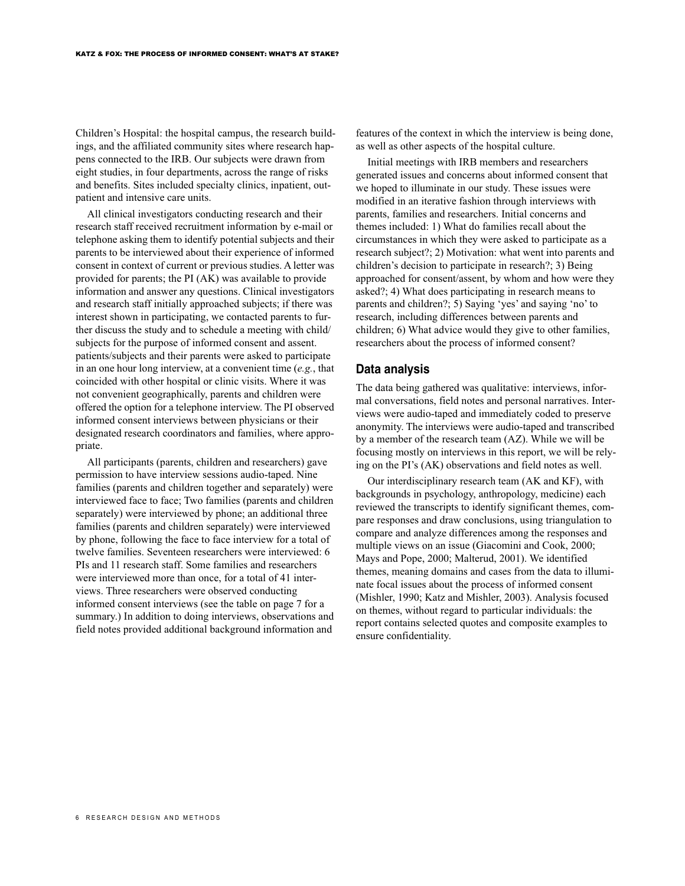<span id="page-11-30"></span><span id="page-11-16"></span><span id="page-11-8"></span>Children's Hospital: the hospital campus, the research buildings, and the affiliated community sites where research happens connected to the IRB. Our subjects were drawn from eight studies, in four departments, across the range of risks and benefits. Sites included specialty clinics, inpatient, outpatient and intensive care units.

<span id="page-11-27"></span><span id="page-11-25"></span>All clinical investigators conducting research and their research staff received recruitment information by e-mail or telephone asking them to identify potential subjects and their parents to be interviewed about their experience of informed consent in context of current or previous studies. A letter was provided for parents; the PI (AK) was available to provide information and answer any questions. Clinical investigators and research staff initially approached subjects; if there was interest shown in participating, we contacted parents to further discuss the study and to schedule a meeting with child/ subjects for the purpose of informed consent and assent. patients/subjects and their parents were asked to participate in an one hour long interview, at a convenient time (*e.g.*, that coincided with other hospital or clinic visits. Where it was not convenient geographically, parents and children were offered the option for a telephone interview. The PI observed informed consent interviews between physicians or their designated research coordinators and families, where appropriate.

<span id="page-11-18"></span>All participants (parents, children and researchers) gave permission to have interview sessions audio-taped. Nine families (parents and children together and separately) were interviewed face to face; Two families (parents and children separately) were interviewed by phone; an additional three families (parents and children separately) were interviewed by phone, following the face to face interview for a total of twelve families. Seventeen researchers were interviewed: 6 PIs and 11 research staff. Some families and researchers were interviewed more than once, for a total of 41 interviews. Three researchers were observed conducting informed consent interviews (see the table on [page 7](#page-12-1) for a summary.) In addition to doing interviews, observations and field notes provided additional background information and

features of the context in which the interview is being done, as well as other aspects of the hospital culture.

<span id="page-11-29"></span><span id="page-11-28"></span><span id="page-11-24"></span><span id="page-11-23"></span><span id="page-11-21"></span><span id="page-11-14"></span><span id="page-11-13"></span>Initial meetings with IRB members and researchers generated issues and concerns about informed consent that we hoped to illuminate in our study. These issues were modified in an iterative fashion through interviews with parents, families and researchers. Initial concerns and themes included: 1) What do families recall about the circumstances in which they were asked to participate as a research subject?; 2) Motivation: what went into parents and children's decision to participate in research?; 3) Being approached for consent/assent, by whom and how were they asked?; 4) What does participating in research means to parents and children?; 5) Saying 'yes' and saying 'no' to research, including differences between parents and children; 6) What advice would they give to other families, researchers about the process of informed consent?

#### <span id="page-11-26"></span><span id="page-11-11"></span><span id="page-11-10"></span><span id="page-11-6"></span><span id="page-11-0"></span>**Data analysis**

<span id="page-11-33"></span><span id="page-11-22"></span><span id="page-11-20"></span><span id="page-11-15"></span><span id="page-11-12"></span><span id="page-11-7"></span>The data being gathered was qualitative: interviews, informal conversations, field notes and personal narratives. Interviews were audio-taped and immediately coded to preserve anonymity. The interviews were audio-taped and transcribed by a member of the research team (AZ). While we will be focusing mostly on interviews in this report, we will be relying on the PI's (AK) observations and field notes as well.

<span id="page-11-34"></span><span id="page-11-32"></span><span id="page-11-31"></span><span id="page-11-19"></span><span id="page-11-17"></span><span id="page-11-9"></span><span id="page-11-5"></span><span id="page-11-4"></span><span id="page-11-3"></span><span id="page-11-2"></span><span id="page-11-1"></span>Our interdisciplinary research team (AK and KF), with backgrounds in psychology, anthropology, medicine) each reviewed the transcripts to identify significant themes, compare responses and draw conclusions, using triangulation to compare and analyze differences among the responses and multiple views on an issue (Giacomini and Cook, 2000; Mays and Pope, 2000; Malterud, 2001). We identified themes, meaning domains and cases from the data to illuminate focal issues about the process of informed consent (Mishler, 1990; Katz and Mishler, 2003). Analysis focused on themes, without regard to particular individuals: the report contains selected quotes and composite examples to ensure confidentiality.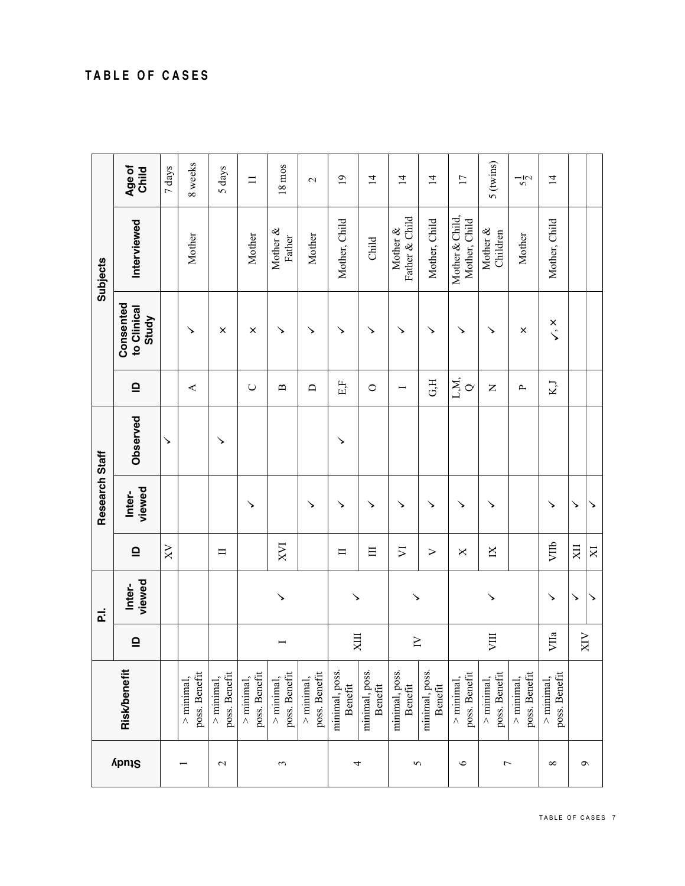|                    |                                  |              | 定                |                             | Research Staff   |          |                      |                                   | <b>Subjects</b>                  |                  |
|--------------------|----------------------------------|--------------|------------------|-----------------------------|------------------|----------|----------------------|-----------------------------------|----------------------------------|------------------|
| <b>Apnis</b>       | Risk/benefit                     | $\mathbf{r}$ | viewed<br>Inter- | $\mathbf{r}$                | viewed<br>Inter- | Observed | $\mathbf{r}$         | Consented<br>to Clinical<br>Study | Interviewed                      | Age of<br>Child  |
|                    |                                  |              |                  | XV                          |                  | ↘        |                      |                                   |                                  | 7 days           |
|                    | poss. Benefit<br>$>$ minimal,    |              |                  |                             |                  |          | $\blacktriangleleft$ | ↘                                 | Mother                           | 8 weeks          |
| $\mathcal{L}$      | poss. Benefit<br>$>$ minimal,    |              |                  | $\equiv$                    |                  | ↘        |                      | ×                                 |                                  | 5 days           |
|                    | poss. Benefit<br>$>$ minimal,    |              |                  |                             | ↘                |          | $\cup$               | ×                                 | Mother                           | $\Box$           |
| $\mathfrak{c}$     | poss. Benefit<br>$>$ minimal,    |              | ↘                | <b>IAX</b>                  |                  |          | $\mathbf{\Omega}$    | ↘                                 | Mother &<br>Father               | $18 \text{ mos}$ |
|                    | poss. Benefit<br>$>$ minimal,    |              |                  |                             | ↘                |          | $\Box$               | ↘                                 | Mother                           | $\sim$           |
| 4                  | minimal, poss.<br><b>Benefit</b> | XIII         | ↘                | $\blacksquare$              | ↘                | ↘        | E,F                  | ↘                                 | Mother, Child                    | $\overline{19}$  |
|                    | minimal, poss.<br><b>Benefit</b> |              |                  | 目                           | ↘                |          | $\circ$              | ↘                                 | Child                            | $\overline{1}$   |
| $\sigma$           | minimal, poss.<br><b>Benefit</b> | $\geq$       | ↘                | $\overline{\triangleright}$ | ↘                |          | −                    | ↘                                 | Father & Child<br>Mother &       | $\overline{1}$   |
|                    | minimal, poss.<br><b>Benefit</b> |              |                  | $\triangleright$            | ↘                |          | G.H                  | ↘                                 | Mother, Child                    | $\overline{1}$   |
| $\bullet$          | poss. Benefit<br>$>$ minimal,    |              |                  | ×                           | ↘                |          | L,M,<br>$\circ$      | ↘                                 | Mother & Child,<br>Mother, Child | 17               |
| 7                  | poss. Benefit<br>$>$ minimal,    | ŅЩ           | ↘                | $\mathbb{K}$                | ↘                |          | $\mathsf{z}$         | ↘                                 | Mother &<br>Children             | 5 (twins)        |
|                    | poss. Benefit<br>$>$ minimal,    |              |                  |                             |                  |          | $\mathbf{r}$         | ×                                 | Mother                           | $5^{1}_{2}$      |
| $\infty$           | poss. Benefit<br>$>$ minimal,    | VIIa         | ↘                | VIIb                        | ↘                |          | K,J                  | $\times$                          | Mother, Child                    | $\overline{1}$   |
| $\mathbf{\hat{c}}$ |                                  | $\rm XIN$    | ↘                | $\overline{X}$              | ↘                |          |                      |                                   |                                  |                  |
|                    |                                  |              | ↘                | $\mathbf{N}$                | ↘                |          |                      |                                   |                                  |                  |

## <span id="page-12-1"></span><span id="page-12-0"></span>**TABLE OF CASES**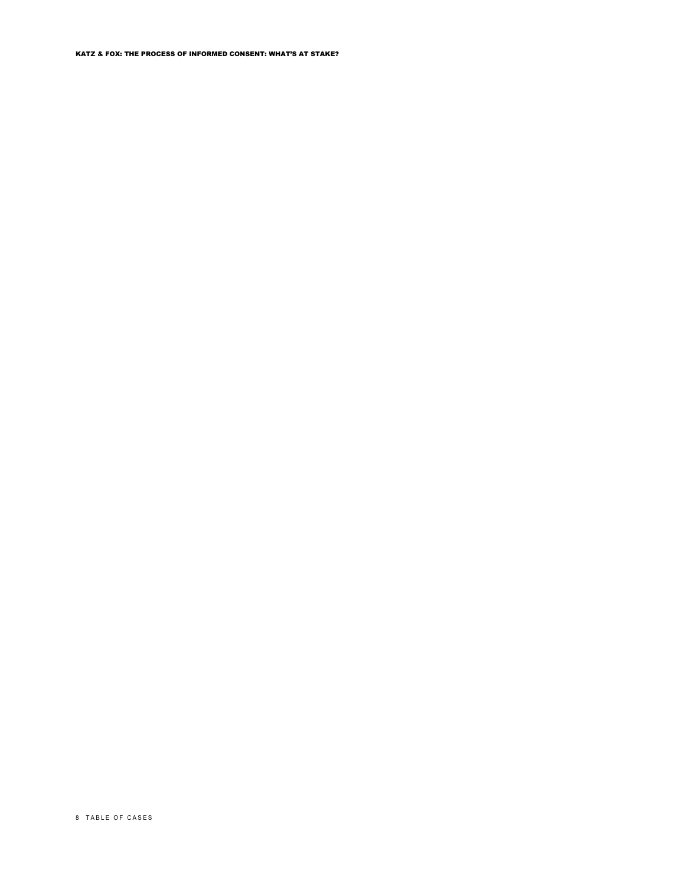KATZ & FOX: THE PROCESS OF INFORMED CONSENT: WHAT'S AT STAKE?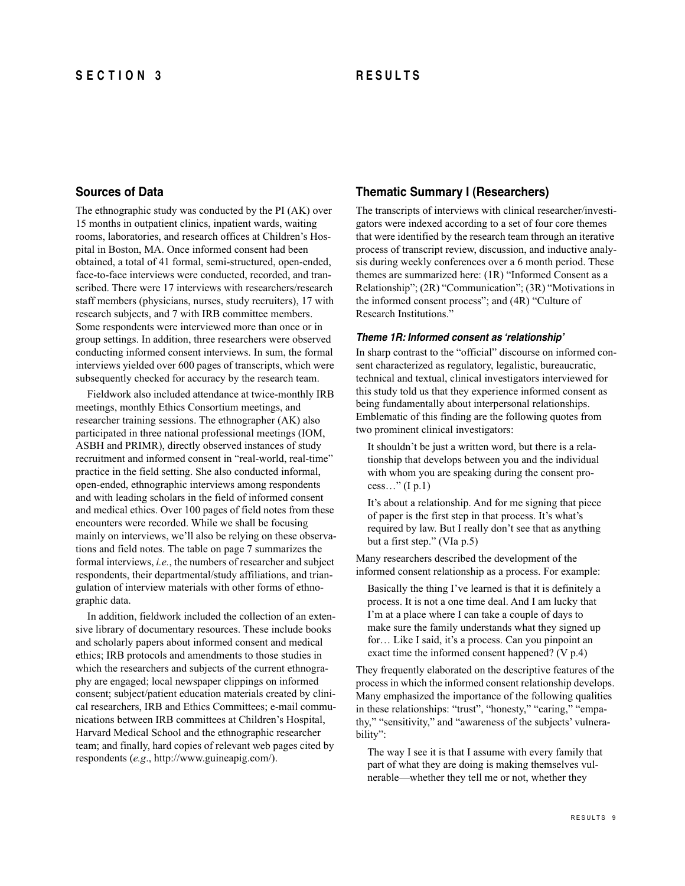## <span id="page-14-5"></span><span id="page-14-1"></span>**Sources of Data**

<span id="page-14-17"></span><span id="page-14-10"></span><span id="page-14-7"></span>The ethnographic study was conducted by the PI (AK) over 15 months in outpatient clinics, inpatient wards, waiting rooms, laboratories, and research offices at Children's Hospital in Boston, MA. Once informed consent had been obtained, a total of 41 formal, semi-structured, open-ended, face-to-face interviews were conducted, recorded, and transcribed. There were 17 interviews with researchers/research staff members (physicians, nurses, study recruiters), 17 with research subjects, and 7 with IRB committee members. Some respondents were interviewed more than once or in group settings. In addition, three researchers were observed conducting informed consent interviews. In sum, the formal interviews yielded over 600 pages of transcripts, which were subsequently checked for accuracy by the research team.

<span id="page-14-26"></span><span id="page-14-24"></span><span id="page-14-20"></span><span id="page-14-19"></span><span id="page-14-16"></span><span id="page-14-6"></span>Fieldwork also included attendance at twice-monthly IRB meetings, monthly Ethics Consortium meetings, and researcher training sessions. The ethnographer (AK) also participated in three national professional meetings (IOM, ASBH and PRIMR), directly observed instances of study recruitment and informed consent in "real-world, real-time" practice in the field setting. She also conducted informal, open-ended, ethnographic interviews among respondents and with leading scholars in the field of informed consent and medical ethics. Over 100 pages of field notes from these encounters were recorded. While we shall be focusing mainly on interviews, we'll also be relying on these observations and field notes. The table on [page 7](#page-12-1) summarizes the formal interviews, *i.e.*, the numbers of researcher and subject respondents, their departmental/study affiliations, and triangulation of interview materials with other forms of ethnographic data.

<span id="page-14-21"></span><span id="page-14-15"></span><span id="page-14-9"></span><span id="page-14-8"></span>In addition, fieldwork included the collection of an extensive library of documentary resources. These include books and scholarly papers about informed consent and medical ethics; IRB protocols and amendments to those studies in which the researchers and subjects of the current ethnography are engaged; local newspaper clippings on informed consent; subject/patient education materials created by clinical researchers, IRB and Ethics Committees; e-mail communications between IRB committees at Children's Hospital, Harvard Medical School and the ethnographic researcher team; and finally, hard copies of relevant web pages cited by respondents (*e.g*[., http://www.guineapig.com/\).](http://www.guineapig.com/)

#### <span id="page-14-25"></span><span id="page-14-4"></span><span id="page-14-2"></span><span id="page-14-0"></span>**Thematic Summary I (Researchers)**

<span id="page-14-22"></span>The transcripts of interviews with clinical researcher/investigators were indexed according to a set of four core themes that were identified by the research team through an iterative process of transcript review, discussion, and inductive analysis during weekly conferences over a 6 month period. These themes are summarized here: (1R) "Informed Consent as a Relationship"; (2R) "Communication"; (3R) "Motivations in the informed consent process"; and (4R) "Culture of Research Institutions"

#### <span id="page-14-13"></span><span id="page-14-11"></span><span id="page-14-3"></span>*Theme 1R: Informed consent as 'relationship'*

<span id="page-14-18"></span><span id="page-14-14"></span>In sharp contrast to the "official" discourse on informed consent characterized as regulatory, legalistic, bureaucratic, technical and textual, clinical investigators interviewed for this study told us that they experience informed consent as being fundamentally about interpersonal relationships. Emblematic of this finding are the following quotes from two prominent clinical investigators:

It shouldn't be just a written word, but there is a relationship that develops between you and the individual with whom you are speaking during the consent process..."  $(I p.1)$ 

It's about a relationship. And for me signing that piece of paper is the first step in that process. It's what's required by law. But I really don't see that as anything but a first step." (VIa p.5)

<span id="page-14-12"></span>Many researchers described the development of the informed consent relationship as a process. For example:

Basically the thing I've learned is that it is definitely a process. It is not a one time deal. And I am lucky that I'm at a place where I can take a couple of days to make sure the family understands what they signed up for… Like I said, it's a process. Can you pinpoint an exact time the informed consent happened? (V p.4)

<span id="page-14-27"></span>They frequently elaborated on the descriptive features of the process in which the informed consent relationship develops. Many emphasized the importance of the following qualities in these relationships: "trust", "honesty," "caring," "empathy," "sensitivity," and "awareness of the subjects' vulnerability":

<span id="page-14-28"></span><span id="page-14-23"></span>The way I see it is that I assume with every family that part of what they are doing is making themselves vulnerable—whether they tell me or not, whether they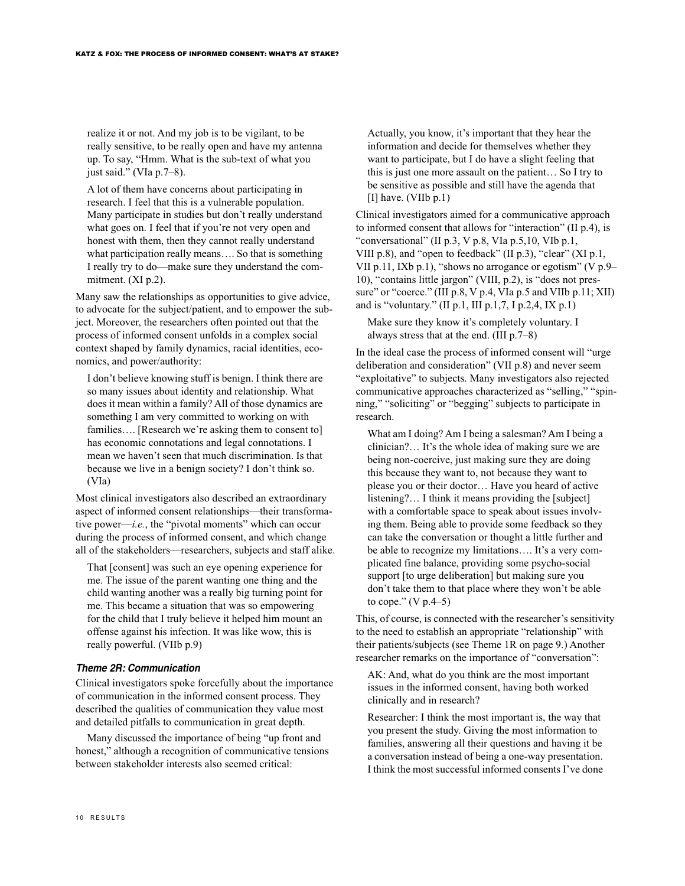realize it or not. And my job is to be vigilant, to be really sensitive, to be really open and have my antenna up. To say, "Hmm. What is the sub-text of what you just said." (VIa p.7–8).

<span id="page-15-24"></span>A lot of them have concerns about participating in research. I feel that this is a vulnerable population. Many participate in studies but don't really understand what goes on. I feel that if you're not very open and honest with them, then they cannot really understand what participation really means…. So that is something I really try to do—make sure they understand the commitment. (XI p.2).

<span id="page-15-11"></span>Many saw the relationships as opportunities to give advice, to advocate for the subject/patient, and to empower the subject. Moreover, the researchers often pointed out that the process of informed consent unfolds in a complex social context shaped by family dynamics, racial identities, economics, and power/authority:

<span id="page-15-4"></span><span id="page-15-1"></span>I don't believe knowing stuff is benign. I think there are so many issues about identity and relationship. What does it mean within a family? All of those dynamics are something I am very committed to working on with families.... [Research we're asking them to consent to] has economic connotations and legal connotations. I mean we haven't seen that much discrimination. Is that because we live in a benign society? I don't think so. (VIa)

<span id="page-15-12"></span><span id="page-15-9"></span>Most clinical investigators also described an extraordinary aspect of informed consent relationships—their transformative power—*i.e.*, the "pivotal moments" which can occur during the process of informed consent, and which change all of the stakeholders—researchers, subjects and staff alike.

<span id="page-15-20"></span><span id="page-15-15"></span>That [consent] was such an eye opening experience for me. The issue of the parent wanting one thing and the child wanting another was a really big turning point for me. This became a situation that was so empowering for the child that I truly believe it helped him mount an offense against his infection. It was like wow, this is really powerful. (VIIb p.9)

#### <span id="page-15-22"></span><span id="page-15-10"></span><span id="page-15-5"></span><span id="page-15-2"></span><span id="page-15-0"></span>*Theme 2R: Communication*

Clinical investigators spoke forcefully about the importance of communication in the informed consent process. They described the qualities of communication they value most and detailed pitfalls to communication in great depth.

<span id="page-15-21"></span><span id="page-15-6"></span>Many discussed the importance of being "up front and honest," although a recognition of communicative tensions between stakeholder interests also seemed critical:

Actually, you know, it's important that they hear the information and decide for themselves whether they want to participate, but I do have a slight feeling that this is just one more assault on the patient… So I try to be sensitive as possible and still have the agenda that [I] have. (VIIb p.1)

Clinical investigators aimed for a communicative approach to informed consent that allows for "interaction" (II p.4), is "conversational" (II p.3, V p.8, VIa p.5, 10, VIb p.1, VIII p.8), and "open to feedback" (II p.3), "clear" (XI p.1, VII p.11, IXb p.1), "shows no arrogance or egotism" (V p.9– 10), "contains little jargon" (VIII, p.2), is "does not pressure" or "coerce." (III p.8, V p.4, VIa p.5 and VIIb p.11; XII) and is "voluntary." (II p.1, III p.1,7, I p.2,4, IX p.1)

<span id="page-15-23"></span><span id="page-15-3"></span>Make sure they know it's completely voluntary. I always stress that at the end. (III p.7–8)

<span id="page-15-19"></span><span id="page-15-14"></span><span id="page-15-13"></span><span id="page-15-8"></span>In the ideal case the process of informed consent will "urge deliberation and consideration" (VII p.8) and never seem "exploitative" to subjects. Many investigators also rejected communicative approaches characterized as "selling," "spinning," "soliciting" or "begging" subjects to participate in research.

<span id="page-15-7"></span>What am I doing? Am I being a salesman? Am I being a clinician?… It's the whole idea of making sure we are being non-coercive, just making sure they are doing this because they want to, not because they want to please you or their doctor… Have you heard of active listening?… I think it means providing the [subject] with a comfortable space to speak about issues involving them. Being able to provide some feedback so they can take the conversation or thought a little further and be able to recognize my limitations…. It's a very complicated fine balance, providing some psycho-social support [to urge deliberation] but making sure you don't take them to that place where they won't be able to cope."  $(V p.4-5)$ 

<span id="page-15-18"></span><span id="page-15-16"></span>This, of course, is connected with the researcher's sensitivity to the need to establish an appropriate "relationship" with their patients/subjects (see Theme 1R on [page 9.](#page-14-3)) Another researcher remarks on the importance of "conversation":

<span id="page-15-17"></span>AK: And, what do you think are the most important issues in the informed consent, having both worked clinically and in research?

Researcher: I think the most important is, the way that you present the study. Giving the most information to families, answering all their questions and having it be a conversation instead of being a one-way presentation. I think the most successful informed consents I've done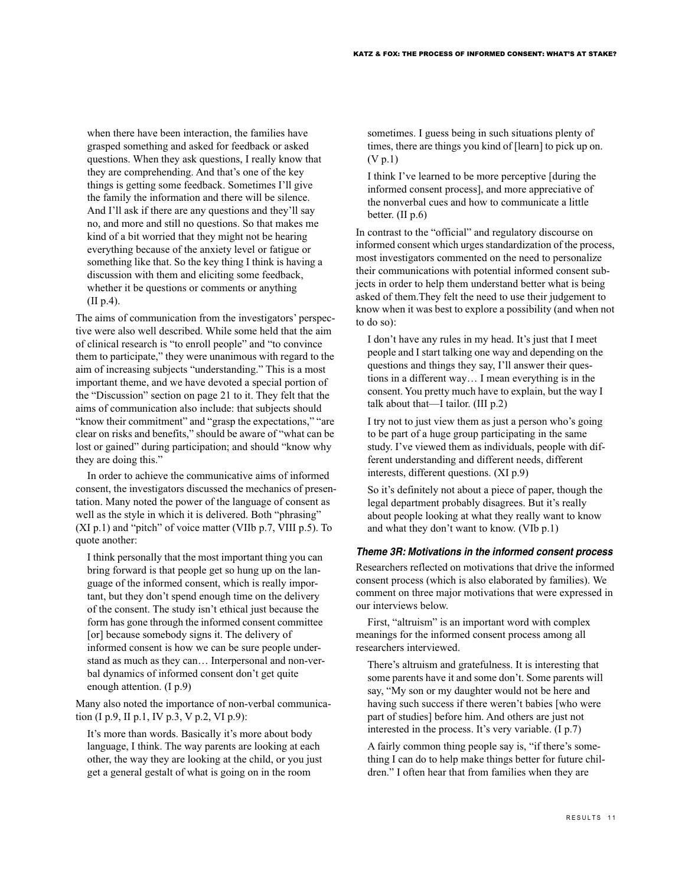when there have been interaction, the families have grasped something and asked for feedback or asked questions. When they ask questions, I really know that they are comprehending. And that's one of the key things is getting some feedback. Sometimes I'll give the family the information and there will be silence. And I'll ask if there are any questions and they'll say no, and more and still no questions. So that makes me kind of a bit worried that they might not be hearing everything because of the anxiety level or fatigue or something like that. So the key thing I think is having a discussion with them and eliciting some feedback, whether it be questions or comments or anything (II p.4).

<span id="page-16-14"></span><span id="page-16-12"></span><span id="page-16-3"></span>The aims of communication from the investigators' perspective were also well described. While some held that the aim of clinical research is "to enroll people" and "to convince them to participate," they were unanimous with regard to the aim of increasing subjects "understanding." This is a most important theme, and we have devoted a special portion of the ["Discussion" section on page 21](#page-26-1) to it. They felt that the aims of communication also include: that subjects should "know their commitment" and "grasp the expectations," "are clear on risks and benefits," should be aware of "what can be lost or gained" during participation; and should "know why they are doing this."

In order to achieve the communicative aims of informed consent, the investigators discussed the mechanics of presentation. Many noted the power of the language of consent as well as the style in which it is delivered. Both "phrasing" (XI p.1) and "pitch" of voice matter (VIIb p.7, VIII p.5). To quote another:

I think personally that the most important thing you can bring forward is that people get so hung up on the language of the informed consent, which is really important, but they don't spend enough time on the delivery of the consent. The study isn't ethical just because the form has gone through the informed consent committee [or] because somebody signs it. The delivery of informed consent is how we can be sure people understand as much as they can… Interpersonal and non-verbal dynamics of informed consent don't get quite enough attention. (I p.9)

Many also noted the importance of non-verbal communication (I p.9, II p.1, IV p.3, V p.2, VI p.9):

<span id="page-16-6"></span>It's more than words. Basically it's more about body language, I think. The way parents are looking at each other, the way they are looking at the child, or you just get a general gestalt of what is going on in the room

sometimes. I guess being in such situations plenty of times, there are things you kind of [learn] to pick up on. (V p.1)

<span id="page-16-9"></span>I think I've learned to be more perceptive [during the informed consent process], and more appreciative of the nonverbal cues and how to communicate a little better. (II p.6)

In contrast to the "official" and regulatory discourse on informed consent which urges standardization of the process, most investigators commented on the need to personalize their communications with potential informed consent subjects in order to help them understand better what is being asked of them.They felt the need to use their judgement to know when it was best to explore a possibility (and when not to do so):

<span id="page-16-11"></span>I don't have any rules in my head. It's just that I meet people and I start talking one way and depending on the questions and things they say, I'll answer their questions in a different way… I mean everything is in the consent. You pretty much have to explain, but the way I talk about that—I tailor. (III p.2)

I try not to just view them as just a person who's going to be part of a huge group participating in the same study. I've viewed them as individuals, people with different understanding and different needs, different interests, different questions. (XI p.9)

<span id="page-16-5"></span><span id="page-16-4"></span>So it's definitely not about a piece of paper, though the legal department probably disagrees. But it's really about people looking at what they really want to know and what they don't want to know. (VIb p.1)

#### <span id="page-16-13"></span><span id="page-16-10"></span><span id="page-16-8"></span><span id="page-16-7"></span><span id="page-16-0"></span>*Theme 3R: Motivations in the informed consent process*

Researchers reflected on motivations that drive the informed consent process (which is also elaborated by families). We comment on three major motivations that were expressed in our interviews below.

<span id="page-16-1"></span>First, "altruism" is an important word with complex meanings for the informed consent process among all researchers interviewed.

There's altruism and gratefulness. It is interesting that some parents have it and some don't. Some parents will say, "My son or my daughter would not be here and having such success if there weren't babies [who were part of studies] before him. And others are just not interested in the process. It's very variable. (I p.7)

<span id="page-16-2"></span>A fairly common thing people say is, "if there's something I can do to help make things better for future children." I often hear that from families when they are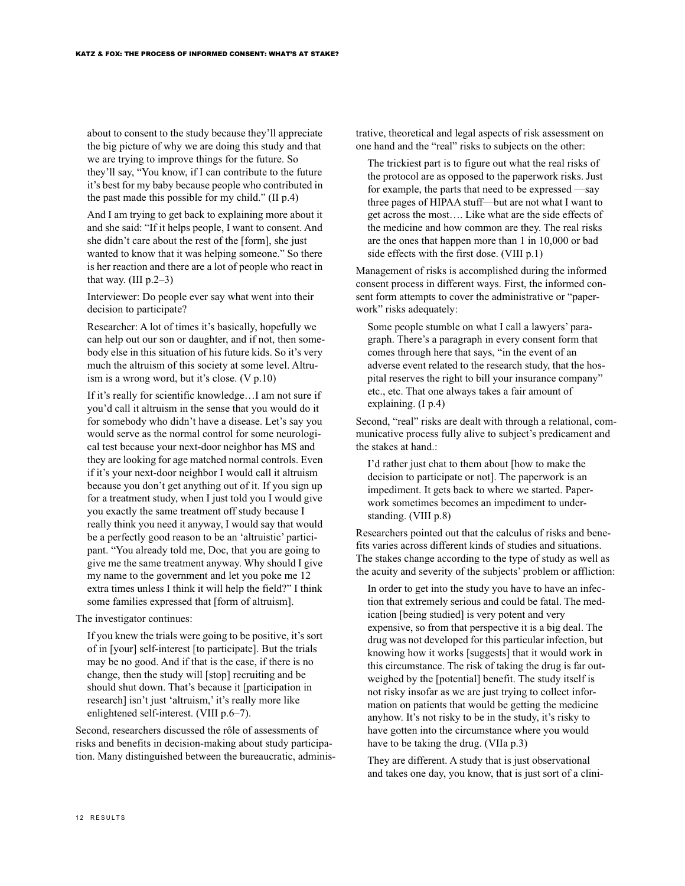about to consent to the study because they'll appreciate the big picture of why we are doing this study and that we are trying to improve things for the future. So they'll say, "You know, if I can contribute to the future it's best for my baby because people who contributed in the past made this possible for my child." (II p.4)

And I am trying to get back to explaining more about it and she said: "If it helps people, I want to consent. And she didn't care about the rest of the [form], she just wanted to know that it was helping someone." So there is her reaction and there are a lot of people who react in that way.  $(III p.2-3)$ 

Interviewer: Do people ever say what went into their decision to participate?

Researcher: A lot of times it's basically, hopefully we can help out our son or daughter, and if not, then somebody else in this situation of his future kids. So it's very much the altruism of this society at some level. Altruism is a wrong word, but it's close. (V p.10)

If it's really for scientific knowledge…I am not sure if you'd call it altruism in the sense that you would do it for somebody who didn't have a disease. Let's say you would serve as the normal control for some neurological test because your next-door neighbor has MS and they are looking for age matched normal controls. Even if it's your next-door neighbor I would call it altruism because you don't get anything out of it. If you sign up for a treatment study, when I just told you I would give you exactly the same treatment off study because I really think you need it anyway, I would say that would be a perfectly good reason to be an 'altruistic' participant. "You already told me, Doc, that you are going to give me the same treatment anyway. Why should I give my name to the government and let you poke me 12 extra times unless I think it will help the field?" I think some families expressed that [form of altruism].

<span id="page-17-1"></span>The investigator continues:

If you knew the trials were going to be positive, it's sort of in [your] self-interest [to participate]. But the trials may be no good. And if that is the case, if there is no change, then the study will [stop] recruiting and be should shut down. That's because it [participation in research] isn't just 'altruism,' it's really more like enlightened self-interest. (VIII p.6–7).

Second, researchers discussed the rôle of assessments of risks and benefits in decision-making about study participation. Many distinguished between the bureaucratic, administrative, theoretical and legal aspects of risk assessment on one hand and the "real" risks to subjects on the other:

<span id="page-17-4"></span><span id="page-17-2"></span>The trickiest part is to figure out what the real risks of the protocol are as opposed to the paperwork risks. Just for example, the parts that need to be expressed —say three pages of HIPAA stuff—but are not what I want to get across the most…. Like what are the side effects of the medicine and how common are they. The real risks are the ones that happen more than 1 in 10,000 or bad side effects with the first dose. (VIII p.1)

Management of risks is accomplished during the informed consent process in different ways. First, the informed consent form attempts to cover the administrative or "paperwork" risks adequately:

Some people stumble on what I call a lawyers' paragraph. There's a paragraph in every consent form that comes through here that says, "in the event of an adverse event related to the research study, that the hospital reserves the right to bill your insurance company" etc., etc. That one always takes a fair amount of explaining. (I p.4)

Second, "real" risks are dealt with through a relational, communicative process fully alive to subject's predicament and the stakes at hand.:

I'd rather just chat to them about [how to make the decision to participate or not]. The paperwork is an impediment. It gets back to where we started. Paperwork sometimes becomes an impediment to understanding. (VIII p.8)

Researchers pointed out that the calculus of risks and benefits varies across different kinds of studies and situations. The stakes change according to the type of study as well as the acuity and severity of the subjects' problem or affliction:

<span id="page-17-0"></span>In order to get into the study you have to have an infection that extremely serious and could be fatal. The medication [being studied] is very potent and very expensive, so from that perspective it is a big deal. The drug was not developed for this particular infection, but knowing how it works [suggests] that it would work in this circumstance. The risk of taking the drug is far outweighed by the [potential] benefit. The study itself is not risky insofar as we are just trying to collect information on patients that would be getting the medicine anyhow. It's not risky to be in the study, it's risky to have gotten into the circumstance where you would have to be taking the drug. (VIIa p.3)

<span id="page-17-5"></span><span id="page-17-3"></span>They are different. A study that is just observational and takes one day, you know, that is just sort of a clini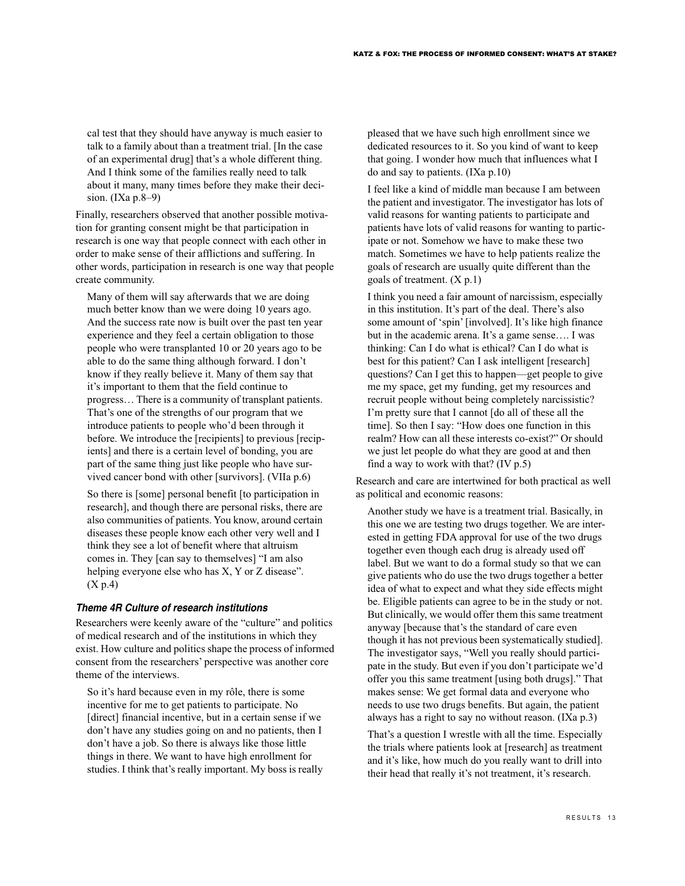cal test that they should have anyway is much easier to talk to a family about than a treatment trial. [In the case of an experimental drug] that's a whole different thing. And I think some of the families really need to talk about it many, many times before they make their decision. (IXa p.8–9)

Finally, researchers observed that another possible motivation for granting consent might be that participation in research is one way that people connect with each other in order to make sense of their afflictions and suffering. In other words, participation in research is one way that people create community.

Many of them will say afterwards that we are doing much better know than we were doing 10 years ago. And the success rate now is built over the past ten year experience and they feel a certain obligation to those people who were transplanted 10 or 20 years ago to be able to do the same thing although forward. I don't know if they really believe it. Many of them say that it's important to them that the field continue to progress… There is a community of transplant patients. That's one of the strengths of our program that we introduce patients to people who'd been through it before. We introduce the [recipients] to previous [recipients] and there is a certain level of bonding, you are part of the same thing just like people who have survived cancer bond with other [survivors]. (VIIa p.6)

So there is [some] personal benefit [to participation in research], and though there are personal risks, there are also communities of patients. You know, around certain diseases these people know each other very well and I think they see a lot of benefit where that altruism comes in. They [can say to themselves] "I am also helping everyone else who has X, Y or Z disease". (X p.4)

#### <span id="page-18-8"></span><span id="page-18-6"></span><span id="page-18-3"></span><span id="page-18-1"></span><span id="page-18-0"></span>*Theme 4R Culture of research institutions*

Researchers were keenly aware of the "culture" and politics of medical research and of the institutions in which they exist. How culture and politics shape the process of informed consent from the researchers' perspective was another core theme of the interviews.

So it's hard because even in my rôle, there is some incentive for me to get patients to participate. No [direct] financial incentive, but in a certain sense if we don't have any studies going on and no patients, then I don't have a job. So there is always like those little things in there. We want to have high enrollment for studies. I think that's really important. My boss is really pleased that we have such high enrollment since we dedicated resources to it. So you kind of want to keep that going. I wonder how much that influences what I do and say to patients. (IXa p.10)

<span id="page-18-5"></span>I feel like a kind of middle man because I am between the patient and investigator. The investigator has lots of valid reasons for wanting patients to participate and patients have lots of valid reasons for wanting to participate or not. Somehow we have to make these two match. Sometimes we have to help patients realize the goals of research are usually quite different than the goals of treatment. (X p.1)

<span id="page-18-7"></span><span id="page-18-4"></span>I think you need a fair amount of narcissism, especially in this institution. It's part of the deal. There's also some amount of 'spin' [involved]. It's like high finance but in the academic arena. It's a game sense…. I was thinking: Can I do what is ethical? Can I do what is best for this patient? Can I ask intelligent [research] questions? Can I get this to happen—get people to give me my space, get my funding, get my resources and recruit people without being completely narcissistic? I'm pretty sure that I cannot [do all of these all the time]. So then I say: "How does one function in this realm? How can all these interests co-exist?" Or should we just let people do what they are good at and then find a way to work with that? (IV p.5)

Research and care are intertwined for both practical as well as political and economic reasons:

<span id="page-18-2"></span>Another study we have is a treatment trial. Basically, in this one we are testing two drugs together. We are interested in getting FDA approval for use of the two drugs together even though each drug is already used off label. But we want to do a formal study so that we can give patients who do use the two drugs together a better idea of what to expect and what they side effects might be. Eligible patients can agree to be in the study or not. But clinically, we would offer them this same treatment anyway [because that's the standard of care even though it has not previous been systematically studied]. The investigator says, "Well you really should participate in the study. But even if you don't participate we'd offer you this same treatment [using both drugs]." That makes sense: We get formal data and everyone who needs to use two drugs benefits. But again, the patient always has a right to say no without reason. (IXa p.3)

That's a question I wrestle with all the time. Especially the trials where patients look at [research] as treatment and it's like, how much do you really want to drill into their head that really it's not treatment, it's research.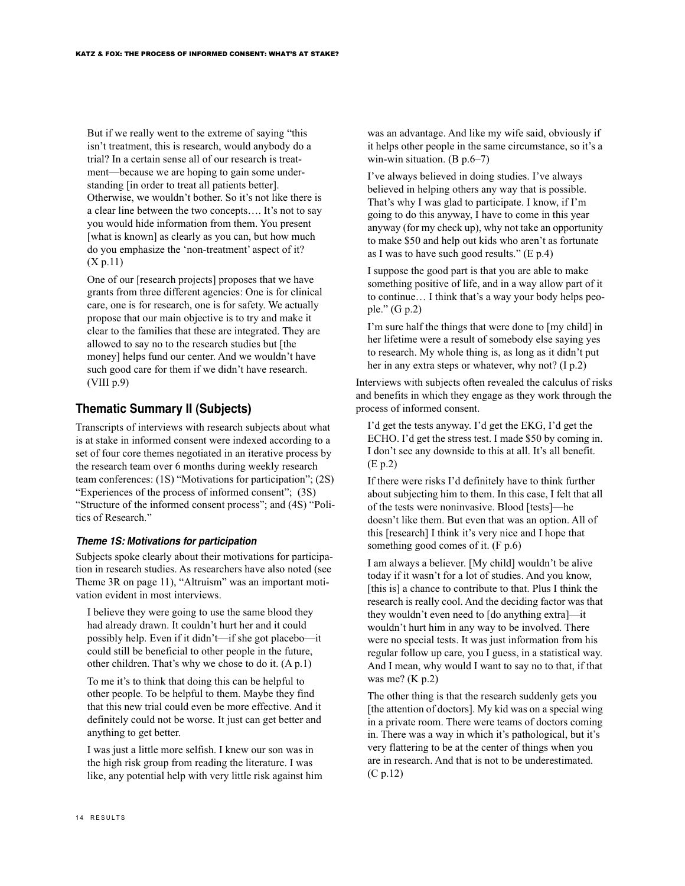But if we really went to the extreme of saying "this isn't treatment, this is research, would anybody do a trial? In a certain sense all of our research is treatment—because we are hoping to gain some understanding [in order to treat all patients better]. Otherwise, we wouldn't bother. So it's not like there is a clear line between the two concepts…. It's not to say you would hide information from them. You present [what is known] as clearly as you can, but how much do you emphasize the 'non-treatment' aspect of it? (X p.11)

One of our [research projects] proposes that we have grants from three different agencies: One is for clinical care, one is for research, one is for safety. We actually propose that our main objective is to try and make it clear to the families that these are integrated. They are allowed to say no to the research studies but [the money] helps fund our center. And we wouldn't have such good care for them if we didn't have research. (VIII p.9)

## <span id="page-19-9"></span><span id="page-19-7"></span><span id="page-19-4"></span><span id="page-19-0"></span>**Thematic Summary II (Subjects)**

<span id="page-19-11"></span>Transcripts of interviews with research subjects about what is at stake in informed consent were indexed according to a set of four core themes negotiated in an iterative process by the research team over 6 months during weekly research team conferences: (1S) "Motivations for participation"; (2S) "Experiences of the process of informed consent"; (3S) "Structure of the informed consent process"; and (4S) "Politics of Research."

#### <span id="page-19-10"></span><span id="page-19-6"></span><span id="page-19-5"></span><span id="page-19-1"></span>*Theme 1S: Motivations for participation*

Subjects spoke clearly about their motivations for participation in research studies. As researchers have also noted (see Theme 3R on [page 11](#page-16-0)), "Altruism" was an important motivation evident in most interviews.

<span id="page-19-2"></span>I believe they were going to use the same blood they had already drawn. It couldn't hurt her and it could possibly help. Even if it didn't—if she got placebo—it could still be beneficial to other people in the future, other children. That's why we chose to do it. (A p.1)

<span id="page-19-3"></span>To me it's to think that doing this can be helpful to other people. To be helpful to them. Maybe they find that this new trial could even be more effective. And it definitely could not be worse. It just can get better and anything to get better.

I was just a little more selfish. I knew our son was in the high risk group from reading the literature. I was like, any potential help with very little risk against him was an advantage. And like my wife said, obviously if it helps other people in the same circumstance, so it's a win-win situation.  $(B p.6-7)$ 

I've always believed in doing studies. I've always believed in helping others any way that is possible. That's why I was glad to participate. I know, if I'm going to do this anyway, I have to come in this year anyway (for my check up), why not take an opportunity to make \$50 and help out kids who aren't as fortunate as I was to have such good results." (E p.4)

I suppose the good part is that you are able to make something positive of life, and in a way allow part of it to continue… I think that's a way your body helps people." (G p.2)

I'm sure half the things that were done to [my child] in her lifetime were a result of somebody else saying yes to research. My whole thing is, as long as it didn't put her in any extra steps or whatever, why not? (I p.2)

Interviews with subjects often revealed the calculus of risks and benefits in which they engage as they work through the process of informed consent.

<span id="page-19-8"></span>I'd get the tests anyway. I'd get the EKG, I'd get the ECHO. I'd get the stress test. I made \$50 by coming in. I don't see any downside to this at all. It's all benefit. (E p.2)

If there were risks I'd definitely have to think further about subjecting him to them. In this case, I felt that all of the tests were noninvasive. Blood [tests]—he doesn't like them. But even that was an option. All of this [research] I think it's very nice and I hope that something good comes of it. (F p.6)

I am always a believer. [My child] wouldn't be alive today if it wasn't for a lot of studies. And you know, [this is] a chance to contribute to that. Plus I think the research is really cool. And the deciding factor was that they wouldn't even need to [do anything extra]—it wouldn't hurt him in any way to be involved. There were no special tests. It was just information from his regular follow up care, you I guess, in a statistical way. And I mean, why would I want to say no to that, if that was me? (K p.2)

The other thing is that the research suddenly gets you [the attention of doctors]. My kid was on a special wing in a private room. There were teams of doctors coming in. There was a way in which it's pathological, but it's very flattering to be at the center of things when you are in research. And that is not to be underestimated. (C p.12)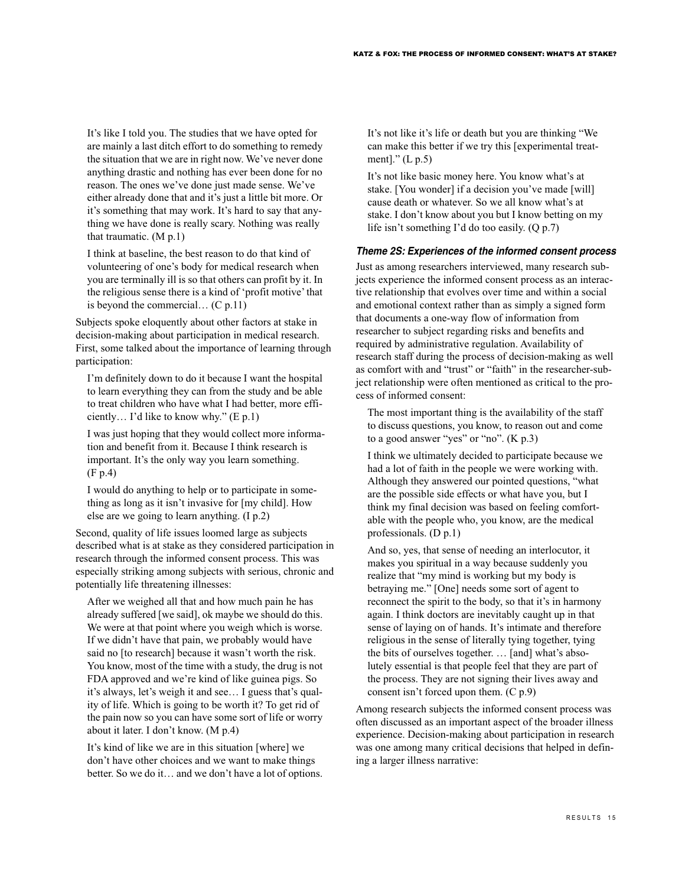It's like I told you. The studies that we have opted for are mainly a last ditch effort to do something to remedy the situation that we are in right now. We've never done anything drastic and nothing has ever been done for no reason. The ones we've done just made sense. We've either already done that and it's just a little bit more. Or it's something that may work. It's hard to say that anything we have done is really scary. Nothing was really that traumatic. (M p.1)

I think at baseline, the best reason to do that kind of volunteering of one's body for medical research when you are terminally ill is so that others can profit by it. In the religious sense there is a kind of 'profit motive' that is beyond the commercial… (C p.11)

<span id="page-20-13"></span>Subjects spoke eloquently about other factors at stake in decision-making about participation in medical research. First, some talked about the importance of learning through participation:

I'm definitely down to do it because I want the hospital to learn everything they can from the study and be able to treat children who have what I had better, more efficiently… I'd like to know why." (E p.1)

I was just hoping that they would collect more information and benefit from it. Because I think research is important. It's the only way you learn something. (F p.4)

I would do anything to help or to participate in something as long as it isn't invasive for [my child]. How else are we going to learn anything. (I p.2)

<span id="page-20-12"></span>Second, quality of life issues loomed large as subjects described what is at stake as they considered participation in research through the informed consent process. This was especially striking among subjects with serious, chronic and potentially life threatening illnesses:

<span id="page-20-3"></span>After we weighed all that and how much pain he has already suffered [we said], ok maybe we should do this. We were at that point where you weigh which is worse. If we didn't have that pain, we probably would have said no [to research] because it wasn't worth the risk. You know, most of the time with a study, the drug is not FDA approved and we're kind of like guinea pigs. So it's always, let's weigh it and see… I guess that's quality of life. Which is going to be worth it? To get rid of the pain now so you can have some sort of life or worry about it later. I don't know. (M p.4)

It's kind of like we are in this situation [where] we don't have other choices and we want to make things better. So we do it… and we don't have a lot of options. It's not like it's life or death but you are thinking "We can make this better if we try this [experimental treatment]."  $(L p.5)$ 

<span id="page-20-23"></span>It's not like basic money here. You know what's at stake. [You wonder] if a decision you've made [will] cause death or whatever. So we all know what's at stake. I don't know about you but I know betting on my life isn't something I'd do too easily. (Q p.7)

#### <span id="page-20-22"></span><span id="page-20-14"></span><span id="page-20-9"></span><span id="page-20-6"></span><span id="page-20-5"></span><span id="page-20-0"></span>*Theme 2S: Experiences of the informed consent process*

<span id="page-20-21"></span><span id="page-20-20"></span><span id="page-20-16"></span><span id="page-20-8"></span><span id="page-20-2"></span>Just as among researchers interviewed, many research subjects experience the informed consent process as an interactive relationship that evolves over time and within a social and emotional context rather than as simply a signed form that documents a one-way flow of information from researcher to subject regarding risks and benefits and required by administrative regulation. Availability of research staff during the process of decision-making as well as comfort with and "trust" or "faith" in the researcher-subject relationship were often mentioned as critical to the process of informed consent:

<span id="page-20-24"></span><span id="page-20-19"></span><span id="page-20-18"></span><span id="page-20-1"></span>The most important thing is the availability of the staff to discuss questions, you know, to reason out and come to a good answer "yes" or "no". (K p.3)

I think we ultimately decided to participate because we had a lot of faith in the people we were working with. Although they answered our pointed questions, "what are the possible side effects or what have you, but I think my final decision was based on feeling comfortable with the people who, you know, are the medical professionals. (D p.1)

<span id="page-20-17"></span><span id="page-20-10"></span><span id="page-20-7"></span>And so, yes, that sense of needing an interlocutor, it makes you spiritual in a way because suddenly you realize that "my mind is working but my body is betraying me." [One] needs some sort of agent to reconnect the spirit to the body, so that it's in harmony again. I think doctors are inevitably caught up in that sense of laying on of hands. It's intimate and therefore religious in the sense of literally tying together, tying the bits of ourselves together. … [and] what's absolutely essential is that people feel that they are part of the process. They are not signing their lives away and consent isn't forced upon them. (C p.9)

<span id="page-20-15"></span><span id="page-20-11"></span><span id="page-20-4"></span>Among research subjects the informed consent process was often discussed as an important aspect of the broader illness experience. Decision-making about participation in research was one among many critical decisions that helped in defining a larger illness narrative: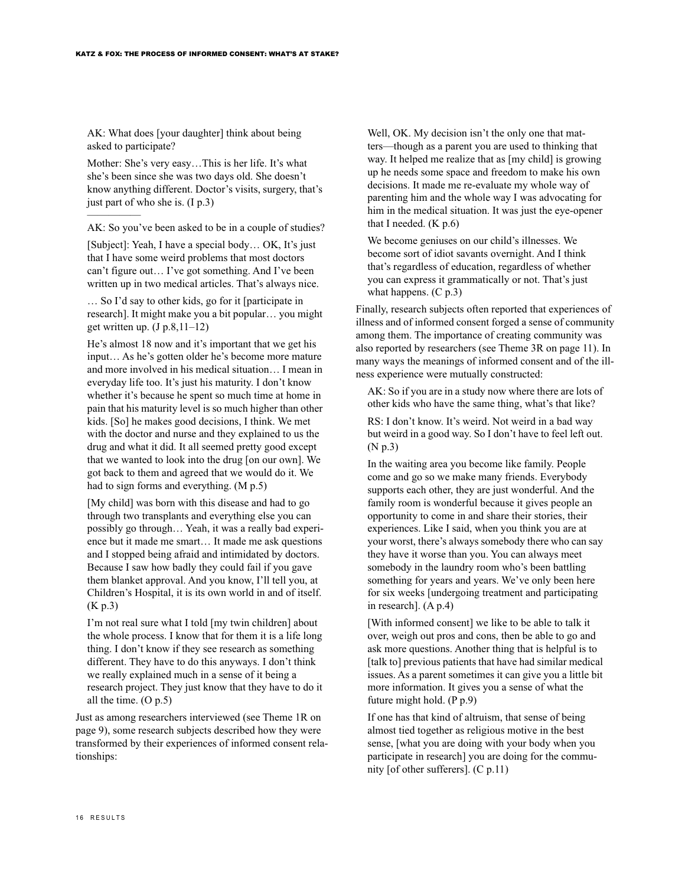AK: What does [your daughter] think about being asked to participate?

Mother: She's very easy…This is her life. It's what she's been since she was two days old. She doesn't know anything different. Doctor's visits, surgery, that's just part of who she is. (I p.3)

AK: So you've been asked to be in a couple of studies?

—————

[Subject]: Yeah, I have a special body… OK, It's just that I have some weird problems that most doctors can't figure out… I've got something. And I've been written up in two medical articles. That's always nice.

… So I'd say to other kids, go for it [participate in research]. It might make you a bit popular… you might get written up.  $(J p.8, 11-12)$ 

He's almost 18 now and it's important that we get his input… As he's gotten older he's become more mature and more involved in his medical situation… I mean in everyday life too. It's just his maturity. I don't know whether it's because he spent so much time at home in pain that his maturity level is so much higher than other kids. [So] he makes good decisions, I think. We met with the doctor and nurse and they explained to us the drug and what it did. It all seemed pretty good except that we wanted to look into the drug [on our own]. We got back to them and agreed that we would do it. We had to sign forms and everything. (M p.5)

[My child] was born with this disease and had to go through two transplants and everything else you can possibly go through… Yeah, it was a really bad experience but it made me smart… It made me ask questions and I stopped being afraid and intimidated by doctors. Because I saw how badly they could fail if you gave them blanket approval. And you know, I'll tell you, at Children's Hospital, it is its own world in and of itself. (K p.3)

I'm not real sure what I told [my twin children] about the whole process. I know that for them it is a life long thing. I don't know if they see research as something different. They have to do this anyways. I don't think we really explained much in a sense of it being a research project. They just know that they have to do it all the time. (O p.5)

Just as among researchers interviewed (see Theme 1R on [page 9\)](#page-14-3), some research subjects described how they were transformed by their experiences of informed consent relationships:

Well, OK. My decision isn't the only one that matters—though as a parent you are used to thinking that way. It helped me realize that as [my child] is growing up he needs some space and freedom to make his own decisions. It made me re-evaluate my whole way of parenting him and the whole way I was advocating for him in the medical situation. It was just the eye-opener that I needed.  $(K p.6)$ 

We become geniuses on our child's illnesses. We become sort of idiot savants overnight. And I think that's regardless of education, regardless of whether you can express it grammatically or not. That's just what happens. (C p.3)

<span id="page-21-2"></span><span id="page-21-0"></span>Finally, research subjects often reported that experiences of illness and of informed consent forged a sense of community among them. The importance of creating community was also reported by researchers (see Theme 3R on [page 11](#page-16-0)). In many ways the meanings of informed consent and of the illness experience were mutually constructed:

AK: So if you are in a study now where there are lots of other kids who have the same thing, what's that like?

RS: I don't know. It's weird. Not weird in a bad way but weird in a good way. So I don't have to feel left out. (N p.3)

In the waiting area you become like family. People come and go so we make many friends. Everybody supports each other, they are just wonderful. And the family room is wonderful because it gives people an opportunity to come in and share their stories, their experiences. Like I said, when you think you are at your worst, there's always somebody there who can say they have it worse than you. You can always meet somebody in the laundry room who's been battling something for years and years. We've only been here for six weeks [undergoing treatment and participating in research]. (A p.4)

[With informed consent] we like to be able to talk it over, weigh out pros and cons, then be able to go and ask more questions. Another thing that is helpful is to [talk to] previous patients that have had similar medical issues. As a parent sometimes it can give you a little bit more information. It gives you a sense of what the future might hold. (P p.9)

<span id="page-21-1"></span>If one has that kind of altruism, that sense of being almost tied together as religious motive in the best sense, [what you are doing with your body when you participate in research] you are doing for the community [of other sufferers]. (C p.11)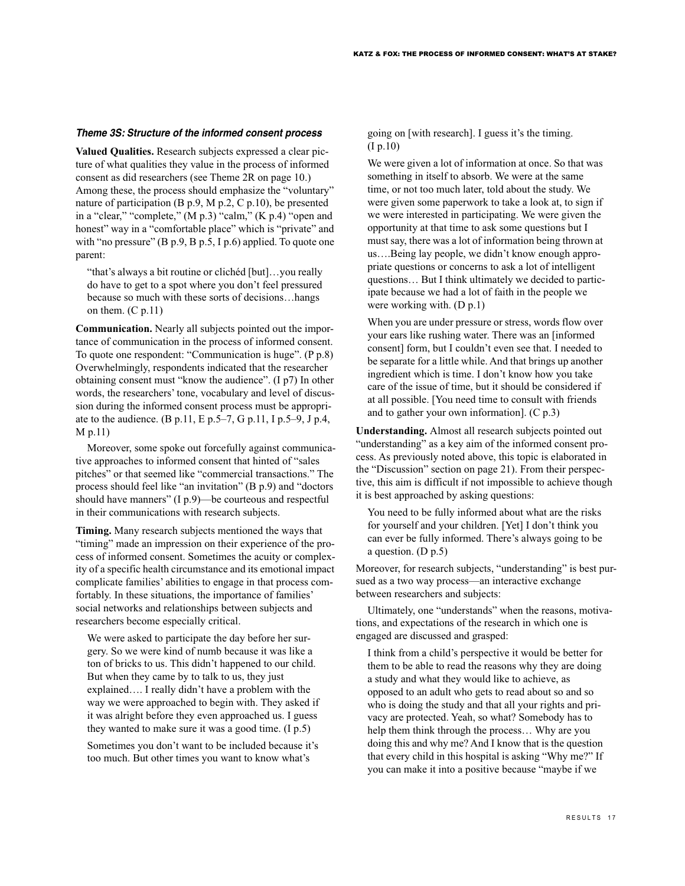#### <span id="page-22-17"></span><span id="page-22-14"></span><span id="page-22-5"></span><span id="page-22-0"></span>*Theme 3S: Structure of the informed consent process*

<span id="page-22-18"></span><span id="page-22-8"></span>**Valued Qualities.** Research subjects expressed a clear picture of what qualities they value in the process of informed consent as did researchers (see Theme 2R on [page 10](#page-15-0).) Among these, the process should emphasize the "voluntary" nature of participation (B p.9, M p.2, C p.10), be presented in a "clear," "complete," (M p.3) "calm," (K p.4) "open and honest" way in a "comfortable place" which is "private" and with "no pressure" (B p.9, B p.5, I p.6) applied. To quote one parent:

<span id="page-22-10"></span>"that's always a bit routine or clichéd [but]…you really do have to get to a spot where you don't feel pressured because so much with these sorts of decisions…hangs on them. (C p.11)

<span id="page-22-2"></span>**Communication.** Nearly all subjects pointed out the importance of communication in the process of informed consent. To quote one respondent: "Communication is huge". (P p.8) Overwhelmingly, respondents indicated that the researcher obtaining consent must "know the audience". (I p7) In other words, the researchers' tone, vocabulary and level of discussion during the informed consent process must be appropriate to the audience. (B p.11, E p.5–7, G p.11, I p.5–9, J p.4, M p.11)

Moreover, some spoke out forcefully against communicative approaches to informed consent that hinted of "sales pitches" or that seemed like "commercial transactions." The process should feel like "an invitation" (B p.9) and "doctors should have manners" (I p.9)—be courteous and respectful in their communications with research subjects.

<span id="page-22-12"></span><span id="page-22-6"></span><span id="page-22-4"></span>**Timing.** Many research subjects mentioned the ways that "timing" made an impression on their experience of the process of informed consent. Sometimes the acuity or complexity of a specific health circumstance and its emotional impact complicate families' abilities to engage in that process comfortably. In these situations, the importance of families' social networks and relationships between subjects and researchers become especially critical.

<span id="page-22-16"></span>We were asked to participate the day before her surgery. So we were kind of numb because it was like a ton of bricks to us. This didn't happened to our child. But when they came by to talk to us, they just explained…. I really didn't have a problem with the way we were approached to begin with. They asked if it was alright before they even approached us. I guess they wanted to make sure it was a good time. (I p.5)

Sometimes you don't want to be included because it's too much. But other times you want to know what's

going on [with research]. I guess it's the timing. (I p.10)

<span id="page-22-9"></span>We were given a lot of information at once. So that was something in itself to absorb. We were at the same time, or not too much later, told about the study. We were given some paperwork to take a look at, to sign if we were interested in participating. We were given the opportunity at that time to ask some questions but I must say, there was a lot of information being thrown at us….Being lay people, we didn't know enough appropriate questions or concerns to ask a lot of intelligent questions… But I think ultimately we decided to participate because we had a lot of faith in the people we were working with. (D p.1)

When you are under pressure or stress, words flow over your ears like rushing water. There was an [informed consent] form, but I couldn't even see that. I needed to be separate for a little while. And that brings up another ingredient which is time. I don't know how you take care of the issue of time, but it should be considered if at all possible. [You need time to consult with friends and to gather your own information]. (C p.3)

<span id="page-22-15"></span><span id="page-22-13"></span><span id="page-22-7"></span>**Understanding.** Almost all research subjects pointed out "understanding" as a key aim of the informed consent process. As previously noted above, this topic is elaborated in the ["Discussion" section on page 21](#page-26-1)). From their perspective, this aim is difficult if not impossible to achieve though it is best approached by asking questions:

<span id="page-22-1"></span>You need to be fully informed about what are the risks for yourself and your children. [Yet] I don't think you can ever be fully informed. There's always going to be a question. (D p.5)

<span id="page-22-3"></span>Moreover, for research subjects, "understanding" is best pursued as a two way process—an interactive exchange between researchers and subjects:

<span id="page-22-11"></span>Ultimately, one "understands" when the reasons, motivations, and expectations of the research in which one is engaged are discussed and grasped:

I think from a child's perspective it would be better for them to be able to read the reasons why they are doing a study and what they would like to achieve, as opposed to an adult who gets to read about so and so who is doing the study and that all your rights and privacy are protected. Yeah, so what? Somebody has to help them think through the process… Why are you doing this and why me? And I know that is the question that every child in this hospital is asking "Why me?" If you can make it into a positive because "maybe if we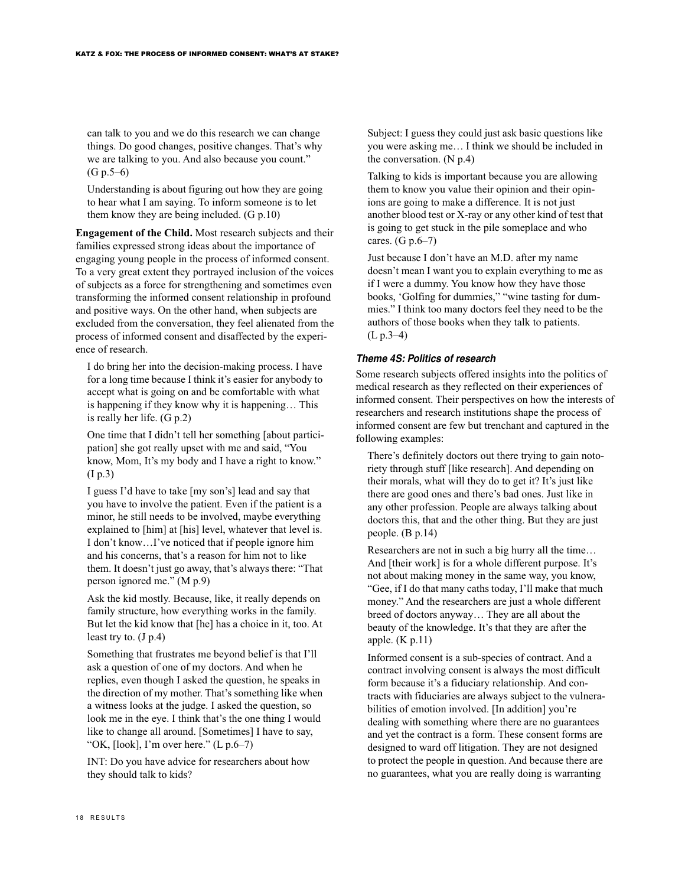can talk to you and we do this research we can change things. Do good changes, positive changes. That's why we are talking to you. And also because you count."  $(G p.5–6)$ 

Understanding is about figuring out how they are going to hear what I am saying. To inform someone is to let them know they are being included. (G p.10)

<span id="page-23-12"></span><span id="page-23-3"></span><span id="page-23-2"></span>**Engagement of the Child.** Most research subjects and their families expressed strong ideas about the importance of engaging young people in the process of informed consent. To a very great extent they portrayed inclusion of the voices of subjects as a force for strengthening and sometimes even transforming the informed consent relationship in profound and positive ways. On the other hand, when subjects are excluded from the conversation, they feel alienated from the process of informed consent and disaffected by the experience of research.

<span id="page-23-1"></span>I do bring her into the decision-making process. I have for a long time because I think it's easier for anybody to accept what is going on and be comfortable with what is happening if they know why it is happening… This is really her life. (G p.2)

One time that I didn't tell her something [about participation] she got really upset with me and said, "You know, Mom, It's my body and I have a right to know." (I p.3)

I guess I'd have to take [my son's] lead and say that you have to involve the patient. Even if the patient is a minor, he still needs to be involved, maybe everything explained to [him] at [his] level, whatever that level is. I don't know…I've noticed that if people ignore him and his concerns, that's a reason for him not to like them. It doesn't just go away, that's always there: "That person ignored me." (M p.9)

<span id="page-23-4"></span>Ask the kid mostly. Because, like, it really depends on family structure, how everything works in the family. But let the kid know that [he] has a choice in it, too. At least try to. (J p.4)

Something that frustrates me beyond belief is that I'll ask a question of one of my doctors. And when he replies, even though I asked the question, he speaks in the direction of my mother. That's something like when a witness looks at the judge. I asked the question, so look me in the eye. I think that's the one thing I would like to change all around. [Sometimes] I have to say, "OK,  $[look]$ , I'm over here." (L p.6–7)

INT: Do you have advice for researchers about how they should talk to kids?

Subject: I guess they could just ask basic questions like you were asking me… I think we should be included in the conversation.  $(N p.4)$ 

<span id="page-23-16"></span>Talking to kids is important because you are allowing them to know you value their opinion and their opinions are going to make a difference. It is not just another blood test or X-ray or any other kind of test that is going to get stuck in the pile someplace and who cares.  $(G p.6-7)$ 

<span id="page-23-11"></span>Just because I don't have an M.D. after my name doesn't mean I want you to explain everything to me as if I were a dummy. You know how they have those books, 'Golfing for dummies," "wine tasting for dummies." I think too many doctors feel they need to be the authors of those books when they talk to patients. (L p.3–4)

#### <span id="page-23-15"></span><span id="page-23-14"></span><span id="page-23-13"></span><span id="page-23-10"></span><span id="page-23-7"></span><span id="page-23-6"></span><span id="page-23-0"></span>*Theme 4S: Politics of research*

<span id="page-23-9"></span><span id="page-23-8"></span><span id="page-23-5"></span>Some research subjects offered insights into the politics of medical research as they reflected on their experiences of informed consent. Their perspectives on how the interests of researchers and research institutions shape the process of informed consent are few but trenchant and captured in the following examples:

There's definitely doctors out there trying to gain notoriety through stuff [like research]. And depending on their morals, what will they do to get it? It's just like there are good ones and there's bad ones. Just like in any other profession. People are always talking about doctors this, that and the other thing. But they are just people. (B p.14)

Researchers are not in such a big hurry all the time… And [their work] is for a whole different purpose. It's not about making money in the same way, you know, "Gee, if I do that many caths today, I'll make that much money." And the researchers are just a whole different breed of doctors anyway… They are all about the beauty of the knowledge. It's that they are after the apple. (K p.11)

Informed consent is a sub-species of contract. And a contract involving consent is always the most difficult form because it's a fiduciary relationship. And contracts with fiduciaries are always subject to the vulnerabilities of emotion involved. [In addition] you're dealing with something where there are no guarantees and yet the contract is a form. These consent forms are designed to ward off litigation. They are not designed to protect the people in question. And because there are no guarantees, what you are really doing is warranting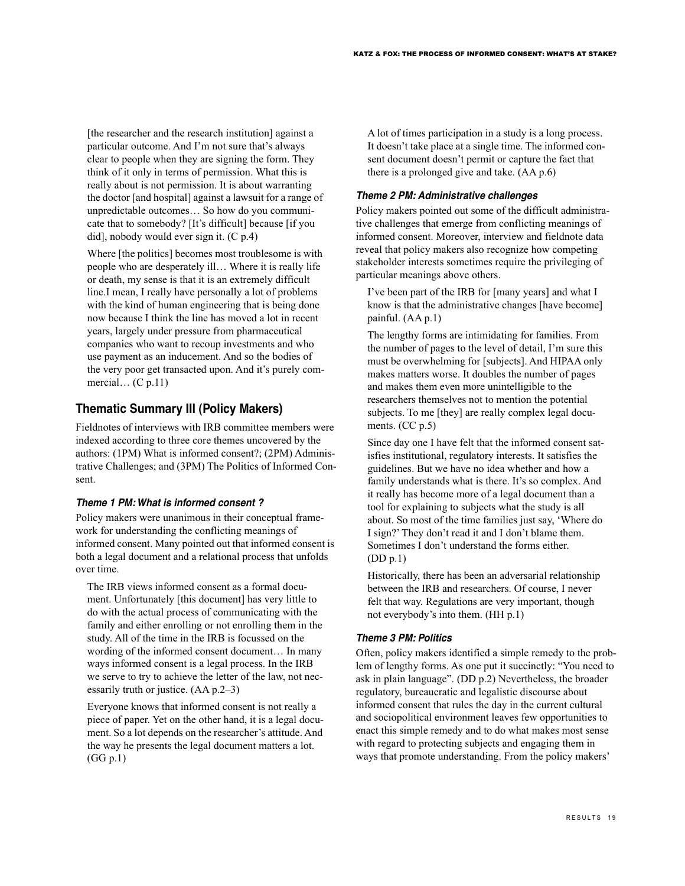<span id="page-24-19"></span>[the researcher and the research institution] against a particular outcome. And I'm not sure that's always clear to people when they are signing the form. They think of it only in terms of permission. What this is really about is not permission. It is about warranting the doctor [and hospital] against a lawsuit for a range of unpredictable outcomes… So how do you communicate that to somebody? [It's difficult] because [if you did], nobody would ever sign it. (C p.4)

<span id="page-24-6"></span>Where [the politics] becomes most troublesome is with people who are desperately ill… Where it is really life or death, my sense is that it is an extremely difficult line.I mean, I really have personally a lot of problems with the kind of human engineering that is being done now because I think the line has moved a lot in recent years, largely under pressure from pharmaceutical companies who want to recoup investments and who use payment as an inducement. And so the bodies of the very poor get transacted upon. And it's purely commercial... $(C p.11)$ 

## <span id="page-24-28"></span><span id="page-24-27"></span><span id="page-24-25"></span><span id="page-24-18"></span><span id="page-24-16"></span><span id="page-24-10"></span><span id="page-24-0"></span>**Thematic Summary III (Policy Makers)**

<span id="page-24-15"></span><span id="page-24-14"></span>Fieldnotes of interviews with IRB committee members were indexed according to three core themes uncovered by the authors: (1PM) What is informed consent?; (2PM) Administrative Challenges; and (3PM) The Politics of Informed Consent.

#### <span id="page-24-26"></span><span id="page-24-9"></span><span id="page-24-1"></span>*Theme 1 PM: What is informed consent ?*

<span id="page-24-8"></span>Policy makers were unanimous in their conceptual framework for understanding the conflicting meanings of informed consent. Many pointed out that informed consent is both a legal document and a relational process that unfolds over time.

<span id="page-24-13"></span>The IRB views informed consent as a formal document. Unfortunately [this document] has very little to do with the actual process of communicating with the family and either enrolling or not enrolling them in the study. All of the time in the IRB is focussed on the wording of the informed consent document… In many ways informed consent is a legal process. In the IRB we serve to try to achieve the letter of the law, not necessarily truth or justice. (AA p.2–3)

<span id="page-24-20"></span>Everyone knows that informed consent is not really a piece of paper. Yet on the other hand, it is a legal document. So a lot depends on the researcher's attitude. And the way he presents the legal document matters a lot. (GG p.1)

A lot of times participation in a study is a long process. It doesn't take place at a single time. The informed consent document doesn't permit or capture the fact that there is a prolonged give and take. (AA p.6)

#### <span id="page-24-24"></span><span id="page-24-7"></span><span id="page-24-2"></span>*Theme 2 PM: Administrative challenges*

<span id="page-24-22"></span>Policy makers pointed out some of the difficult administrative challenges that emerge from conflicting meanings of informed consent. Moreover, interview and fieldnote data reveal that policy makers also recognize how competing stakeholder interests sometimes require the privileging of particular meanings above others.

<span id="page-24-23"></span><span id="page-24-12"></span>I've been part of the IRB for [many years] and what I know is that the administrative changes [have become] painful. (AA p.1)

<span id="page-24-5"></span><span id="page-24-4"></span>The lengthy forms are intimidating for families. From the number of pages to the level of detail, I'm sure this must be overwhelming for [subjects]. And HIPAA only makes matters worse. It doubles the number of pages and makes them even more unintelligible to the researchers themselves not to mention the potential subjects. To me [they] are really complex legal documents. (CC p.5)

Since day one I have felt that the informed consent satisfies institutional, regulatory interests. It satisfies the guidelines. But we have no idea whether and how a family understands what is there. It's so complex. And it really has become more of a legal document than a tool for explaining to subjects what the study is all about. So most of the time families just say, 'Where do I sign?' They don't read it and I don't blame them. Sometimes I don't understand the forms either. (DD p.1)

<span id="page-24-21"></span><span id="page-24-17"></span>Historically, there has been an adversarial relationship between the IRB and researchers. Of course, I never felt that way. Regulations are very important, though not everybody's into them. (HH p.1)

#### <span id="page-24-29"></span><span id="page-24-3"></span>*Theme 3 PM: Politics*

<span id="page-24-11"></span>Often, policy makers identified a simple remedy to the problem of lengthy forms. As one put it succinctly: "You need to ask in plain language". (DD p.2) Nevertheless, the broader regulatory, bureaucratic and legalistic discourse about informed consent that rules the day in the current cultural and sociopolitical environment leaves few opportunities to enact this simple remedy and to do what makes most sense with regard to protecting subjects and engaging them in ways that promote understanding. From the policy makers'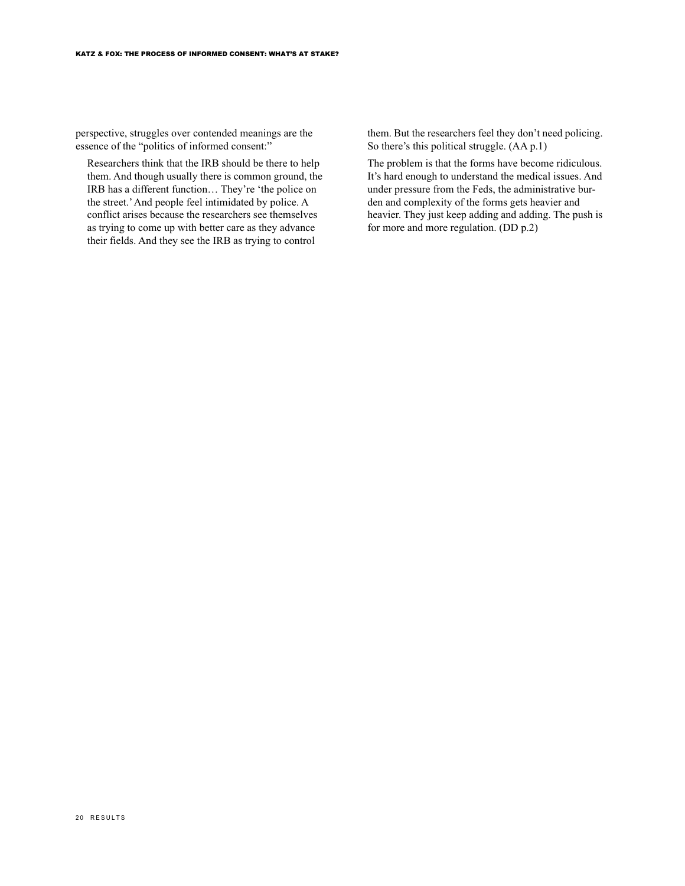perspective, struggles over contended meanings are the essence of the "politics of informed consent:"

Researchers think that the IRB should be there to help them. And though usually there is common ground, the IRB has a different function… They're 'the police on the street.' And people feel intimidated by police. A conflict arises because the researchers see themselves as trying to come up with better care as they advance their fields. And they see the IRB as trying to control

them. But the researchers feel they don't need policing. So there's this political struggle. (AA p.1)

<span id="page-25-1"></span><span id="page-25-0"></span>The problem is that the forms have become ridiculous. It's hard enough to understand the medical issues. And under pressure from the Feds, the administrative burden and complexity of the forms gets heavier and heavier. They just keep adding and adding. The push is for more and more regulation. (DD p.2)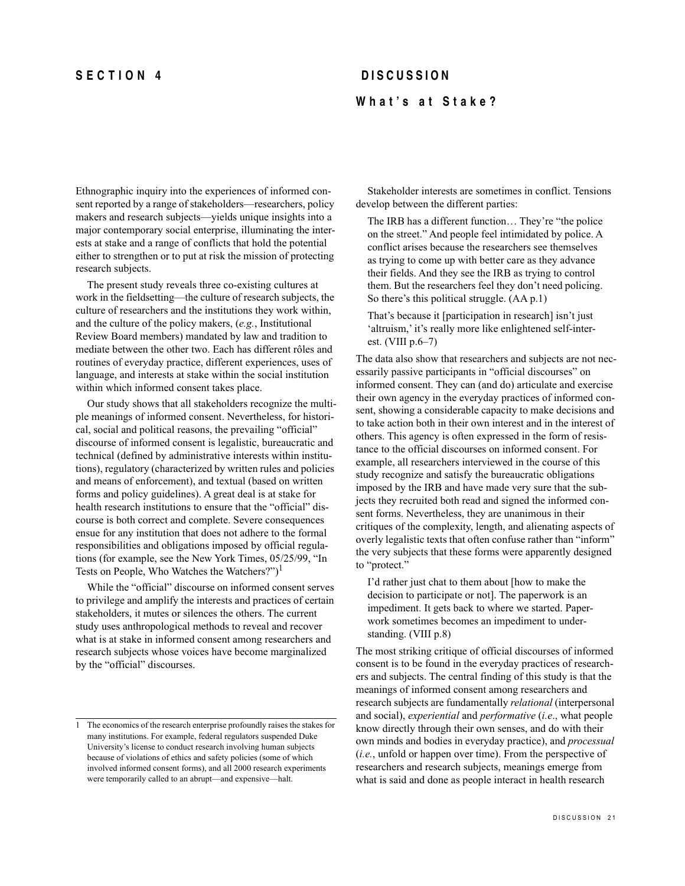## **SECTION 4 DI SCUSSION What's at Stake?**

<span id="page-26-22"></span><span id="page-26-9"></span>Ethnographic inquiry into the experiences of informed consent reported by a range of stakeholders—researchers, policy makers and research subjects—yields unique insights into a major contemporary social enterprise, illuminating the interests at stake and a range of conflicts that hold the potential either to strengthen or to put at risk the mission of protecting research subjects.

<span id="page-26-21"></span><span id="page-26-16"></span><span id="page-26-7"></span><span id="page-26-6"></span><span id="page-26-5"></span>The present study reveals three co-existing cultures at work in the fieldsetting—the culture of research subjects, the culture of researchers and the institutions they work within, and the culture of the policy makers, (*e.g.*, Institutional Review Board members) mandated by law and tradition to mediate between the other two. Each has different rôles and routines of everyday practice, different experiences, uses of language, and interests at stake within the social institution within which informed consent takes place.

<span id="page-26-10"></span>Our study shows that all stakeholders recognize the multiple meanings of informed consent. Nevertheless, for historical, social and political reasons, the prevailing "official" discourse of informed consent is legalistic, bureaucratic and technical (defined by administrative interests within institutions), regulatory (characterized by written rules and policies and means of enforcement), and textual (based on written forms and policy guidelines). A great deal is at stake for health research institutions to ensure that the "official" discourse is both correct and complete. Severe consequences ensue for any institution that does not adhere to the formal responsibilities and obligations imposed by official regulations (for example, see the New York Times, 05/25/99, "In Tests on People, Who Watches the Watchers?")<sup>1</sup>

<span id="page-26-13"></span><span id="page-26-4"></span>While the "official" discourse on informed consent serves to privilege and amplify the interests and practices of certain stakeholders, it mutes or silences the others. The current study uses anthropological methods to reveal and recover what is at stake in informed consent among researchers and research subjects whose voices have become marginalized by the "official" discourses.

<span id="page-26-23"></span><span id="page-26-8"></span><span id="page-26-1"></span><span id="page-26-0"></span>Stakeholder interests are sometimes in conflict. Tensions develop between the different parties:

<span id="page-26-15"></span>The IRB has a different function… They're "the police on the street." And people feel intimidated by police. A conflict arises because the researchers see themselves as trying to come up with better care as they advance their fields. And they see the IRB as trying to control them. But the researchers feel they don't need policing. So there's this political struggle. (AA p.1)

<span id="page-26-19"></span><span id="page-26-3"></span>That's because it [participation in research] isn't just 'altruism,' it's really more like enlightened self-interest. (VIII p.6–7)

<span id="page-26-20"></span><span id="page-26-17"></span><span id="page-26-12"></span><span id="page-26-2"></span>The data also show that researchers and subjects are not necessarily passive participants in "official discourses" on informed consent. They can (and do) articulate and exercise their own agency in the everyday practices of informed consent, showing a considerable capacity to make decisions and to take action both in their own interest and in the interest of others. This agency is often expressed in the form of resistance to the official discourses on informed consent. For example, all researchers interviewed in the course of this study recognize and satisfy the bureaucratic obligations imposed by the IRB and have made very sure that the subjects they recruited both read and signed the informed consent forms. Nevertheless, they are unanimous in their critiques of the complexity, length, and alienating aspects of overly legalistic texts that often confuse rather than "inform" the very subjects that these forms were apparently designed to "protect."

I'd rather just chat to them about [how to make the decision to participate or not]. The paperwork is an impediment. It gets back to where we started. Paperwork sometimes becomes an impediment to understanding. (VIII p.8)

<span id="page-26-18"></span><span id="page-26-14"></span><span id="page-26-11"></span>The most striking critique of official discourses of informed consent is to be found in the everyday practices of researchers and subjects. The central finding of this study is that the meanings of informed consent among researchers and research subjects are fundamentally *relational* (interpersonal and social), *experiential* and *performative* (*i.e*., what people know directly through their own senses, and do with their own minds and bodies in everyday practice), and *processual* (*i.e.*, unfold or happen over time). From the perspective of researchers and research subjects, meanings emerge from what is said and done as people interact in health research

<sup>1</sup> The economics of the research enterprise profoundly raises the stakes for many institutions. For example, federal regulators suspended Duke University's license to conduct research involving human subjects because of violations of ethics and safety policies (some of which involved informed consent forms), and all 2000 research experiments were temporarily called to an abrupt—and expensive—halt.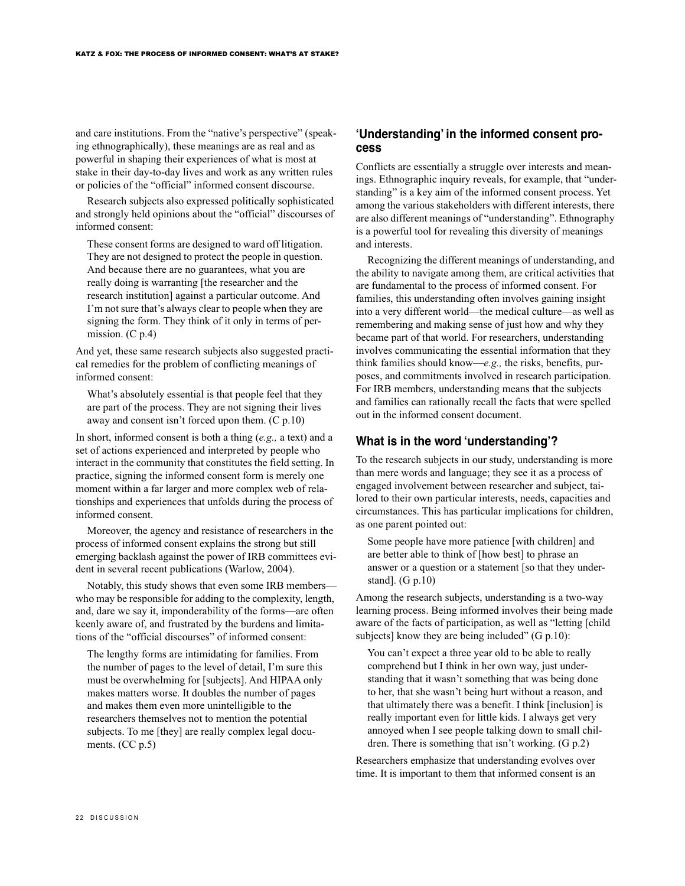and care institutions. From the "native's perspective" (speaking ethnographically), these meanings are as real and as powerful in shaping their experiences of what is most at stake in their day-to-day lives and work as any written rules or policies of the "official" informed consent discourse.

Research subjects also expressed politically sophisticated and strongly held opinions about the "official" discourses of informed consent:

These consent forms are designed to ward off litigation. They are not designed to protect the people in question. And because there are no guarantees, what you are really doing is warranting [the researcher and the research institution] against a particular outcome. And I'm not sure that's always clear to people when they are signing the form. They think of it only in terms of permission. (C p.4)

And yet, these same research subjects also suggested practical remedies for the problem of conflicting meanings of informed consent:

What's absolutely essential is that people feel that they are part of the process. They are not signing their lives away and consent isn't forced upon them. (C p.10)

<span id="page-27-8"></span>In short, informed consent is both a thing (*e.g.,* a text) and a set of actions experienced and interpreted by people who interact in the community that constitutes the field setting. In practice, signing the informed consent form is merely one moment within a far larger and more complex web of relationships and experiences that unfolds during the process of informed consent.

<span id="page-27-3"></span>Moreover, the agency and resistance of researchers in the process of informed consent explains the strong but still emerging backlash against the power of IRB committees evident in several recent publications (Warlow, 2004).

Notably, this study shows that even some IRB members who may be responsible for adding to the complexity, length, and, dare we say it, imponderability of the forms—are often keenly aware of, and frustrated by the burdens and limitations of the "official discourses" of informed consent:

The lengthy forms are intimidating for families. From the number of pages to the level of detail, I'm sure this must be overwhelming for [subjects]. And HIPAA only makes matters worse. It doubles the number of pages and makes them even more unintelligible to the researchers themselves not to mention the potential subjects. To me [they] are really complex legal documents. (CC p.5)

#### <span id="page-27-10"></span><span id="page-27-0"></span>**'Understanding' in the informed consent process**

<span id="page-27-5"></span>Conflicts are essentially a struggle over interests and meanings. Ethnographic inquiry reveals, for example, that "understanding" is a key aim of the informed consent process. Yet among the various stakeholders with different interests, there are also different meanings of "understanding". Ethnography is a powerful tool for revealing this diversity of meanings and interests.

<span id="page-27-14"></span><span id="page-27-12"></span><span id="page-27-6"></span>Recognizing the different meanings of understanding, and the ability to navigate among them, are critical activities that are fundamental to the process of informed consent. For families, this understanding often involves gaining insight into a very different world—the medical culture—as well as remembering and making sense of just how and why they became part of that world. For researchers, understanding involves communicating the essential information that they think families should know—*e.g.,* the risks, benefits, purposes, and commitments involved in research participation. For IRB members, understanding means that the subjects and families can rationally recall the facts that were spelled out in the informed consent document.

#### <span id="page-27-16"></span><span id="page-27-15"></span><span id="page-27-11"></span><span id="page-27-1"></span>**What is in the word 'understanding'?**

To the research subjects in our study, understanding is more than mere words and language; they see it as a process of engaged involvement between researcher and subject, tailored to their own particular interests, needs, capacities and circumstances. This has particular implications for children, as one parent pointed out:

<span id="page-27-18"></span><span id="page-27-9"></span><span id="page-27-4"></span>Some people have more patience [with children] and are better able to think of [how best] to phrase an answer or a question or a statement [so that they understand]. (G p.10)

<span id="page-27-13"></span><span id="page-27-2"></span>Among the research subjects, understanding is a two-way learning process. Being informed involves their being made aware of the facts of participation, as well as "letting [child subjects] know they are being included" (G p.10):

<span id="page-27-7"></span>You can't expect a three year old to be able to really comprehend but I think in her own way, just understanding that it wasn't something that was being done to her, that she wasn't being hurt without a reason, and that ultimately there was a benefit. I think [inclusion] is really important even for little kids. I always get very annoyed when I see people talking down to small children. There is something that isn't working. (G p.2)

<span id="page-27-17"></span>Researchers emphasize that understanding evolves over time. It is important to them that informed consent is an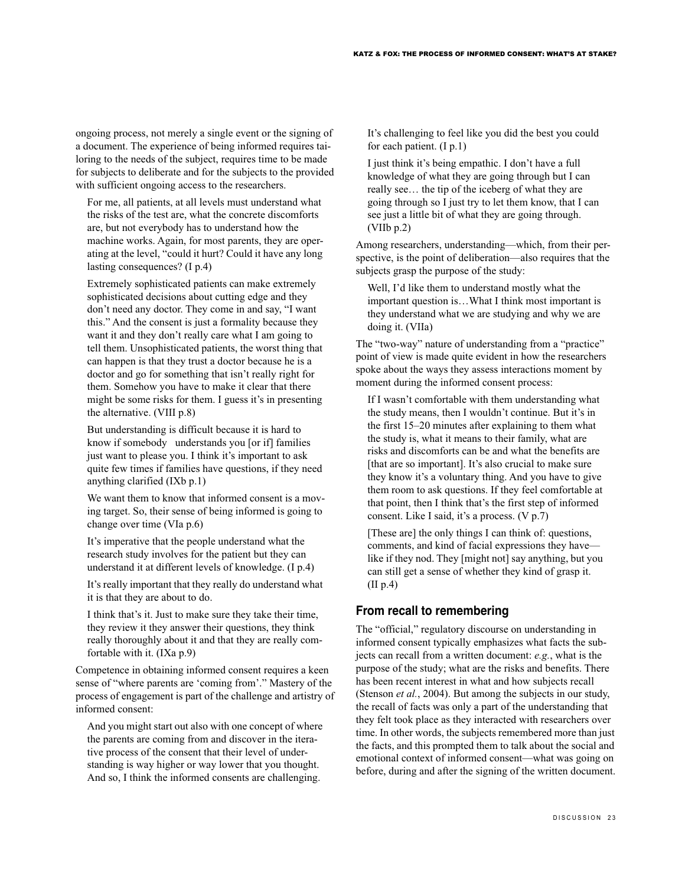<span id="page-28-3"></span>ongoing process, not merely a single event or the signing of a document. The experience of being informed requires tailoring to the needs of the subject, requires time to be made for subjects to deliberate and for the subjects to the provided with sufficient ongoing access to the researchers.

For me, all patients, at all levels must understand what the risks of the test are, what the concrete discomforts are, but not everybody has to understand how the machine works. Again, for most parents, they are operating at the level, "could it hurt? Could it have any long lasting consequences? (I p.4)

<span id="page-28-16"></span><span id="page-28-11"></span>Extremely sophisticated patients can make extremely sophisticated decisions about cutting edge and they don't need any doctor. They come in and say, "I want this." And the consent is just a formality because they want it and they don't really care what I am going to tell them. Unsophisticated patients, the worst thing that can happen is that they trust a doctor because he is a doctor and go for something that isn't really right for them. Somehow you have to make it clear that there might be some risks for them. I guess it's in presenting the alternative. (VIII p.8)

But understanding is difficult because it is hard to know if somebody understands you [or if] families just want to please you. I think it's important to ask quite few times if families have questions, if they need anything clarified (IXb p.1)

We want them to know that informed consent is a moving target. So, their sense of being informed is going to change over time (VIa p.6)

It's imperative that the people understand what the research study involves for the patient but they can understand it at different levels of knowledge. (I p.4)

It's really important that they really do understand what it is that they are about to do.

I think that's it. Just to make sure they take their time, they review it they answer their questions, they think really thoroughly about it and that they are really comfortable with it. (IXa p.9)

<span id="page-28-4"></span><span id="page-28-2"></span>Competence in obtaining informed consent requires a keen sense of "where parents are 'coming from'." Mastery of the process of engagement is part of the challenge and artistry of informed consent:

And you might start out also with one concept of where the parents are coming from and discover in the iterative process of the consent that their level of understanding is way higher or way lower that you thought. And so, I think the informed consents are challenging.

<span id="page-28-14"></span>It's challenging to feel like you did the best you could for each patient. (I p.1)

<span id="page-28-10"></span>I just think it's being empathic. I don't have a full knowledge of what they are going through but I can really see… the tip of the iceberg of what they are going through so I just try to let them know, that I can see just a little bit of what they are going through. (VIIb p.2)

Among researchers, understanding—which, from their perspective, is the point of deliberation—also requires that the subjects grasp the purpose of the study:

<span id="page-28-18"></span>Well, I'd like them to understand mostly what the important question is…What I think most important is they understand what we are studying and why we are doing it. (VIIa)

The "two-way" nature of understanding from a "practice" point of view is made quite evident in how the researchers spoke about the ways they assess interactions moment by moment during the informed consent process:

If I wasn't comfortable with them understanding what the study means, then I wouldn't continue. But it's in the first 15–20 minutes after explaining to them what the study is, what it means to their family, what are risks and discomforts can be and what the benefits are [that are so important]. It's also crucial to make sure they know it's a voluntary thing. And you have to give them room to ask questions. If they feel comfortable at that point, then I think that's the first step of informed consent. Like I said, it's a process. (V p.7)

<span id="page-28-17"></span>[These are] the only things I can think of: questions, comments, and kind of facial expressions they have like if they nod. They [might not] say anything, but you can still get a sense of whether they kind of grasp it. (II p.4)

## <span id="page-28-9"></span><span id="page-28-7"></span><span id="page-28-5"></span><span id="page-28-0"></span>**From recall to remembering**

<span id="page-28-15"></span><span id="page-28-13"></span><span id="page-28-12"></span><span id="page-28-8"></span><span id="page-28-6"></span><span id="page-28-1"></span>The "official," regulatory discourse on understanding in informed consent typically emphasizes what facts the subjects can recall from a written document: *e.g.*, what is the purpose of the study; what are the risks and benefits. There has been recent interest in what and how subjects recall (Stenson *et al.*, 2004). But among the subjects in our study, the recall of facts was only a part of the understanding that they felt took place as they interacted with researchers over time. In other words, the subjects remembered more than just the facts, and this prompted them to talk about the social and emotional context of informed consent—what was going on before, during and after the signing of the written document.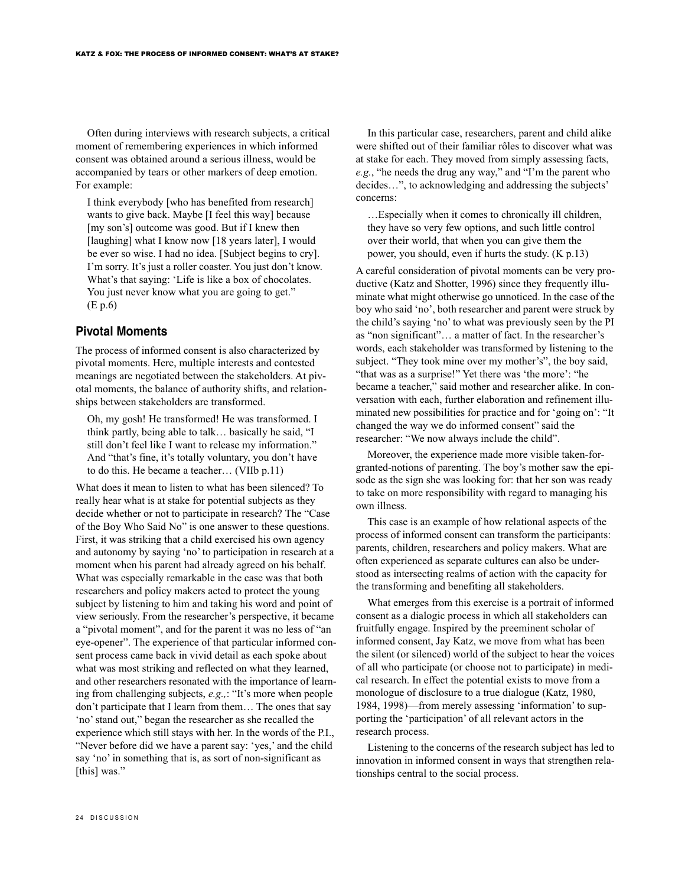<span id="page-29-19"></span>Often during interviews with research subjects, a critical moment of remembering experiences in which informed consent was obtained around a serious illness, would be accompanied by tears or other markers of deep emotion. For example:

I think everybody [who has benefited from research] wants to give back. Maybe [I feel this way] because [my son's] outcome was good. But if I knew then [laughing] what I know now [18 years later], I would be ever so wise. I had no idea. [Subject begins to cry]. I'm sorry. It's just a roller coaster. You just don't know. What's that saying: 'Life is like a box of chocolates. You just never know what you are going to get." (E p.6)

#### <span id="page-29-17"></span><span id="page-29-15"></span><span id="page-29-0"></span>**Pivotal Moments**

<span id="page-29-11"></span>The process of informed consent is also characterized by pivotal moments. Here, multiple interests and contested meanings are negotiated between the stakeholders. At pivotal moments, the balance of authority shifts, and relationships between stakeholders are transformed.

<span id="page-29-24"></span><span id="page-29-8"></span><span id="page-29-4"></span>Oh, my gosh! He transformed! He was transformed. I think partly, being able to talk… basically he said, "I still don't feel like I want to release my information." And "that's fine, it's totally voluntary, you don't have to do this. He became a teacher… (VIIb p.11)

<span id="page-29-22"></span>What does it mean to listen to what has been silenced? To really hear what is at stake for potential subjects as they decide whether or not to participate in research? The "Case of the Boy Who Said No" is one answer to these questions. First, it was striking that a child exercised his own agency and autonomy by saying 'no' to participation in research at a moment when his parent had already agreed on his behalf. What was especially remarkable in the case was that both researchers and policy makers acted to protect the young subject by listening to him and taking his word and point of view seriously. From the researcher's perspective, it became a "pivotal moment", and for the parent it was no less of "an eye-opener". The experience of that particular informed consent process came back in vivid detail as each spoke about what was most striking and reflected on what they learned, and other researchers resonated with the importance of learning from challenging subjects, *e.g.,*: "It's more when people don't participate that I learn from them… The ones that say 'no' stand out," began the researcher as she recalled the experience which still stays with her. In the words of the P.I., "Never before did we have a parent say: 'yes,' and the child say 'no' in something that is, as sort of non-significant as [this] was."

<span id="page-29-14"></span>In this particular case, researchers, parent and child alike were shifted out of their familiar rôles to discover what was at stake for each. They moved from simply assessing facts, *e.g.*, "he needs the drug any way," and "I'm the parent who decides…", to acknowledging and addressing the subjects' concerns:

<span id="page-29-5"></span>…Especially when it comes to chronically ill children, they have so very few options, and such little control over their world, that when you can give them the power, you should, even if hurts the study. (K p.13)

<span id="page-29-16"></span><span id="page-29-1"></span>A careful consideration of pivotal moments can be very productive (Katz and Shotter, 1996) since they frequently illuminate what might otherwise go unnoticed. In the case of the boy who said 'no', both researcher and parent were struck by the child's saying 'no' to what was previously seen by the PI as "non significant"… a matter of fact. In the researcher's words, each stakeholder was transformed by listening to the subject. "They took mine over my mother's", the boy said, "that was as a surprise!" Yet there was 'the more': "he became a teacher," said mother and researcher alike. In conversation with each, further elaboration and refinement illuminated new possibilities for practice and for 'going on': "It changed the way we do informed consent" said the researcher: "We now always include the child".

<span id="page-29-10"></span>Moreover, the experience made more visible taken-forgranted-notions of parenting. The boy's mother saw the episode as the sign she was looking for: that her son was ready to take on more responsibility with regard to managing his own illness.

<span id="page-29-21"></span><span id="page-29-7"></span><span id="page-29-3"></span>This case is an example of how relational aspects of the process of informed consent can transform the participants: parents, children, researchers and policy makers. What are often experienced as separate cultures can also be understood as intersecting realms of action with the capacity for the transforming and benefiting all stakeholders.

<span id="page-29-18"></span><span id="page-29-13"></span><span id="page-29-12"></span><span id="page-29-9"></span>What emerges from this exercise is a portrait of informed consent as a dialogic process in which all stakeholders can fruitfully engage. Inspired by the preeminent scholar of informed consent, Jay Katz, we move from what has been the silent (or silenced) world of the subject to hear the voices of all who participate (or choose not to participate) in medical research. In effect the potential exists to move from a monologue of disclosure to a true dialogue (Katz, 1980, 1984, 1998)—from merely assessing 'information' to supporting the 'participation' of all relevant actors in the research process.

<span id="page-29-23"></span><span id="page-29-20"></span><span id="page-29-6"></span><span id="page-29-2"></span>Listening to the concerns of the research subject has led to innovation in informed consent in ways that strengthen relationships central to the social process.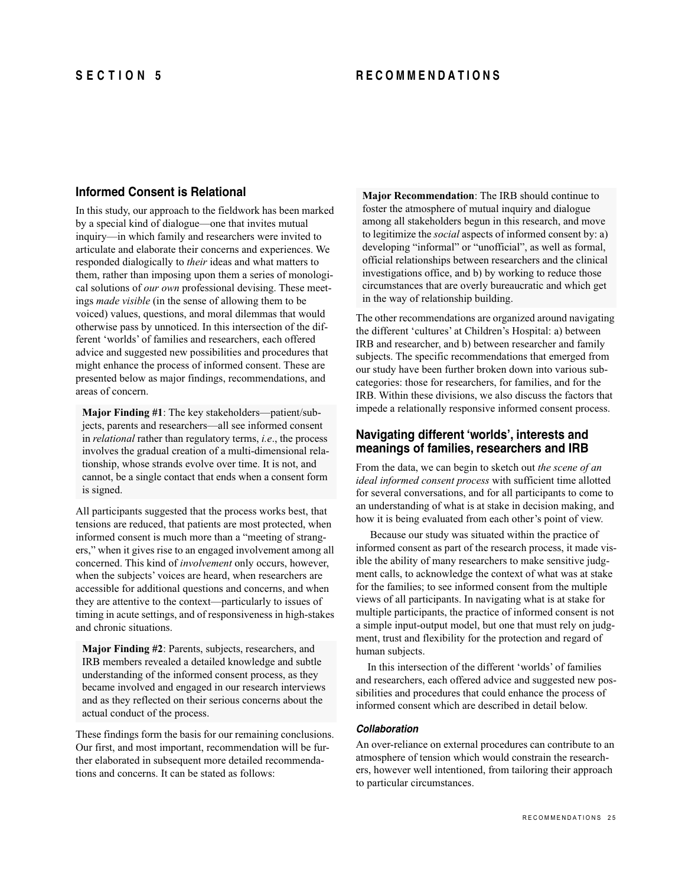#### <span id="page-30-12"></span><span id="page-30-1"></span>**Informed Consent is Relational**

<span id="page-30-19"></span><span id="page-30-8"></span><span id="page-30-7"></span><span id="page-30-6"></span>In this study, our approach to the fieldwork has been marked by a special kind of dialogue—one that invites mutual inquiry—in which family and researchers were invited to articulate and elaborate their concerns and experiences. We responded dialogically to *their* ideas and what matters to them, rather than imposing upon them a series of monological solutions of *our own* professional devising. These meetings *made visible* (in the sense of allowing them to be voiced) values, questions, and moral dilemmas that would otherwise pass by unnoticed. In this intersection of the different 'worlds' of families and researchers, each offered advice and suggested new possibilities and procedures that might enhance the process of informed consent. These are presented below as major findings, recommendations, and areas of concern.

<span id="page-30-23"></span><span id="page-30-13"></span>**Major Finding #1**: The key stakeholders—patient/subjects, parents and researchers—all see informed consent in *relational* rather than regulatory terms, *i.e*., the process involves the gradual creation of a multi-dimensional relationship, whose strands evolve over time. It is not, and cannot, be a single contact that ends when a consent form is signed.

<span id="page-30-18"></span><span id="page-30-9"></span>All participants suggested that the process works best, that tensions are reduced, that patients are most protected, when informed consent is much more than a "meeting of strangers," when it gives rise to an engaged involvement among all concerned. This kind of *involvement* only occurs, however, when the subjects' voices are heard, when researchers are accessible for additional questions and concerns, and when they are attentive to the context—particularly to issues of timing in acute settings, and of responsiveness in high-stakes and chronic situations.

<span id="page-30-24"></span><span id="page-30-21"></span>**Major Finding #2**: Parents, subjects, researchers, and IRB members revealed a detailed knowledge and subtle understanding of the informed consent process, as they became involved and engaged in our research interviews and as they reflected on their serious concerns about the actual conduct of the process.

These findings form the basis for our remaining conclusions. Our first, and most important, recommendation will be further elaborated in subsequent more detailed recommendations and concerns. It can be stated as follows:

<span id="page-30-22"></span><span id="page-30-17"></span><span id="page-30-16"></span><span id="page-30-0"></span>**Major Recommendation**: The IRB should continue to foster the atmosphere of mutual inquiry and dialogue among all stakeholders begun in this research, and move to legitimize the *social* aspects of informed consent by: a) developing "informal" or "unofficial", as well as formal, official relationships between researchers and the clinical investigations office, and b) by working to reduce those circumstances that are overly bureaucratic and which get in the way of relationship building.

<span id="page-30-14"></span><span id="page-30-5"></span>The other recommendations are organized around navigating the different 'cultures' at Children's Hospital: a) between IRB and researcher, and b) between researcher and family subjects. The specific recommendations that emerged from our study have been further broken down into various subcategories: those for researchers, for families, and for the IRB. Within these divisions, we also discuss the factors that impede a relationally responsive informed consent process.

#### <span id="page-30-2"></span>**Navigating different 'worlds', interests and meanings of families, researchers and IRB**

<span id="page-30-10"></span>From the data, we can begin to sketch out *the scene of an ideal informed consent process* with sufficient time allotted for several conversations, and for all participants to come to an understanding of what is at stake in decision making, and how it is being evaluated from each other's point of view.

<span id="page-30-20"></span> Because our study was situated within the practice of informed consent as part of the research process, it made visible the ability of many researchers to make sensitive judgment calls, to acknowledge the context of what was at stake for the families; to see informed consent from the multiple views of all participants. In navigating what is at stake for multiple participants, the practice of informed consent is not a simple input-output model, but one that must rely on judgment, trust and flexibility for the protection and regard of human subjects.

<span id="page-30-25"></span><span id="page-30-15"></span><span id="page-30-11"></span>In this intersection of the different 'worlds' of families and researchers, each offered advice and suggested new possibilities and procedures that could enhance the process of informed consent which are described in detail below.

#### <span id="page-30-4"></span><span id="page-30-3"></span>*Collaboration*

An over-reliance on external procedures can contribute to an atmosphere of tension which would constrain the researchers, however well intentioned, from tailoring their approach to particular circumstances.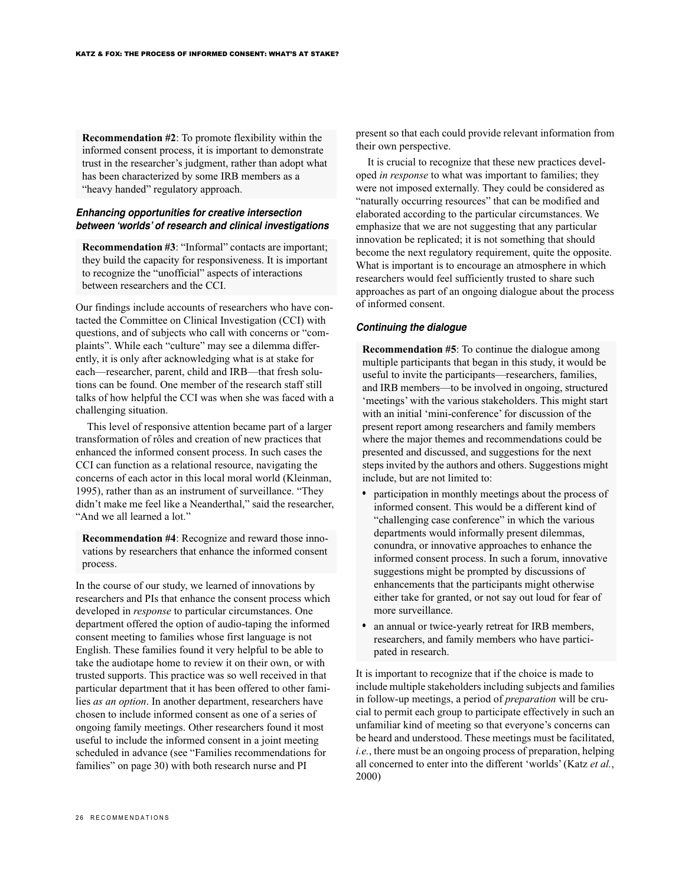<span id="page-31-15"></span><span id="page-31-12"></span>**Recommendation #2**: To promote flexibility within the informed consent process, it is important to demonstrate trust in the researcher's judgment, rather than adopt what has been characterized by some IRB members as a "heavy handed" regulatory approach.

#### <span id="page-31-0"></span>*Enhancing opportunities for creative intersection between 'worlds' of research and clinical investigations*

<span id="page-31-9"></span>**Recommendation #3**: "Informal" contacts are important; they build the capacity for responsiveness. It is important to recognize the "unofficial" aspects of interactions between researchers and the CCI.

<span id="page-31-13"></span><span id="page-31-4"></span>Our findings include accounts of researchers who have contacted the Committee on Clinical Investigation (CCI) with questions, and of subjects who call with concerns or "complaints". While each "culture" may see a dilemma differently, it is only after acknowledging what is at stake for each—researcher, parent, child and IRB—that fresh solutions can be found. One member of the research staff still talks of how helpful the CCI was when she was faced with a challenging situation.

This level of responsive attention became part of a larger transformation of rôles and creation of new practices that enhanced the informed consent process. In such cases the CCI can function as a relational resource, navigating the concerns of each actor in this local moral world (Kleinman, 1995), rather than as an instrument of surveillance. "They didn't make me feel like a Neanderthal," said the researcher, "And we all learned a lot."

**Recommendation #4**: Recognize and reward those innovations by researchers that enhance the informed consent process.

<span id="page-31-11"></span><span id="page-31-7"></span><span id="page-31-6"></span>In the course of our study, we learned of innovations by researchers and PIs that enhance the consent process which developed in *response* to particular circumstances. One department offered the option of audio-taping the informed consent meeting to families whose first language is not English. These families found it very helpful to be able to take the audiotape home to review it on their own, or with trusted supports. This practice was so well received in that particular department that it has been offered to other families *as an option*. In another department, researchers have chosen to include informed consent as one of a series of ongoing family meetings. Other researchers found it most useful to include the informed consent in a joint meeting scheduled in advance (see ["Families recommendations for](#page-35-0)  [families" on page 30](#page-35-0)) with both research nurse and PI

present so that each could provide relevant information from their own perspective.

<span id="page-31-5"></span><span id="page-31-3"></span>It is crucial to recognize that these new practices developed *in response* to what was important to families; they were not imposed externally. They could be considered as "naturally occurring resources" that can be modified and elaborated according to the particular circumstances. We emphasize that we are not suggesting that any particular innovation be replicated; it is not something that should become the next regulatory requirement, quite the opposite. What is important is to encourage an atmosphere in which researchers would feel sufficiently trusted to share such approaches as part of an ongoing dialogue about the process of informed consent.

#### <span id="page-31-1"></span>*Continuing the dialogue*

**Recommendation #5**: To continue the dialogue among multiple participants that began in this study, it would be useful to invite the participants—researchers, families, and IRB members—to be involved in ongoing, structured 'meetings' with the various stakeholders. This might start with an initial 'mini-conference' for discussion of the present report among researchers and family members where the major themes and recommendations could be presented and discussed, and suggestions for the next steps invited by the authors and others. Suggestions might include, but are not limited to:

- <span id="page-31-8"></span>**•** participation in monthly meetings about the process of informed consent. This would be a different kind of "challenging case conference" in which the various departments would informally present dilemmas, conundra, or innovative approaches to enhance the informed consent process. In such a forum, innovative suggestions might be prompted by discussions of enhancements that the participants might otherwise either take for granted, or not say out loud for fear of more surveillance.
- **•** an annual or twice-yearly retreat for IRB members, researchers, and family members who have participated in research.

<span id="page-31-14"></span><span id="page-31-10"></span><span id="page-31-2"></span>It is important to recognize that if the choice is made to include multiple stakeholders including subjects and families in follow-up meetings, a period of *preparation* will be crucial to permit each group to participate effectively in such an unfamiliar kind of meeting so that everyone's concerns can be heard and understood. These meetings must be facilitated, *i.e.*, there must be an ongoing process of preparation, helping all concerned to enter into the different 'worlds' (Katz *et al.*, 2000)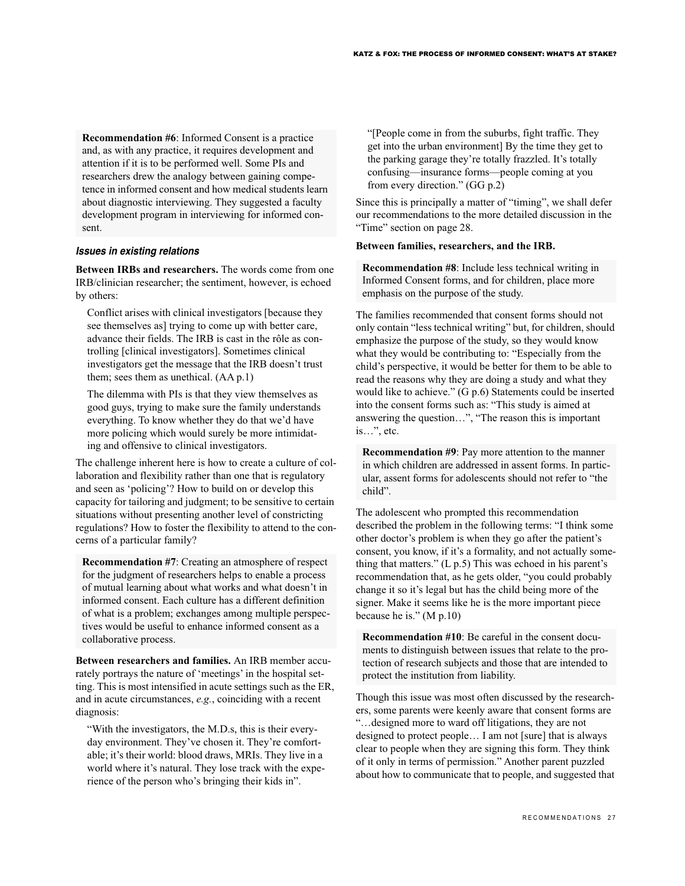**Recommendation #6**: Informed Consent is a practice and, as with any practice, it requires development and attention if it is to be performed well. Some PIs and researchers drew the analogy between gaining competence in informed consent and how medical students learn about diagnostic interviewing. They suggested a faculty development program in interviewing for informed consent.

#### <span id="page-32-15"></span><span id="page-32-8"></span><span id="page-32-6"></span><span id="page-32-0"></span>*Issues in existing relations*

**Between IRBs and researchers.** The words come from one IRB/clinician researcher; the sentiment, however, is echoed by others:

Conflict arises with clinical investigators [because they see themselves as] trying to come up with better care, advance their fields. The IRB is cast in the rôle as controlling [clinical investigators]. Sometimes clinical investigators get the message that the IRB doesn't trust them; sees them as unethical. (AA p.1)

The dilemma with PIs is that they view themselves as good guys, trying to make sure the family understands everything. To know whether they do that we'd have more policing which would surely be more intimidating and offensive to clinical investigators.

The challenge inherent here is how to create a culture of collaboration and flexibility rather than one that is regulatory and seen as 'policing'? How to build on or develop this capacity for tailoring and judgment; to be sensitive to certain situations without presenting another level of constricting regulations? How to foster the flexibility to attend to the concerns of a particular family?

<span id="page-32-7"></span>**Recommendation #7**: Creating an atmosphere of respect for the judgment of researchers helps to enable a process of mutual learning about what works and what doesn't in informed consent. Each culture has a different definition of what is a problem; exchanges among multiple perspectives would be useful to enhance informed consent as a collaborative process.

<span id="page-32-16"></span><span id="page-32-13"></span>**Between researchers and families.** An IRB member accurately portrays the nature of 'meetings' in the hospital setting. This is most intensified in acute settings such as the ER, and in acute circumstances, *e.g.*, coinciding with a recent diagnosis:

"With the investigators, the M.D.s, this is their everyday environment. They've chosen it. They're comfortable; it's their world: blood draws, MRIs. They live in a world where it's natural. They lose track with the experience of the person who's bringing their kids in".

"[People come in from the suburbs, fight traffic. They get into the urban environment] By the time they get to the parking garage they're totally frazzled. It's totally confusing—insurance forms—people coming at you from every direction." (GG p.2)

Since this is principally a matter of "timing", we shall defer our recommendations to the more detailed discussion in the "Time" section on [page 28.](#page-33-1)

#### <span id="page-32-4"></span>**Between families, researchers, and the IRB.**

<span id="page-32-10"></span><span id="page-32-5"></span><span id="page-32-2"></span>**Recommendation #8**: Include less technical writing in Informed Consent forms, and for children, place more emphasis on the purpose of the study.

<span id="page-32-17"></span>The families recommended that consent forms should not only contain "less technical writing" but, for children, should emphasize the purpose of the study, so they would know what they would be contributing to: "Especially from the child's perspective, it would be better for them to be able to read the reasons why they are doing a study and what they would like to achieve." (G p.6) Statements could be inserted into the consent forms such as: "This study is aimed at answering the question…", "The reason this is important is…", etc.

<span id="page-32-14"></span><span id="page-32-11"></span>**Recommendation #9**: Pay more attention to the manner in which children are addressed in assent forms. In particular, assent forms for adolescents should not refer to "the child".

<span id="page-32-1"></span>The adolescent who prompted this recommendation described the problem in the following terms: "I think some other doctor's problem is when they go after the patient's consent, you know, if it's a formality, and not actually something that matters."  $(L p.5)$  This was echoed in his parent's recommendation that, as he gets older, "you could probably change it so it's legal but has the child being more of the signer. Make it seems like he is the more important piece because he is." (M p.10)

<span id="page-32-12"></span><span id="page-32-9"></span>**Recommendation #10**: Be careful in the consent documents to distinguish between issues that relate to the protection of research subjects and those that are intended to protect the institution from liability.

<span id="page-32-3"></span>Though this issue was most often discussed by the researchers, some parents were keenly aware that consent forms are "…designed more to ward off litigations, they are not designed to protect people… I am not [sure] that is always clear to people when they are signing this form. They think of it only in terms of permission." Another parent puzzled about how to communicate that to people, and suggested that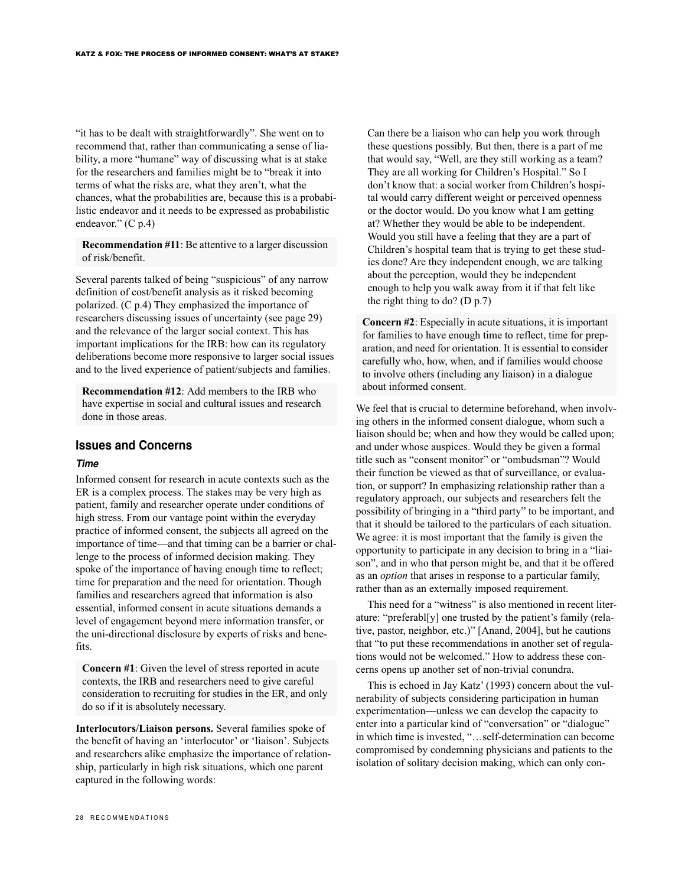"it has to be dealt with straightforwardly". She went on to recommend that, rather than communicating a sense of liability, a more "humane" way of discussing what is at stake for the researchers and families might be to "break it into terms of what the risks are, what they aren't, what the chances, what the probabilities are, because this is a probabilistic endeavor and it needs to be expressed as probabilistic endeavor." (C p.4)

<span id="page-33-22"></span>**Recommendation #11**: Be attentive to a larger discussion of risk/benefit.

<span id="page-33-23"></span><span id="page-33-20"></span>Several parents talked of being "suspicious" of any narrow definition of cost/benefit analysis as it risked becoming polarized. (C p.4) They emphasized the importance of researchers discussing issues of uncertainty (see [page 29\)](#page-34-0) and the relevance of the larger social context. This has important implications for the IRB: how can its regulatory deliberations become more responsive to larger social issues and to the lived experience of patient/subjects and families.

<span id="page-33-14"></span><span id="page-33-13"></span>**Recommendation #12**: Add members to the IRB who have expertise in social and cultural issues and research done in those areas.

#### <span id="page-33-0"></span>**Issues and Concerns**

#### <span id="page-33-25"></span><span id="page-33-10"></span><span id="page-33-1"></span>*Time*

<span id="page-33-26"></span><span id="page-33-19"></span><span id="page-33-17"></span><span id="page-33-8"></span><span id="page-33-7"></span>Informed consent for research in acute contexts such as the ER is a complex process. The stakes may be very high as patient, family and researcher operate under conditions of high stress. From our vantage point within the everyday practice of informed consent, the subjects all agreed on the importance of time—and that timing can be a barrier or challenge to the process of informed decision making. They spoke of the importance of having enough time to reflect; time for preparation and the need for orientation. Though families and researchers agreed that information is also essential, informed consent in acute situations demands a level of engagement beyond mere information transfer, or the uni-directional disclosure by experts of risks and benefits.

<span id="page-33-12"></span><span id="page-33-5"></span>**Concern #1**: Given the level of stress reported in acute contexts, the IRB and researchers need to give careful consideration to recruiting for studies in the ER, and only do so if it is absolutely necessary.

<span id="page-33-21"></span><span id="page-33-11"></span>**Interlocutors/Liaison persons.** Several families spoke of the benefit of having an 'interlocutor' or 'liaison'. Subjects and researchers alike emphasize the importance of relationship, particularly in high risk situations, which one parent captured in the following words:

Can there be a liaison who can help you work through these questions possibly. But then, there is a part of me that would say, "Well, are they still working as a team? They are all working for Children's Hospital." So I don't know that: a social worker from Children's hospital would carry different weight or perceived openness or the doctor would. Do you know what I am getting at? Whether they would be able to be independent. Would you still have a feeling that they are a part of Children's hospital team that is trying to get these studies done? Are they independent enough, we are talking about the perception, would they be independent enough to help you walk away from it if that felt like the right thing to do? ( $D p.7$ )

<span id="page-33-15"></span><span id="page-33-6"></span><span id="page-33-4"></span>**Concern #2**: Especially in acute situations, it is important for families to have enough time to reflect, time for preparation, and need for orientation. It is essential to consider carefully who, how, when, and if families would choose to involve others (including any liaison) in a dialogue about informed consent.

<span id="page-33-24"></span>We feel that is crucial to determine beforehand, when involving others in the informed consent dialogue, whom such a liaison should be; when and how they would be called upon; and under whose auspices. Would they be given a formal title such as "consent monitor" or "ombudsman"? Would their function be viewed as that of surveillance, or evaluation, or support? In emphasizing relationship rather than a regulatory approach, our subjects and researchers felt the possibility of bringing in a "third party" to be important, and that it should be tailored to the particulars of each situation. We agree: it is most important that the family is given the opportunity to participate in any decision to bring in a "liaison", and in who that person might be, and that it be offered as an *option* that arises in response to a particular family, rather than as an externally imposed requirement.

<span id="page-33-28"></span><span id="page-33-27"></span><span id="page-33-16"></span><span id="page-33-2"></span>This need for a "witness" is also mentioned in recent literature: "preferabl[y] one trusted by the patient's family (relative, pastor, neighbor, etc.)" [Anand, 2004], but he cautions that "to put these recommendations in another set of regulations would not be welcomed." How to address these concerns opens up another set of non-trivial conundra.

<span id="page-33-18"></span><span id="page-33-9"></span><span id="page-33-3"></span>This is echoed in Jay Katz' (1993) concern about the vulnerability of subjects considering participation in human experimentation—unless we can develop the capacity to enter into a particular kind of "conversation" or "dialogue" in which time is invested, "…self-determination can become compromised by condemning physicians and patients to the isolation of solitary decision making, which can only con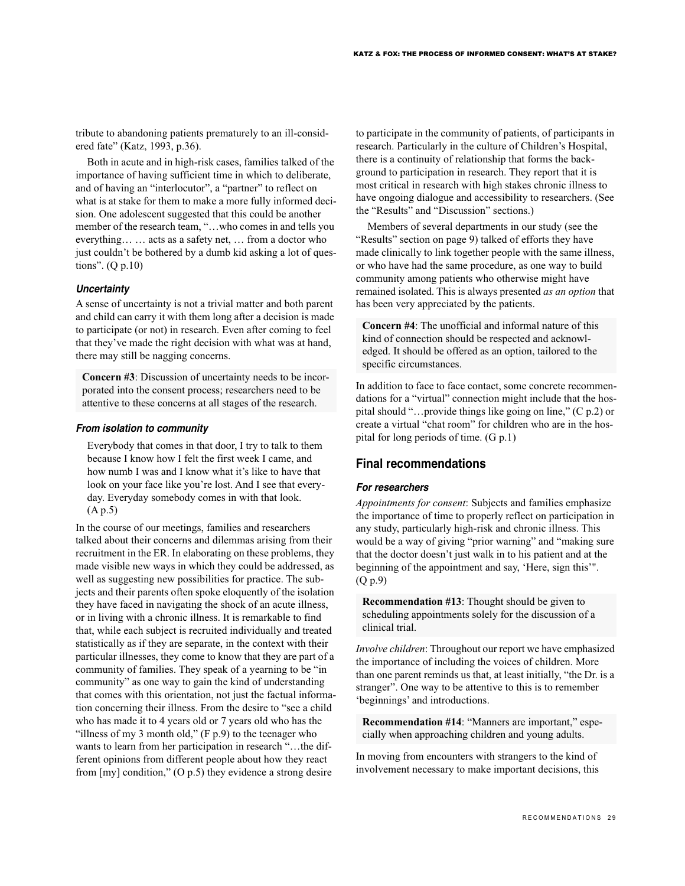<span id="page-34-4"></span>tribute to abandoning patients prematurely to an ill-considered fate" (Katz, 1993, p.36).

<span id="page-34-15"></span>Both in acute and in high-risk cases, families talked of the importance of having sufficient time in which to deliberate, and of having an "interlocutor", a "partner" to reflect on what is at stake for them to make a more fully informed decision. One adolescent suggested that this could be another member of the research team, "…who comes in and tells you everything… … acts as a safety net, … from a doctor who just couldn't be bothered by a dumb kid asking a lot of questions". (Q p.10)

#### <span id="page-34-22"></span><span id="page-34-14"></span><span id="page-34-0"></span>*Uncertainty*

A sense of uncertainty is not a trivial matter and both parent and child can carry it with them long after a decision is made to participate (or not) in research. Even after coming to feel that they've made the right decision with what was at hand, there may still be nagging concerns.

<span id="page-34-8"></span>**Concern #3**: Discussion of uncertainty needs to be incorporated into the consent process; researchers need to be attentive to these concerns at all stages of the research.

#### <span id="page-34-16"></span><span id="page-34-1"></span>*From isolation to community*

<span id="page-34-7"></span>Everybody that comes in that door, I try to talk to them because I know how I felt the first week I came, and how numb I was and I know what it's like to have that look on your face like you're lost. And I see that everyday. Everyday somebody comes in with that look.  $(A p.5)$ 

<span id="page-34-13"></span><span id="page-34-11"></span><span id="page-34-10"></span>In the course of our meetings, families and researchers talked about their concerns and dilemmas arising from their recruitment in the ER. In elaborating on these problems, they made visible new ways in which they could be addressed, as well as suggesting new possibilities for practice. The subjects and their parents often spoke eloquently of the isolation they have faced in navigating the shock of an acute illness, or in living with a chronic illness. It is remarkable to find that, while each subject is recruited individually and treated statistically as if they are separate, in the context with their particular illnesses, they come to know that they are part of a community of families. They speak of a yearning to be "in community" as one way to gain the kind of understanding that comes with this orientation, not just the factual information concerning their illness. From the desire to "see a child who has made it to 4 years old or 7 years old who has the "illness of my 3 month old,"  $(F p.9)$  to the teenager who wants to learn from her participation in research "…the different opinions from different people about how they react from [my] condition," (O p.5) they evidence a strong desire

<span id="page-34-19"></span>to participate in the community of patients, of participants in research. Particularly in the culture of Children's Hospital, there is a continuity of relationship that forms the background to participation in research. They report that it is most critical in research with high stakes chronic illness to have ongoing dialogue and accessibility to researchers. (See the "Results" and "Discussion" sections.)

<span id="page-34-20"></span>Members of several departments in our study (see the "Results" section on [page 9\)](#page-14-4) talked of efforts they have made clinically to link together people with the same illness, or who have had the same procedure, as one way to build community among patients who otherwise might have remained isolated. This is always presented *as an option* that has been very appreciated by the patients.

<span id="page-34-9"></span>**Concern #4**: The unofficial and informal nature of this kind of connection should be respected and acknowledged. It should be offered as an option, tailored to the specific circumstances.

<span id="page-34-24"></span><span id="page-34-6"></span>In addition to face to face contact, some concrete recommendations for a "virtual" connection might include that the hospital should "…provide things like going on line," (C p.2) or create a virtual "chat room" for children who are in the hospital for long periods of time. (G p.1)

#### <span id="page-34-2"></span>**Final recommendations**

#### <span id="page-34-3"></span>*For researchers*

<span id="page-34-23"></span>*Appointments for consent*: Subjects and families emphasize the importance of time to properly reflect on participation in any study, particularly high-risk and chronic illness. This would be a way of giving "prior warning" and "making sure that the doctor doesn't just walk in to his patient and at the beginning of the appointment and say, 'Here, sign this'". (Q p.9)

<span id="page-34-17"></span><span id="page-34-12"></span>**Recommendation #13**: Thought should be given to scheduling appointments solely for the discussion of a clinical trial.

*Involve children*: Throughout our report we have emphasized the importance of including the voices of children. More than one parent reminds us that, at least initially, "the Dr. is a stranger". One way to be attentive to this is to remember 'beginnings' and introductions.

<span id="page-34-21"></span><span id="page-34-18"></span><span id="page-34-5"></span>**Recommendation #14**: "Manners are important," especially when approaching children and young adults.

In moving from encounters with strangers to the kind of involvement necessary to make important decisions, this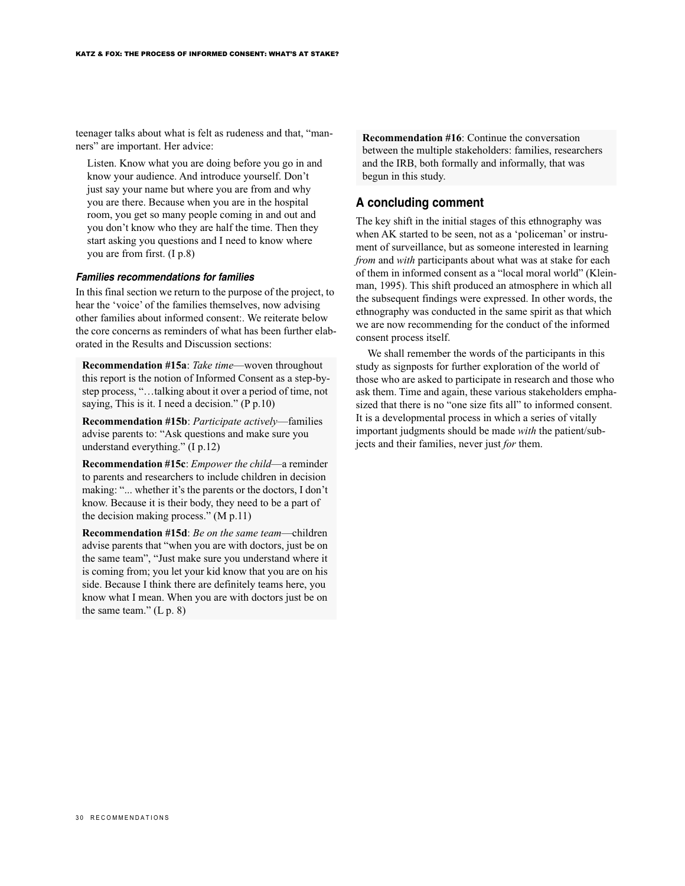<span id="page-35-3"></span>teenager talks about what is felt as rudeness and that, "manners" are important. Her advice:

Listen. Know what you are doing before you go in and know your audience. And introduce yourself. Don't just say your name but where you are from and why you are there. Because when you are in the hospital room, you get so many people coming in and out and you don't know who they are half the time. Then they start asking you questions and I need to know where you are from first. (I p.8)

#### <span id="page-35-6"></span><span id="page-35-0"></span>*Families recommendations for families*

In this final section we return to the purpose of the project, to hear the 'voice' of the families themselves, now advising other families about informed consent:. We reiterate below the core concerns as reminders of what has been further elaborated in the Results and Discussion sections:

<span id="page-35-14"></span>**Recommendation #15a**: *Take time*—woven throughout this report is the notion of Informed Consent as a step-bystep process, "…talking about it over a period of time, not saying, This is it. I need a decision."  $(P p.10)$ 

<span id="page-35-13"></span>**Recommendation #15b**: *Participate actively*—families advise parents to: "Ask questions and make sure you understand everything." (I p.12)

<span id="page-35-12"></span>**Recommendation #15c**: *Empower the child*—a reminder to parents and researchers to include children in decision making: "... whether it's the parents or the doctors, I don't know. Because it is their body, they need to be a part of the decision making process." (M p.11)

<span id="page-35-10"></span>**Recommendation #15d**: *Be on the same team*—children advise parents that "when you are with doctors, just be on the same team", "Just make sure you understand where it is coming from; you let your kid know that you are on his side. Because I think there are definitely teams here, you know what I mean. When you are with doctors just be on the same team."  $(L p. 8)$ 

<span id="page-35-11"></span>**Recommendation #16**: Continue the conversation between the multiple stakeholders: families, researchers and the IRB, both formally and informally, that was begun in this study.

#### <span id="page-35-5"></span><span id="page-35-1"></span>**A concluding comment**

<span id="page-35-16"></span><span id="page-35-8"></span><span id="page-35-7"></span><span id="page-35-2"></span>The key shift in the initial stages of this ethnography was when AK started to be seen, not as a 'policeman' or instrument of surveillance, but as someone interested in learning *from* and *with* participants about what was at stake for each of them in informed consent as a "local moral world" (Kleinman, 1995). This shift produced an atmosphere in which all the subsequent findings were expressed. In other words, the ethnography was conducted in the same spirit as that which we are now recommending for the conduct of the informed consent process itself.

<span id="page-35-15"></span><span id="page-35-9"></span><span id="page-35-4"></span>We shall remember the words of the participants in this study as signposts for further exploration of the world of those who are asked to participate in research and those who ask them. Time and again, these various stakeholders emphasized that there is no "one size fits all" to informed consent. It is a developmental process in which a series of vitally important judgments should be made *with* the patient/subjects and their families, never just *for* them.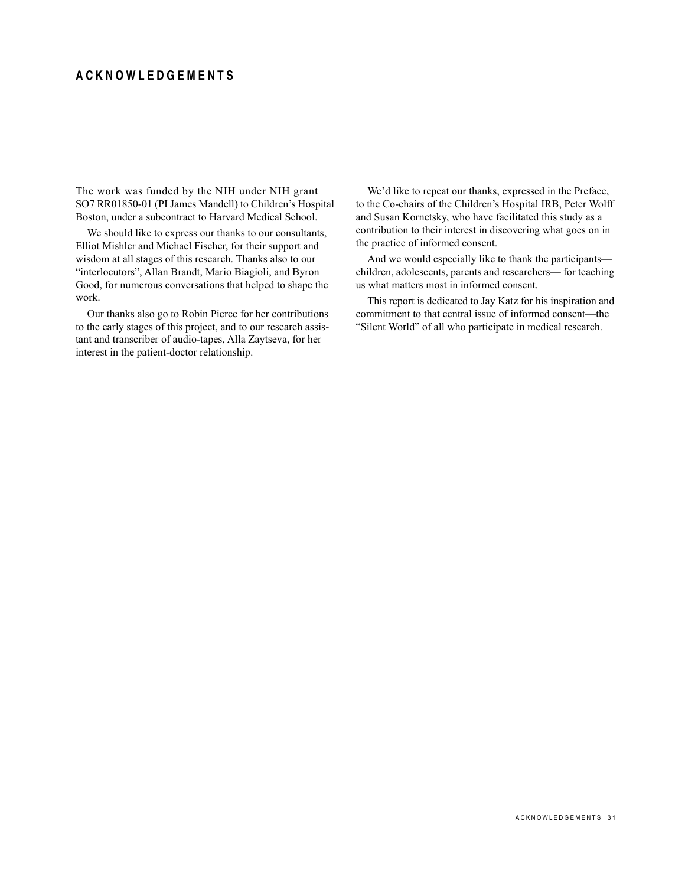## <span id="page-36-0"></span>**ACKNOWLEDGEMENTS**

The work was funded by the NIH under NIH grant SO7 RR01850-01 (PI James Mandell) to Children's Hospital Boston, under a subcontract to Harvard Medical School.

We should like to express our thanks to our consultants, Elliot Mishler and Michael Fischer, for their support and wisdom at all stages of this research. Thanks also to our "interlocutors", Allan Brandt, Mario Biagioli, and Byron Good, for numerous conversations that helped to shape the work.

Our thanks also go to Robin Pierce for her contributions to the early stages of this project, and to our research assistant and transcriber of audio-tapes, Alla Zaytseva, for her interest in the patient-doctor relationship.

We'd like to repeat our thanks, expressed in the Preface, to the Co-chairs of the Children's Hospital IRB, Peter Wolff and Susan Kornetsky, who have facilitated this study as a contribution to their interest in discovering what goes on in the practice of informed consent.

And we would especially like to thank the participants children, adolescents, parents and researchers— for teaching us what matters most in informed consent.

<span id="page-36-1"></span>This report is dedicated to Jay Katz for his inspiration and commitment to that central issue of informed consent—the "Silent World" of all who participate in medical research.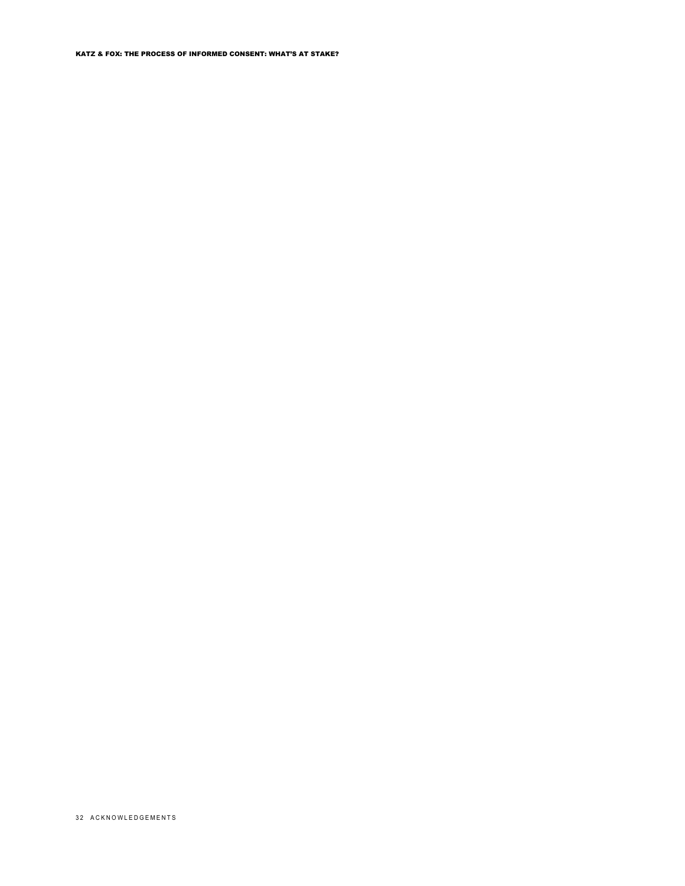KATZ & FOX: THE PROCESS OF INFORMED CONSENT: WHAT'S AT STAKE?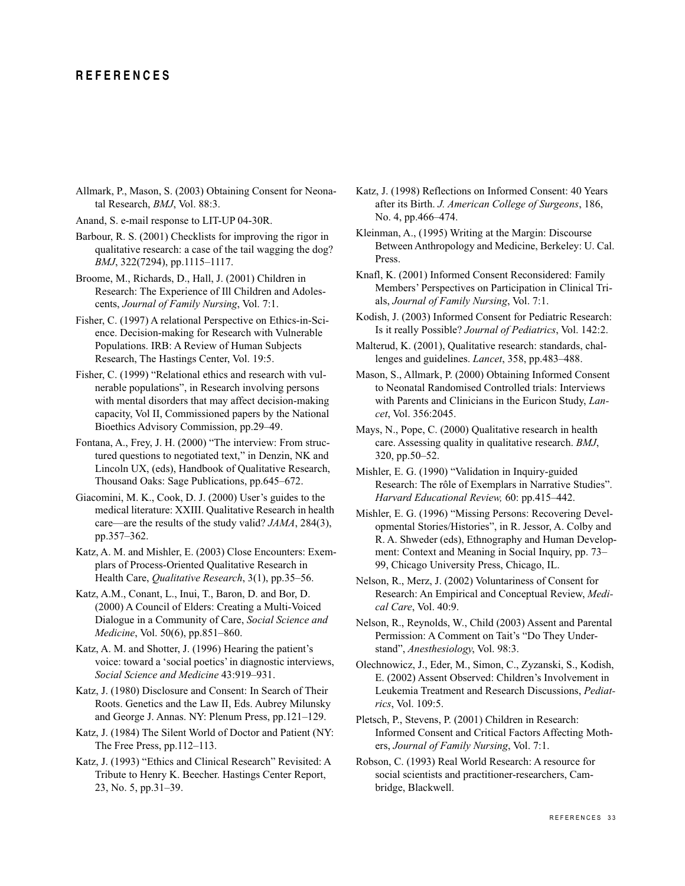## <span id="page-38-1"></span><span id="page-38-0"></span>**REFERENCES**

Allmark, P., Mason, S. (2003) Obtaining Consent for Neonatal Research, *BMJ*, Vol. 88:3.

Anand, S. e-mail response to LIT-UP 04-30R.

- Barbour, R. S. (2001) Checklists for improving the rigor in qualitative research: a case of the tail wagging the dog? *BMJ*, 322(7294), pp.1115–1117.
- Broome, M., Richards, D., Hall, J. (2001) Children in Research: The Experience of Ill Children and Adolescents, *Journal of Family Nursing*, Vol. 7:1.
- Fisher, C. (1997) A relational Perspective on Ethics-in-Science. Decision-making for Research with Vulnerable Populations. IRB: A Review of Human Subjects Research, The Hastings Center, Vol. 19:5.
- Fisher, C. (1999) "Relational ethics and research with vulnerable populations", in Research involving persons with mental disorders that may affect decision-making capacity, Vol II, Commissioned papers by the National Bioethics Advisory Commission, pp.29–49.
- Fontana, A., Frey, J. H. (2000) "The interview: From structured questions to negotiated text," in Denzin, NK and Lincoln UX, (eds), Handbook of Qualitative Research, Thousand Oaks: Sage Publications, pp.645–672.
- Giacomini, M. K., Cook, D. J. (2000) User's guides to the medical literature: XXIII. Qualitative Research in health care—are the results of the study valid? *JAMA*, 284(3), pp.357–362.
- Katz, A. M. and Mishler, E. (2003) Close Encounters: Exemplars of Process-Oriented Qualitative Research in Health Care, *Qualitative Research*, 3(1), pp.35–56.
- Katz, A.M., Conant, L., Inui, T., Baron, D. and Bor, D. (2000) A Council of Elders: Creating a Multi-Voiced Dialogue in a Community of Care, *Social Science and Medicine*, Vol. 50(6), pp.851–860.
- Katz, A. M. and Shotter, J. (1996) Hearing the patient's voice: toward a 'social poetics' in diagnostic interviews, *Social Science and Medicine* 43:919–931.
- Katz, J. (1980) Disclosure and Consent: In Search of Their Roots. Genetics and the Law II, Eds. Aubrey Milunsky and George J. Annas. NY: Plenum Press, pp.121–129.
- Katz, J. (1984) The Silent World of Doctor and Patient (NY: The Free Press, pp.112–113.
- Katz, J. (1993) "Ethics and Clinical Research" Revisited: A Tribute to Henry K. Beecher. Hastings Center Report, 23, No. 5, pp.31–39.
- Katz, J. (1998) Reflections on Informed Consent: 40 Years after its Birth. *J. American College of Surgeons*, 186, No. 4, pp.466–474.
- Kleinman, A., (1995) Writing at the Margin: Discourse Between Anthropology and Medicine, Berkeley: U. Cal. Press.
- Knafl, K. (2001) Informed Consent Reconsidered: Family Members' Perspectives on Participation in Clinical Trials, *Journal of Family Nursing*, Vol. 7:1.
- Kodish, J. (2003) Informed Consent for Pediatric Research: Is it really Possible? *Journal of Pediatrics*, Vol. 142:2.
- Malterud, K. (2001), Qualitative research: standards, challenges and guidelines. *Lancet*, 358, pp.483–488.
- Mason, S., Allmark, P. (2000) Obtaining Informed Consent to Neonatal Randomised Controlled trials: Interviews with Parents and Clinicians in the Euricon Study, *Lancet*, Vol. 356:2045.
- Mays, N., Pope, C. (2000) Qualitative research in health care. Assessing quality in qualitative research. *BMJ*, 320, pp.50–52.
- Mishler, E. G. (1990) "Validation in Inquiry-guided Research: The rôle of Exemplars in Narrative Studies". *Harvard Educational Review,* 60: pp.415–442.
- Mishler, E. G. (1996) "Missing Persons: Recovering Developmental Stories/Histories", in R. Jessor, A. Colby and R. A. Shweder (eds), Ethnography and Human Development: Context and Meaning in Social Inquiry, pp. 73– 99, Chicago University Press, Chicago, IL.
- Nelson, R., Merz, J. (2002) Voluntariness of Consent for Research: An Empirical and Conceptual Review, *Medical Care*, Vol. 40:9.
- Nelson, R., Reynolds, W., Child (2003) Assent and Parental Permission: A Comment on Tait's "Do They Understand", *Anesthesiology*, Vol. 98:3.
- Olechnowicz, J., Eder, M., Simon, C., Zyzanski, S., Kodish, E. (2002) Assent Observed: Children's Involvement in Leukemia Treatment and Research Discussions, *Pediatrics*, Vol. 109:5.
- Pletsch, P., Stevens, P. (2001) Children in Research: Informed Consent and Critical Factors Affecting Mothers, *Journal of Family Nursing*, Vol. 7:1.
- Robson, C. (1993) Real World Research: A resource for social scientists and practitioner-researchers, Cambridge, Blackwell.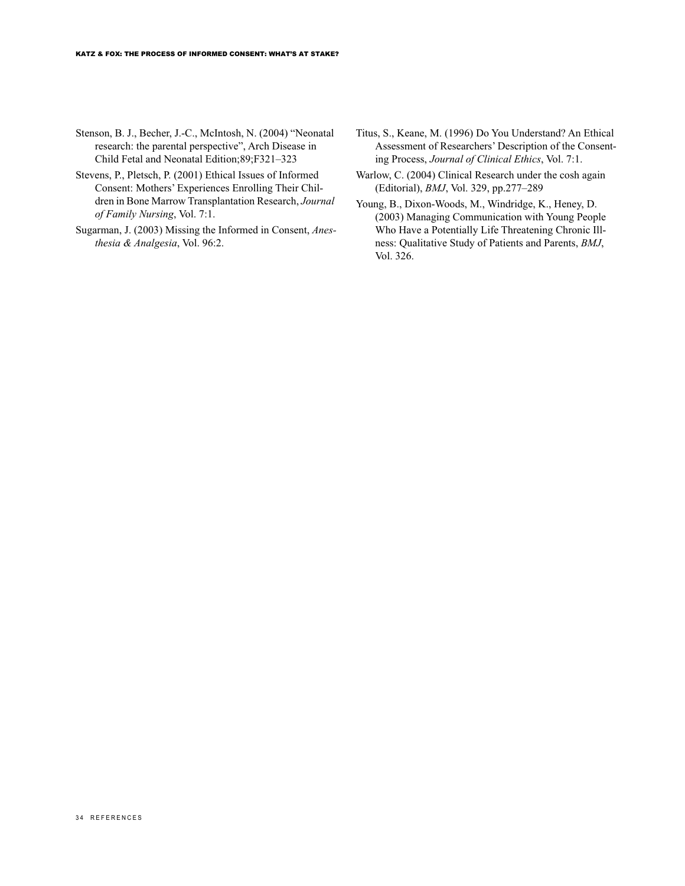- Stenson, B. J., Becher, J.-C., McIntosh, N. (2004) "Neonatal research: the parental perspective", Arch Disease in Child Fetal and Neonatal Edition;89;F321–323
- Stevens, P., Pletsch, P. (2001) Ethical Issues of Informed Consent: Mothers' Experiences Enrolling Their Children in Bone Marrow Transplantation Research, *Journal of Family Nursing*, Vol. 7:1.
- Sugarman, J. (2003) Missing the Informed in Consent, *Anesthesia & Analgesia*, Vol. 96:2.
- Titus, S., Keane, M. (1996) Do You Understand? An Ethical Assessment of Researchers' Description of the Consenting Process, *Journal of Clinical Ethics*, Vol. 7:1.
- Warlow, C. (2004) Clinical Research under the cosh again (Editorial), *BMJ*, Vol. 329, pp.277–289
- <span id="page-39-0"></span>Young, B., Dixon-Woods, M., Windridge, K., Heney, D. (2003) Managing Communication with Young People Who Have a Potentially Life Threatening Chronic Illness: Qualitative Study of Patients and Parents, *BMJ*, Vol. 326.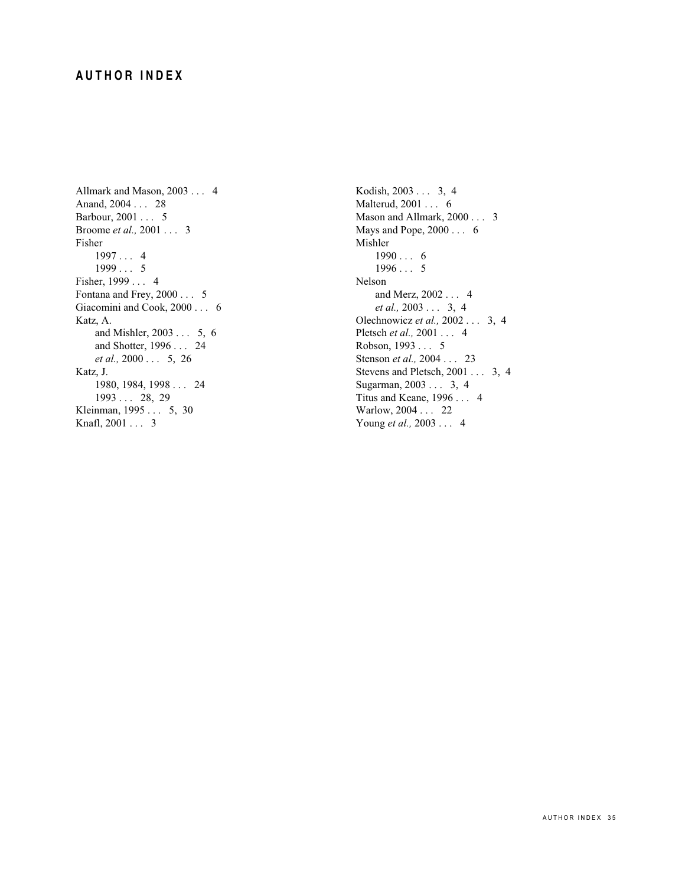## <span id="page-40-0"></span>**AUTHOR INDEX**

[Allmark and Mason, 2003 . . . 4](#page-9-0) [Anand, 2004 . . . 28](#page-33-2) [Barbour, 2001 . . . 5](#page-10-2) Broome *et al.,* [2001 . . . 3](#page-8-2) Fisher  $1997...4$  $1999...5$ [Fisher, 1999 . . . 4](#page-9-2) [Fontana and Frey, 2000 . . . 5](#page-10-4) [Giacomini and Cook, 2000 . . . 6](#page-11-1) Katz, A. [and Mishler, 2003 . . . 5,](#page-10-5) [6](#page-11-2) [and Shotter, 1996 . . . 24](#page-29-1) *et al.,* [2000 . . . 5,](#page-10-6) [26](#page-31-2) Katz, J. [1980, 1984, 1998 . . . 24](#page-29-2) [1993 . . . 28,](#page-33-3) [29](#page-34-4) [Kleinman, 1995 . . . 5,](#page-10-7) [30](#page-35-2) [Knafl, 2001 . . . 3](#page-8-3)

[Kodish, 2003 . . . 3,](#page-8-4) [4](#page-9-3) [Malterud, 2001 . . . 6](#page-11-3) [Mason and Allmark, 2000 . . . 3](#page-8-5) [Mays and Pope, 2000 . . . 6](#page-11-4) Mishler  $1990...6$  $1996...5$ Nelson [and Merz, 2002 . . . 4](#page-9-4) *et al.,* [2003 . . . 3,](#page-8-6) [4](#page-9-5) Olechnowicz *et al.,* [2002 . . . 3,](#page-8-7) [4](#page-9-6) Pletsch *et al.,* [2001 . . . 4](#page-9-7) [Robson, 1993 . . . 5](#page-10-9) Stenson *et al.,* [2004 . . . 23](#page-28-1) [Stevens and Pletsch, 2001 . . . 3,](#page-8-8) [4](#page-9-8) [Sugarman, 2003 . . . 3,](#page-8-9) [4](#page-9-9) [Titus and Keane, 1996 . . . 4](#page-9-10) [Warlow, 2004 . . . 22](#page-27-2) Young *et al.,* [2003 . . . 4](#page-9-11)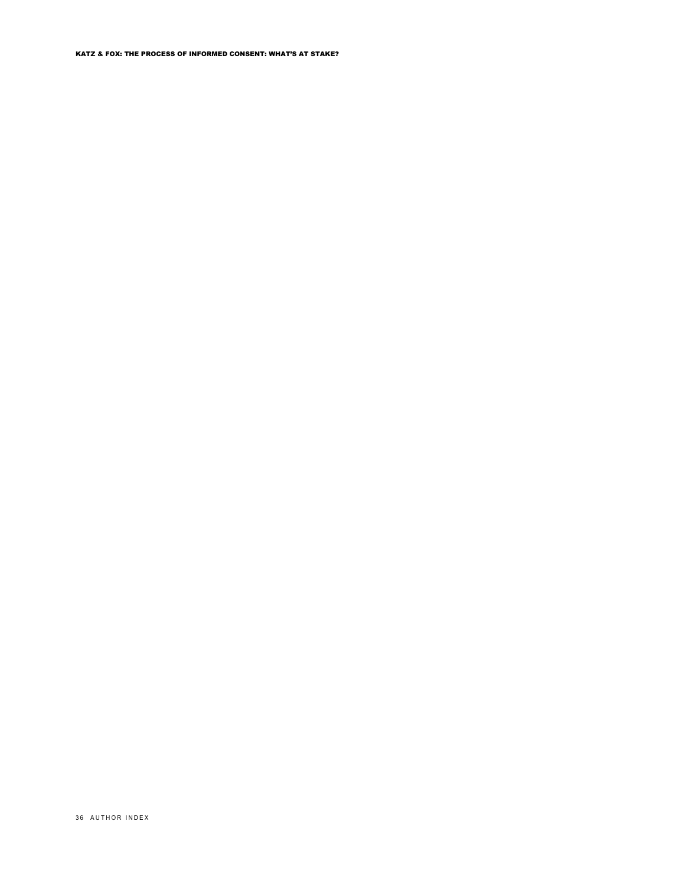KATZ & FOX: THE PROCESS OF INFORMED CONSENT: WHAT'S AT STAKE?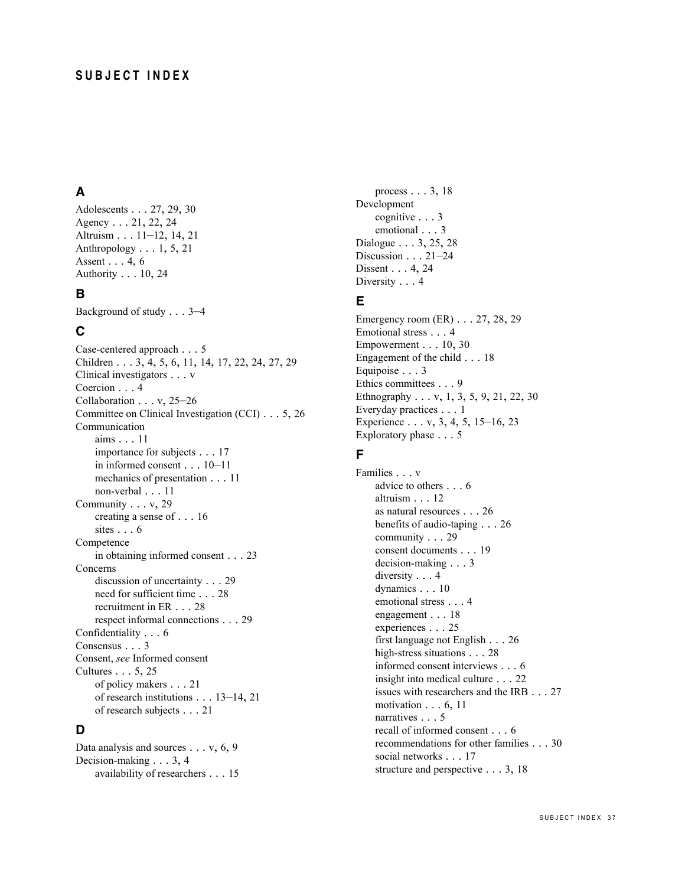## <span id="page-42-0"></span>**SUBJECT INDEX**

## **A**

Adolescents . . . [27](#page-32-1), [29,](#page-34-5) [30](#page-35-3) Agency . . . [21](#page-26-2), [22,](#page-27-3) [24](#page-29-3) Altruism . . . [11–](#page-16-1)[12,](#page-17-0) [14,](#page-19-2) [21](#page-26-3) Anthropology  $\dots$  [1](#page-6-2), [5](#page-10-10), [21](#page-26-4) Assent . . . [4,](#page-9-12) [6](#page-11-6) Authority . . . [10,](#page-15-1) [24](#page-29-4)

## **B**

Background of study . . . [3](#page-8-10)–[4](#page-9-13)

## **C**

Case-centered approach . . . 5 Children . . . [3](#page-8-11), [4,](#page-9-14) [5](#page-10-12), [6,](#page-11-7) [11](#page-16-2), [14,](#page-19-3) [17](#page-22-1)[,](#page-10-11) [22](#page-27-4)[,](#page-10-11) [24,](#page-29-5) [27](#page-32-2)[,](#page-10-11) [29](#page-34-6) Clinical investigators . . . [v](#page-4-1) Coercion . . . 4 Collaboration [. . .](#page-9-15) [v](#page-4-2)[,](#page-9-15) [25](#page-30-4)[–](#page-9-15)26 Committee on Clinical In[vestigation \(CCI\) . . .](#page-31-3) [5,](#page-10-13)[26](#page-31-4) Communication aims . . . [11](#page-16-3) importance for subjects . . . [17](#page-22-2) in informed consent . . . [10](#page-15-2)[–11](#page-16-4) mechanics of presentation . . . [11](#page-16-5) non-verbal . . . [11](#page-16-6) Community . . . [v,](#page-4-3) [29](#page-34-7) creating a sense of . . . [16](#page-21-0) sites  $\ldots$  [6](#page-11-8) Competence in obtaining informed consent . . . [23](#page-28-2) Concerns discussion of uncertainty . . . [29](#page-34-8) need for sufficient time . . . [28](#page-33-4) recruitment in ER . . . [28](#page-33-5) respect informa[l connections . . .](#page-11-9) [29](#page-34-9) Confidentiality . . . 6 Consensus . . . [3](#page-8-12) [Consent,](#page-9-16) *see* Informed consent Cultures . . . [5](#page-10-14), [25](#page-30-5) of policy makers . . . [21](#page-26-5) of research institutions . . . [13](#page-18-1)–[14](#page-19-4), [21](#page-26-6) of research subjects . . . [21](#page-26-7)

## **D**

Data analysis and sources . . . [v](#page-4-4), [6](#page-11-10), [9](#page-14-5) Decision-making . . . [3,](#page-8-13) 4 availability of researchers [. . .](#page-9-17) [15](#page-20-1)

process . . . [3](#page-8-14), [18](#page-23-1) Development cognitive . . . [3](#page-8-15) emotional . . . [3](#page-8-16) Dialogue . . . [3,](#page-8-17) [25,](#page-30-6) [28](#page-33-6) Discussion . . . [21](#page-26-8)–[24](#page-29-6) Dissent . . . [4,](#page-9-18) [24](#page-29-7) Diversity . . . [4](#page-9-19)

## **E**

Emergency room (ER) . . . [27](#page-32-3), [28,](#page-33-7) [29](#page-34-10) Emotional stress . . . [4](#page-9-20) Empowerment . . . [10,](#page-15-3) [30](#page-35-4) Engagement of the child . . . [18](#page-23-2) Equipoise . . . 3 Ethics committ[ees . . . 9](#page-8-18) Ethnography . . . [v,](#page-4-5) [1,](#page-6-3) [3](#page-8-19)[,](#page-14-6) [5,](#page-10-15)[9](#page-14-7)[,](#page-14-6) [21,](#page-26-9)[22](#page-27-5)[,](#page-14-6) [30](#page-35-5) Everyday practices . . . 1 Experience . . . [v](#page-4-6), [3,](#page-8-20) [4](#page-9-21),[5](#page-10-16)[,](#page-6-4) [15](#page-20-2)[–](#page-6-4)[16](#page-21-1)[,](#page-6-4) [23](#page-28-3) Exploratory phase . . . [5](#page-10-17)

## **F**

Families . . . v advice to [others . . .](#page-4-7) [6](#page-11-11) altruism . . . [12](#page-17-1) as natural resources . . . [26](#page-31-5) benefits of audio-taping . . . [26](#page-31-6) community . . . [29](#page-34-11) consent documents . . . [19](#page-24-4) decision-making . . . [3](#page-8-21) diversity . . . [4](#page-9-22) dynamics . . . [10](#page-15-4) emotional stress . . . [4](#page-9-23) engagement . . . [18](#page-23-3) experiences . . . [25](#page-30-7) first language not English . . . [26](#page-31-7) high-stress situations . . . [28](#page-33-8) informed consent interviews . . . [6](#page-11-12) insight into medical culture . . . [22](#page-27-6) issues with researchers and the IRB . . . [27](#page-32-4) motivation . . . [6](#page-11-13), [11](#page-16-7) narratives . . . 5 recall of infor[med consent . . .](#page-10-18) [6](#page-11-14) recommendations for other families . . . [30](#page-35-6) social networks . . . [17](#page-22-3) structure and perspective . . . [3](#page-8-22), [18](#page-23-4)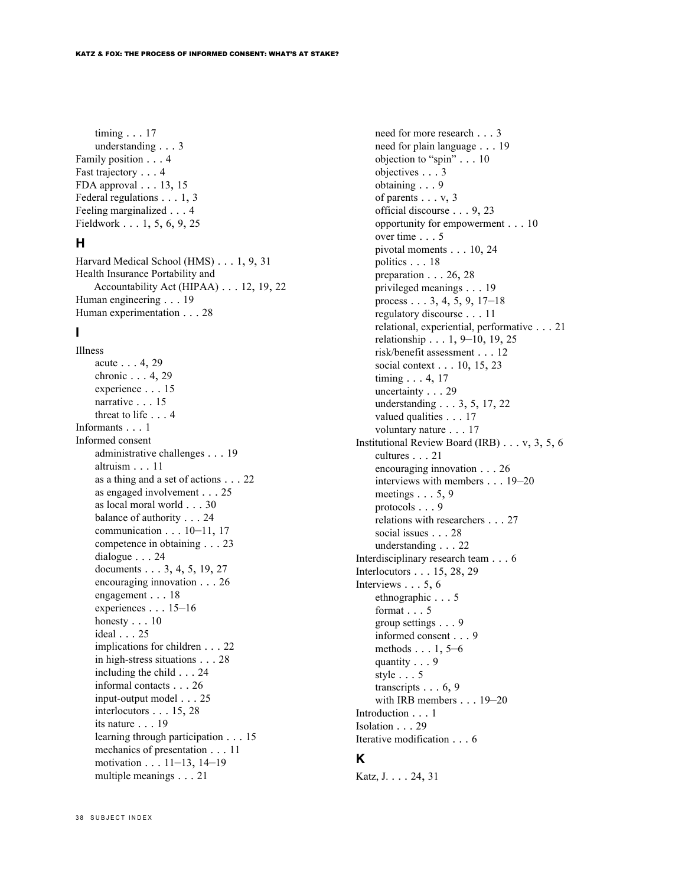timing . . . [17](#page-22-4) understanding . . . [3](#page-8-23) Family position . . . [4](#page-9-24) Fast trajectory . . . [4](#page-9-25) FDA approval . . . [13](#page-18-2), [15](#page-20-3) Federal regulations . . . [1,](#page-6-5) [3](#page-8-24) Feeling marginalized . . . [4](#page-9-26) Fieldwork . . . [1](#page-6-6), [5,](#page-10-19) [6](#page-11-15), [9,](#page-14-8) [25](#page-30-8)

#### **H**

Harvard Medical School (HMS) . . . [1](#page-6-7), [9](#page-14-9), 31 Health Insurance Portability and Accountability Act (HIPAA) . . . [12](#page-17-2), [19](#page-24-5), [22](#page-27-7) Human engineering . . . [19](#page-24-6) Human experimentation . . . [28](#page-33-9)

## **I**

Illness

acute . . . [4](#page-9-27), [29](#page-34-12) chronic . . . [4,](#page-9-28) [29](#page-34-13) experience . . . [15](#page-20-4) narrative . . . [15](#page-20-5) threat to life . . . [4](#page-9-29) Informants . . . [1](#page-6-8) Informed consent administrative challenges . . . [19](#page-24-7) altruism . . . 11 as a thing and a set of actions [. . .](#page-16-1) [22](#page-27-8) as engaged involvement . . . [25](#page-30-9) as local moral world . . . [30](#page-35-7) balance of authority . . . [24](#page-29-8) communication . . . [10](#page-15-5)[–11,](#page-16-4) [17](#page-22-2) competence in obtaining . . . [23](#page-28-4) dialogue . . . [24](#page-29-9) documents . . . [3](#page-8-25), [4](#page-9-30), [5](#page-10-20), [19,](#page-24-8) [27](#page-32-5) encouraging innovation . . . [26](#page-31-8) engagement . . . [18](#page-23-2) experiences . . . [15–](#page-20-6)[16](#page-21-1) honesty . . . [10](#page-15-6) ideal . . . 25 implicati[ons for children . . .](#page-30-10) [22](#page-27-9) in high-stress situations . . . [28](#page-33-10) including the child . . . [24](#page-29-10) informal contacts . . . [26](#page-31-9) input-output model . . . [25](#page-30-11) interlocutors . . . [15,](#page-20-7) [28](#page-33-11) its nature . . . 19 learning throu[gh participation . . .](#page-24-9) [15](#page-20-8) mechanics of presentation . . . [11](#page-16-5) motivation . . . [11](#page-16-8)[–13](#page-18-3), [14](#page-19-5)[–19](#page-24-10) multiple meanings . . . [21](#page-26-10)

need for more research . . . [3](#page-8-26) need for plain language . . . [19](#page-24-11) objection to "spin" . . . [10](#page-15-7) objectives . . . [3](#page-8-27) obtaining . . . [9](#page-14-10) of parents . . . [v,](#page-4-8) 3 official discourse [. . .](#page-8-28) [9](#page-14-11)[,](#page-8-28) [23](#page-28-5) opportunity for empowerment . . . [10](#page-15-8) over time . . . 5 pivotal mome[nts . . .](#page-10-21) [10,](#page-15-9)[24](#page-29-11) politics . . . [18](#page-23-5) preparation . . . [26,](#page-31-10) [28](#page-33-12) privileged meanings . . . [19](#page-24-12) process . . . [3](#page-8-29), [4,](#page-9-31) [5](#page-10-22), [9,](#page-14-12) [17](#page-22-5)[–18](#page-23-6) regulatory discourse . . . 11 relational, experiential, p[erformative . . .](#page-16-9) [21](#page-26-11) relationship . . . [1,](#page-6-9) [9](#page-14-13)[–10](#page-15-10), [19](#page-24-13), [25](#page-30-12) risk/benefit assessment . . . [12](#page-17-3) social context . . . [10](#page-15-11), [15](#page-20-9), [23](#page-28-6) timing . . . [4](#page-9-32), [17](#page-22-6) uncertainty . . . [29](#page-34-14) understanding . . . [3,](#page-8-30) [5,](#page-10-23) [17,](#page-22-7) [22](#page-27-10) valued qualities . . . [17](#page-22-8) voluntary nature . . . [17](#page-22-9) Institutional Review Board (IRB) . . . [v,](#page-4-9) [3](#page-8-31), [5](#page-10-24), [6](#page-11-16) cultures . . . 21 encouraging [innovation . . .](#page-26-12) [26](#page-31-8) interviews with members . . . [19](#page-24-14)[–20](#page-25-0) meetings  $\ldots$  [5](#page-10-25), [9](#page-14-14) protocols . . . 9 relations with [researchers . . .](#page-14-15) [27](#page-32-6) social issues . . . [28](#page-33-13) understanding . . . [22](#page-27-11) Interdisciplinary research team . . . [6](#page-11-17) Interlocutors . . . [15](#page-20-10), [28](#page-33-11), [29](#page-34-15) Interviews . . . [5](#page-10-26), [6](#page-11-18) ethnographic . . . [5](#page-10-27) format . . . 5 group settin[gs . . .](#page-10-28) [9](#page-14-16) informed consent . . . [9](#page-14-16) methods . . . [1,](#page-6-10) [5–](#page-10-29)[6](#page-11-19) quantity . . . [9](#page-14-17) style . . . [5](#page-10-30) transcripts . . . [6,](#page-11-20) 9 with IRB m[embers](#page-6-11) [. . .](#page-14-18) [19](#page-24-15)-[20](#page-25-0) Introduction . . . 1 Isolation . . . [29](#page-34-16) Iterative modification . . . [6](#page-11-21)

#### **K**

Katz, J. . . . [24](#page-29-12), [31](#page-36-1)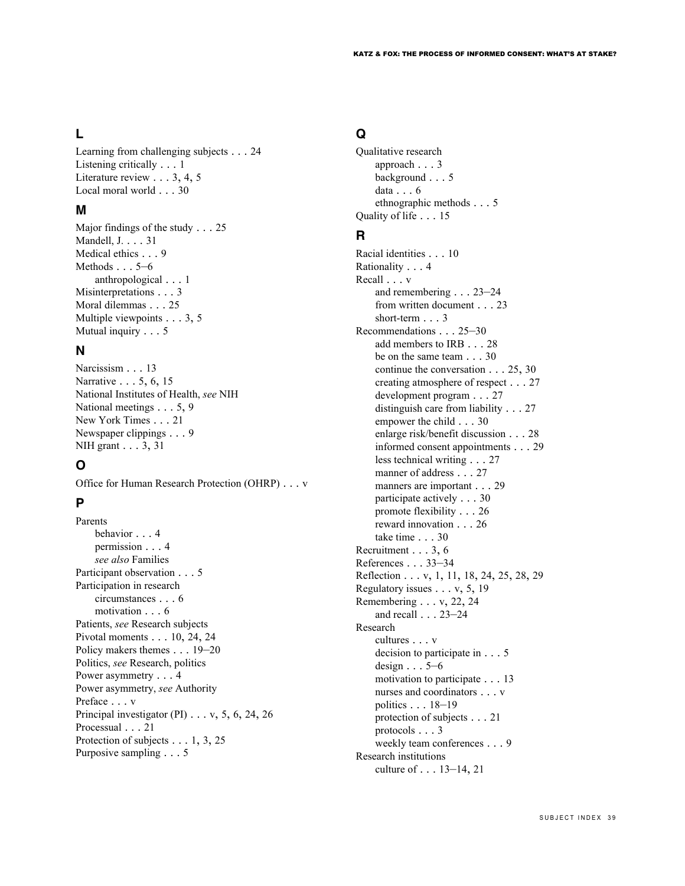## **L**

Learning from challenging subjects . . . [24](#page-29-13) Listening critically . . . [1](#page-6-12) Literature review . . . [3,](#page-8-32) [4](#page-9-33), [5](#page-10-31) Local moral world . . . [30](#page-35-8)

#### **M**

Major findings of the study . . . [25](#page-30-13) Mandell, J. . . . 31 Medical ethics . . . [9](#page-14-19) Methods . . . [5](#page-10-32)–6 anthropolog[ical . . .](#page-11-19) [1](#page-6-13) Misinterpretations . . . [3](#page-8-33) Moral dilemmas . . . [25](#page-30-14) Multiple viewpoints . . . [3](#page-8-34), [5](#page-10-33) Mutual inquiry . . . [5](#page-10-34)

## **N**

Narcissism . . . [13](#page-18-4) Narrative . . . [5,](#page-10-35) [6,](#page-11-22) [15](#page-20-11) [National Institutes of Health,](#page-8-35) *see* NIH National meetings . . . [5,](#page-10-36) [9](#page-14-20) New York Times . . . [21](#page-26-13) Newspaper clippings . . . [9](#page-14-21) NIH grant . . . [3,](#page-8-36) 31

## **O**

Office for Human Research Protection (OHRP) . . . [v](#page-4-10)

## **P**

Parents behavior . . . [4](#page-9-34) permission . . . [4](#page-9-35) *[see also](#page-9-36)* Families Participant observation . . . [5](#page-10-37) Participation in research circumstances . . . [6](#page-11-23) motivation . . . [6](#page-11-24) [Patients,](#page-4-11) *see* Research subjects Pivotal moments . . . [10,](#page-15-12) [24,](#page-29-14) [24](#page-29-15) Policy makers themes . . . [19–](#page-24-16)[20](#page-25-0) [Politics,](#page-23-7) *see* Research, politics Power asymmetry . . . [4](#page-9-37) [Power asymmetry,](#page-9-38) *see* Authority Preface . . . v Principal in[v](#page-4-13)estigator $(PI)$ ... v[,](#page-4-12) [5](#page-10-38), [6,](#page-11-25) [24](#page-29-16), [26](#page-31-11) Processual . . . [21](#page-26-14) Protection of subjects . . . [1,](#page-6-14) [3,](#page-8-37) [25](#page-30-15) Purposive sampling . . . [5](#page-10-39)

## **Q**

```
Qualitative research
    approach . . . 3
    background . . . 5
    data . . . 6
    ethnographic methods . . . 5
Quality of life . . . 15
```
## **R**

Racial identities . . . [10](#page-15-13) Rationality . . . [4](#page-9-39) Recall . . . v and remembering [. . .](#page-4-14) [23](#page-28-7)[–](#page-4-14)[24](#page-29-17) from written document . . . [23](#page-28-8) short-term . . . 3 Recommendations . [. .](#page-8-39) [25](#page-30-16)[–](#page-8-39)[30](#page-35-9) add members to IRB . . . [28](#page-33-14) be on the same team . . . [30](#page-35-10) continue the conversation . . . [25,](#page-30-17) [30](#page-35-11) creating atmosphere of respect . . . [27](#page-32-7) development program . . . [27](#page-32-8) distinguish care from liability . . . [27](#page-32-9) empower the child . . . [30](#page-35-12) enlarge risk/benefit discussion . . . [28](#page-33-15) informed consent appointments . . . [29](#page-34-17) less technical writing . . . [27](#page-32-10) manner of address . . . [27](#page-32-11) manners are important . . . [29](#page-34-18) participate actively . . . [30](#page-35-13) promote flexibility . . . [26](#page-31-12) reward innovation . . . [26](#page-31-8) take time . . . [30](#page-35-14) Recruitment . . . [3](#page-8-40), [6](#page-11-27) References . . . [33](#page-38-1)–34 Reflection . . . [v](#page-4-15), [1,](#page-6-15)[11](#page-16-10)[,](#page-39-0) [18,](#page-23-8)[24](#page-29-18)[,](#page-39-0) [25](#page-30-18)[,](#page-39-0) [28,](#page-33-16)[29](#page-34-19) Regulatory issues . . . [v](#page-4-16), [5,](#page-10-42) [19](#page-24-17) Remembering . . . [v,](#page-4-17) [22,](#page-27-12) [24](#page-29-19) and recall . . . [23](#page-28-9)[–24](#page-29-17) Research cultures . . . v decision to p[articipate in . . .](#page-4-18) [5](#page-10-43) design  $\ldots$  [5](#page-10-1)–6 motivation to [participate . . .](#page-11-19) [13](#page-18-5) nurses and coordinators . . . [v](#page-4-19) politics . . . [18](#page-23-7)[–19](#page-24-18) protection of subjects . . . [21](#page-26-15) protocols . . . 3 weekly team conferences [. . .](#page-8-41) [9](#page-14-22) Research institutions culture of . . . [13–](#page-18-6)[14,](#page-19-4) [21](#page-26-16)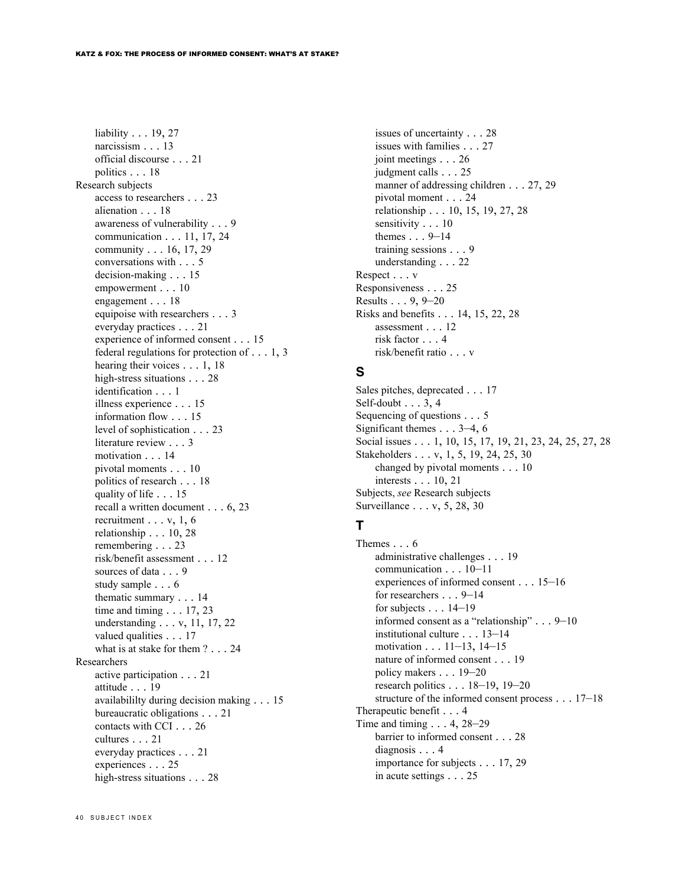liability . . . [19](#page-24-19), [27](#page-32-12) narcissism . . . [13](#page-18-7) official discourse . . . [21](#page-26-17) politics . . . [18](#page-23-9) Research subjects access to researchers . . . [23](#page-28-10) alienation . . . 18 awareness of v[ulnerability . . .](#page-23-10) [9](#page-14-23) communication . . . [11](#page-16-11), [17,](#page-22-10) [24](#page-29-20) community . . . [16,](#page-21-2) [17,](#page-22-11) [29](#page-34-20) conversations with . . . [5](#page-10-44) decision-making . . . [15](#page-20-13) empowerment . . . [10](#page-15-14) engagement . . . [18](#page-23-11) equipoise with researchers . . . [3](#page-8-42) everyday practices . . . [21](#page-26-18) experience of informed consent . . . [15](#page-20-14) federal regulations for protection of . . . [1,](#page-6-16) [3](#page-8-24) hearing their voices . . . [1,](#page-6-17) [18](#page-23-12) high-stress situations . . . [28](#page-33-17) identification . . . [1](#page-6-18) illness experience . . . [15](#page-20-15) information flow . . . [15](#page-20-16) level of sophistication . . . [23](#page-28-11) literature review . . . [3](#page-8-43) motivation . . . [14](#page-19-6) pivotal moments . . . [10](#page-15-15) politics of research . . . [18](#page-23-13) quality of life . . . [15](#page-20-17) recall a written document . . . [6,](#page-11-28) [23](#page-28-12) recruitment  $\dots v$  $\dots v$ , [1,](#page-6-19) [6](#page-11-29) relationship . . . [10](#page-15-16), [28](#page-33-18) remembering . . . [23](#page-28-13) risk/benefit assessment . . . [12](#page-17-4) sources of data . . . [9](#page-14-24) study sample . . . [6](#page-11-30) thematic summary . . . [14](#page-19-7) time and timing . . . [17](#page-22-12), [23](#page-28-14) understanding . . . [v,](#page-4-21) [11,](#page-16-12) [17,](#page-22-13) [22](#page-27-13) valued qualities . . . [17](#page-22-14) what is at stake for them ? . . . [24](#page-29-21) Researchers active participation . . . [21](#page-26-19) attitude . . . 19 availabililty [during decision making . . .](#page-24-20) [15](#page-20-18) bureaucratic obligations . . . [21](#page-26-20) contacts with CCI . . . [26](#page-31-13) cultures . . . [21](#page-26-21) everyday practices . . . [21](#page-26-18) experiences . . . [25](#page-30-19) high-stress situations . . . [28](#page-33-19)

issues of uncertainty . . . [28](#page-33-20) issues with families . . . [27](#page-32-13) joint meetings . . . [26](#page-31-14) judgment calls . . . 25 manner of addressing children [. . .](#page-30-20) [27](#page-32-14)[,](#page-30-20) [29](#page-34-21) pivotal moment . . . [24](#page-29-22) relationship . . . [10](#page-15-17), [15,](#page-20-19) [19](#page-24-21), [27](#page-32-15), [28](#page-33-21) sensitivity . . . [10](#page-15-18) themes . . . [9](#page-14-25)[–14](#page-19-4) training sessions . . . [9](#page-14-26) understanding . . . [22](#page-27-14) Respect . . . [v](#page-4-22) Responsiveness . . . [25](#page-30-21) Results . . . [9](#page-14-4), [9](#page-14-4)[–20](#page-25-1) Risks and benefits . . . [14](#page-19-8), [15](#page-20-20), [22](#page-27-15), [28](#page-33-22) assessment . . . [12](#page-17-5) risk factor . . . [4](#page-9-40) risk/benefit ratio . . . [v](#page-4-23)

## **S**

Sales pitches, deprecated . . . [17](#page-22-15) Self-doubt . . . [3](#page-8-44), [4](#page-9-41) Sequencing of questions . . . [5](#page-10-45) Significant themes . . . [3–](#page-8-45)[4,](#page-9-13) 6 Social issues . . . [1](#page-6-20), [10](#page-15-19), [15](#page-20-21), [17](#page-22-16)[,](#page-11-31) [19](#page-24-22)[,](#page-11-31) [21](#page-26-22), [23](#page-28-15), [24](#page-29-23), [25](#page-30-22), [27](#page-32-16), [28](#page-33-23) Stakeholders . . . [v,](#page-4-24) [1,](#page-6-21) [5,](#page-10-46) [19,](#page-24-23) [24,](#page-29-24) [25,](#page-30-23) [30](#page-35-15) changed by pivotal moments . . . [10](#page-15-20) interests . . . [10](#page-15-21), [21](#page-26-23) [Subjects,](#page-4-21) *see* Research subjects Surveillance . . . [v](#page-4-25), [5,](#page-10-47) [28](#page-33-24), [30](#page-35-16)

## **T**

Themes . . . 6 administrative challenges [. . .](#page-11-32) [19](#page-24-24) communication . . . [10–](#page-15-22)[11](#page-16-4) experiences of informed consent . . . [15](#page-20-22)[–16](#page-21-1) for researchers . . . [9](#page-14-25)–[14](#page-19-4) for subjects . . . [14](#page-19-9)–19 informed consent as [a "relationship" . . .](#page-24-25) [9](#page-14-13)[–](#page-24-25)[10](#page-15-10) institutional culture . . . [13](#page-18-8)–[14](#page-19-4) motivation . . . [11](#page-16-13)[–13](#page-18-3), [14](#page-19-10)[–15](#page-20-23) nature of informed consent . . . [19](#page-24-26) policy makers . . . [19](#page-24-27)[–20](#page-25-0) research politics . . . [18](#page-23-14)[–19](#page-24-28), [19](#page-24-29)[–20](#page-25-0) structure of the informed consent process . . . [17](#page-22-17)[–18](#page-23-15) Therapeutic benefit . . . [4](#page-9-42) Time and timing . . . [4](#page-9-43), [28–](#page-33-25)[29](#page-34-22) barrier to informed consent . . . [28](#page-33-26) diagnosis . . . 4 importance fo[r subjects . . .](#page-9-44) [17](#page-22-6)[,](#page-9-44) [29](#page-34-23) in acute settings . . . [25](#page-30-24)